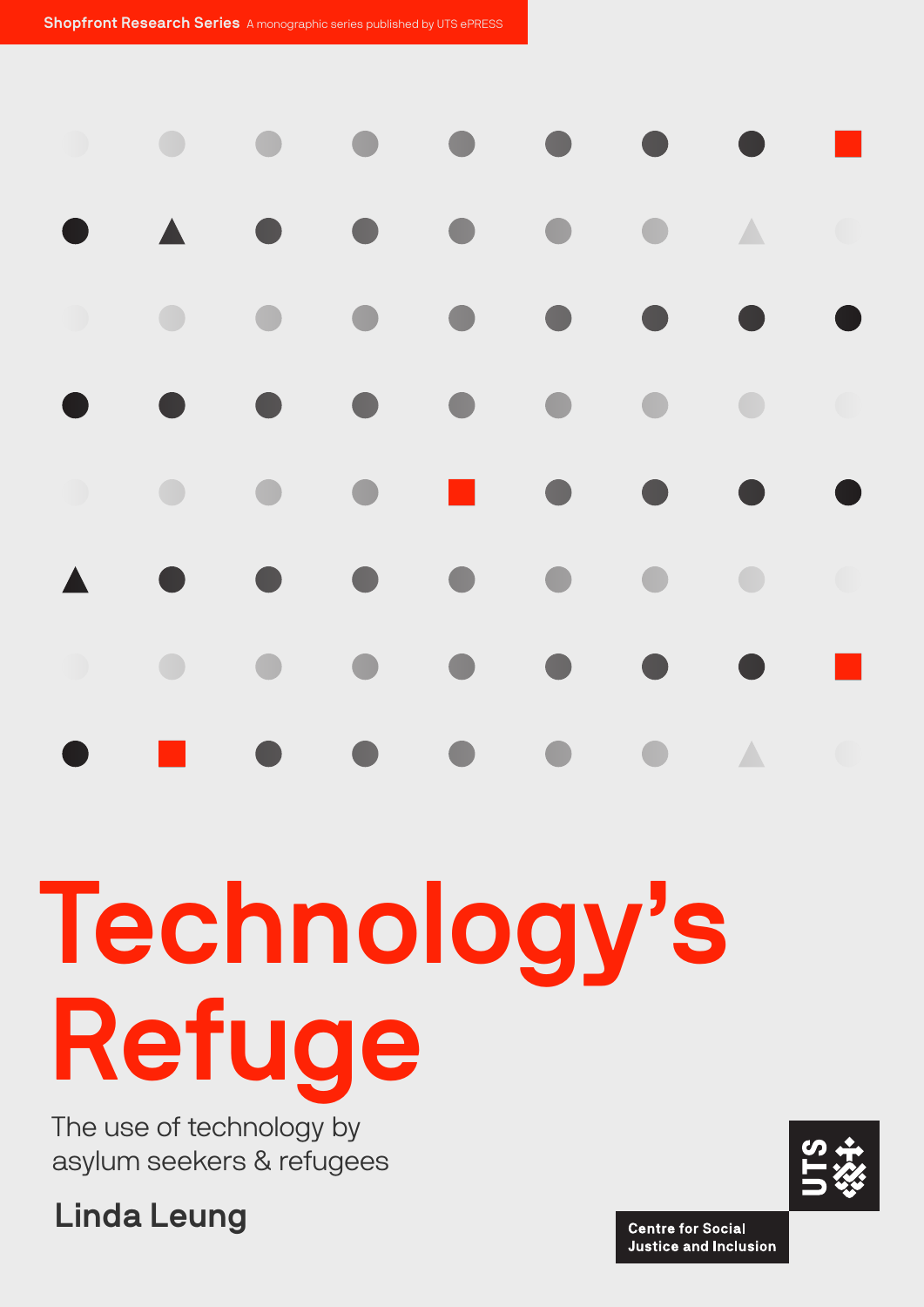Shopfront Research Series A monographic series published by UTS ePRESS

# Technology's Refuge

The use of technology by asylum seekers & refugees

Linda Leung

**Centre for Social Justice and Inclusion**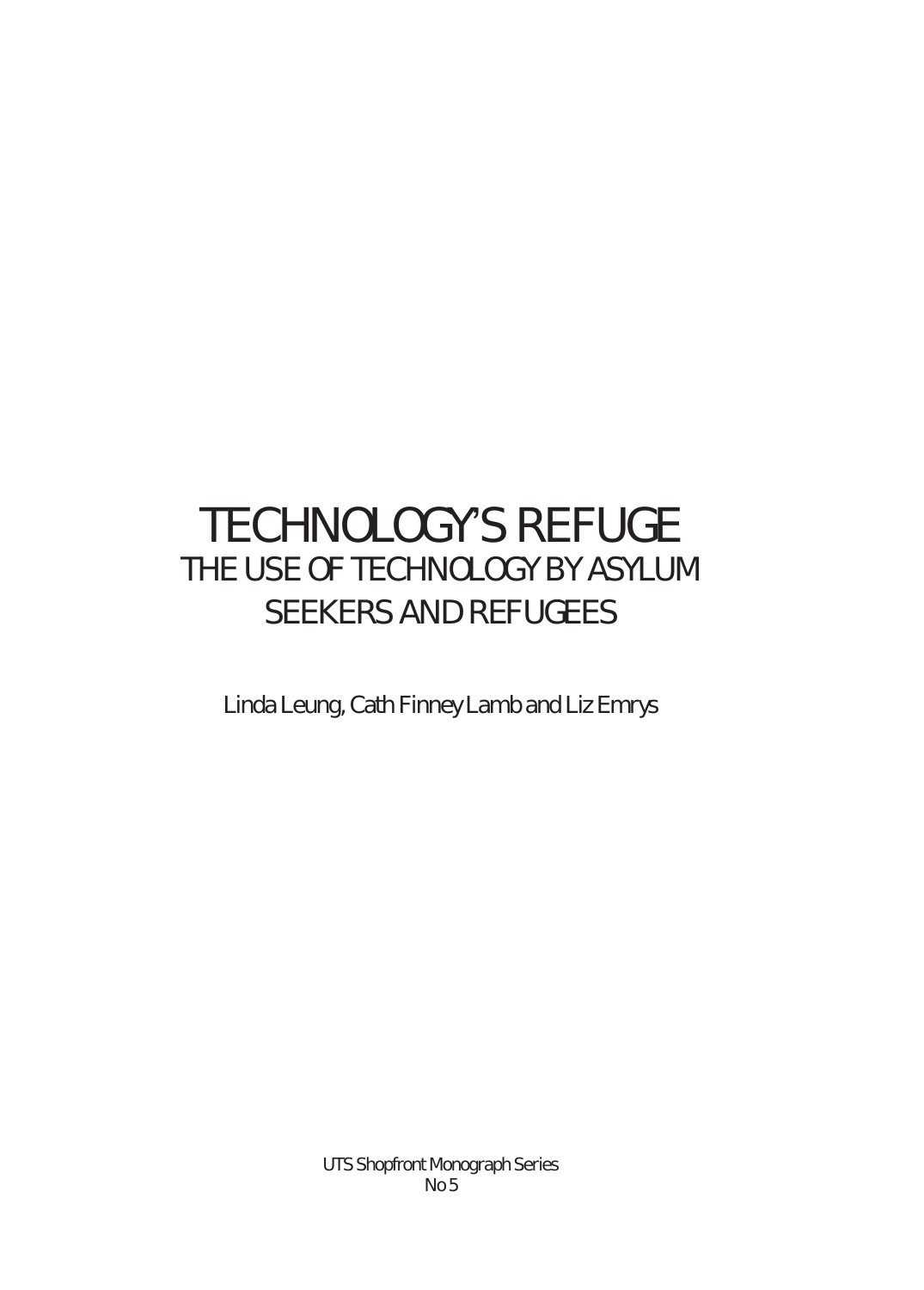# TechnoLogY's RefUge THE USE OF TECHNOLOGY BY ASYLUM SEEKERS AND REFUGEES

Linda Leung, Cath Finney Lamb and Liz Emrys

UTS Shopfront Monograph Series No 5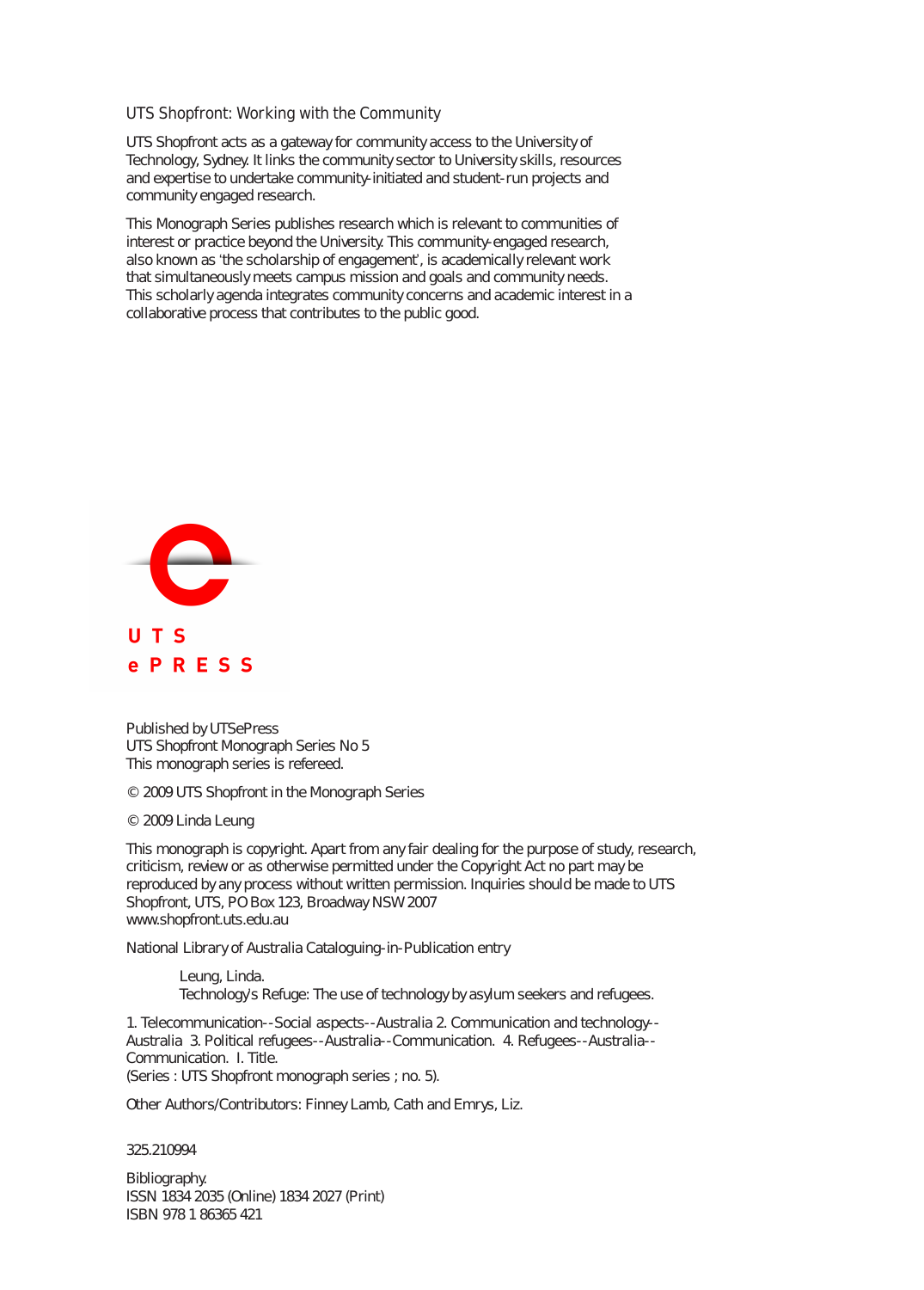#### UTS Shopfront: Working with the Community

UTS Shopfront acts as a gateway for community access to the University of Technology, Sydney. It links the community sector to University skills, resources and expertise to undertake community-initiated and student-run projects and community engaged research.

This Monograph Series publishes research which is relevant to communities of interest or practice beyond the University. This community-engaged research, also known as 'the scholarship of engagement', is academically relevant work that simultaneously meets campus mission and goals and community needs. This scholarly agenda integrates community concerns and academic interest in a collaborative process that contributes to the public good.



Published by UTSePress UTS Shopfront Monograph Series No 5 This monograph series is refereed.

© 2009 UTS Shopfront in the Monograph Series

© 2009 Linda Leung

This monograph is copyright. Apart from any fair dealing for the purpose of study, research, criticism, review or as otherwise permitted under the Copyright Act no part may be reproduced by any process without written permission. Inquiries should be made to UTS Shopfront, UTS, PO Box 123, Broadway NSW 2007 www.shopfront.uts.edu.au

National Library of Australia Cataloguing-in-Publication entry

Leung, Linda. Technology's Refuge: The use of technology by asylum seekers and refugees.

1. Telecommunication--Social aspects--Australia 2. Communication and technology-- Australia 3. Political refugees--Australia--Communication. 4. Refugees--Australia-- Communication. I. Title. (Series : UTS Shopfront monograph series ; no. 5).

Other Authors/Contributors: Finney Lamb, Cath and Emrys, Liz.

325.210994

Bibliography. ISSN 1834 2035 (Online) 1834 2027 (Print) ISBN 978 1 86365 421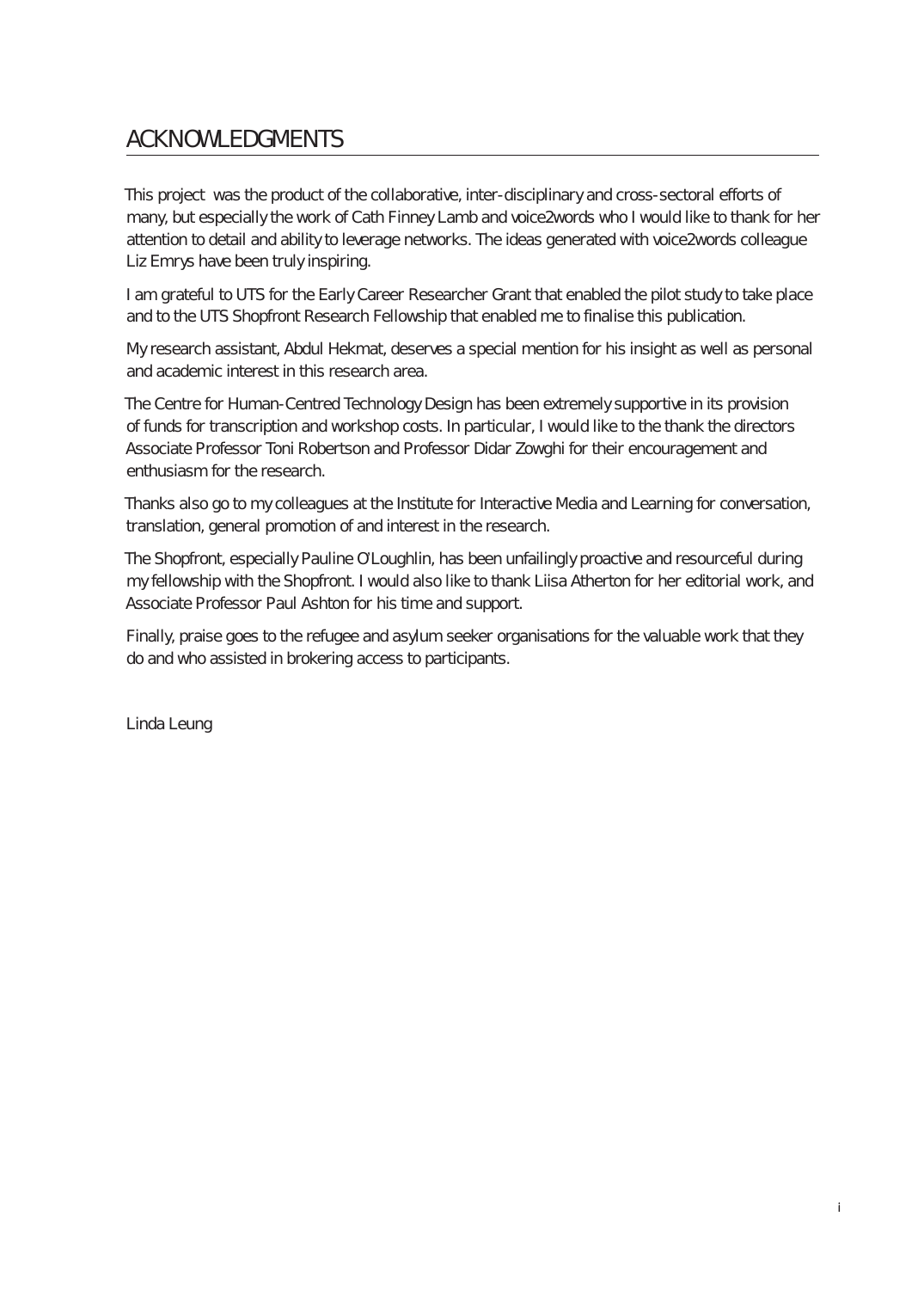# **ACKNOWLEDGMENTS**

This project was the product of the collaborative, inter-disciplinary and cross-sectoral efforts of many, but especially the work of Cath Finney Lamb and voice2words who I would like to thank for her attention to detail and ability to leverage networks. The ideas generated with voice2words colleague Liz Emrys have been truly inspiring.

I am grateful to UTS for the Early Career Researcher Grant that enabled the pilot study to take place and to the UTS Shopfront Research Fellowship that enabled me to finalise this publication.

My research assistant, Abdul Hekmat, deserves a special mention for his insight as well as personal and academic interest in this research area.

The Centre for Human-Centred Technology Design has been extremely supportive in its provision of funds for transcription and workshop costs. In particular, I would like to the thank the directors Associate Professor Toni Robertson and Professor Didar Zowghi for their encouragement and enthusiasm for the research.

Thanks also go to my colleagues at the Institute for Interactive Media and Learning for conversation, translation, general promotion of and interest in the research.

The Shopfront, especially Pauline O'Loughlin, has been unfailingly proactive and resourceful during my fellowship with the Shopfront. I would also like to thank Liisa Atherton for her editorial work, and Associate Professor Paul Ashton for his time and support.

Finally, praise goes to the refugee and asylum seeker organisations for the valuable work that they do and who assisted in brokering access to participants.

Linda Leung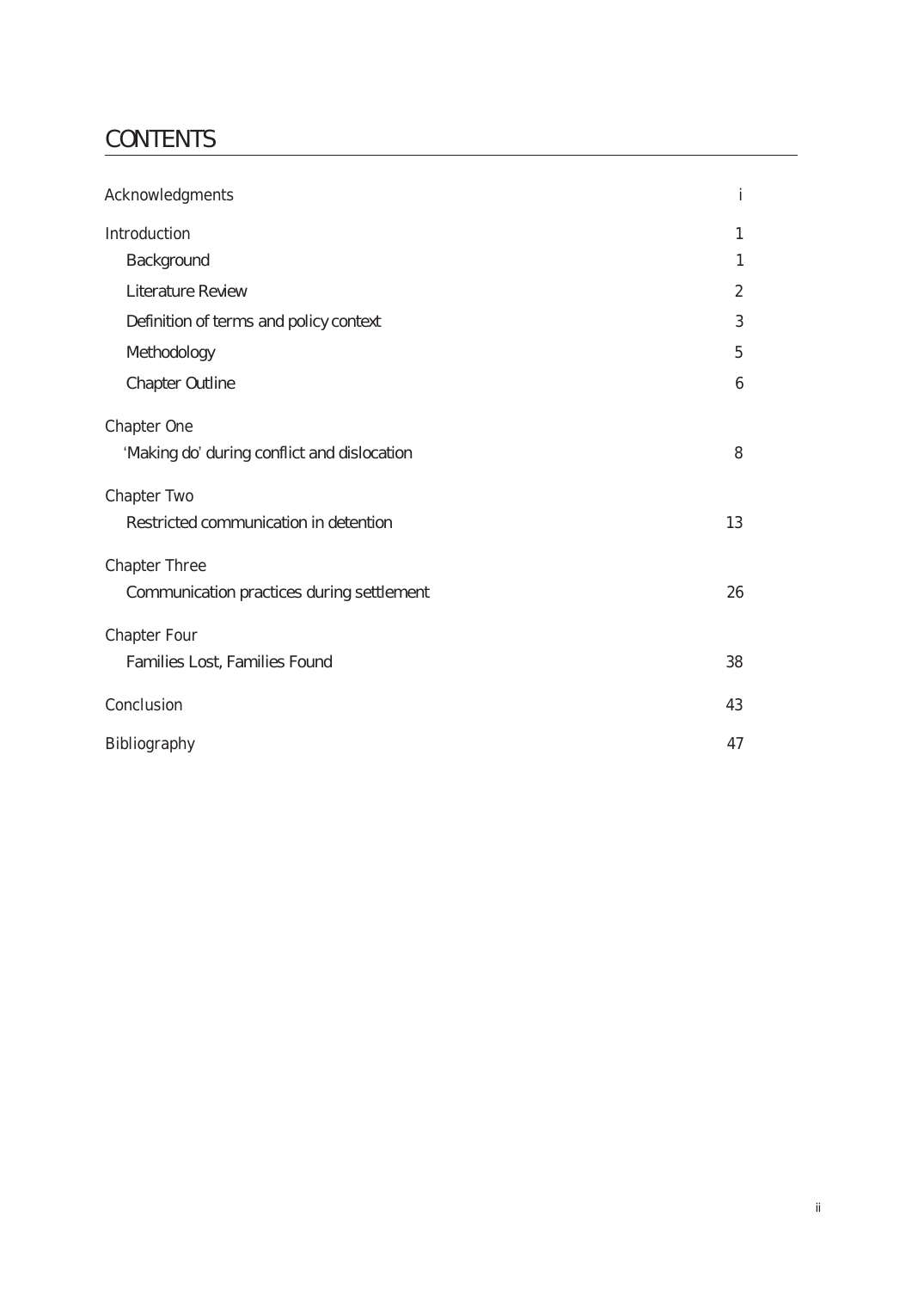# **CONTENTS**

| Acknowledgments                             | i              |
|---------------------------------------------|----------------|
| Introduction                                | 1              |
| Background                                  | 1              |
| Literature Review                           | $\overline{2}$ |
| Definition of terms and policy context      | 3              |
| Methodology                                 | 5              |
| Chapter Outline                             | 6              |
| Chapter One                                 |                |
| 'Making do' during conflict and dislocation | 8              |
| Chapter Two                                 |                |
| Restricted communication in detention       | 13             |
| <b>Chapter Three</b>                        |                |
| Communication practices during settlement   | 26             |
| <b>Chapter Four</b>                         |                |
| Families Lost, Families Found               | 38             |
| Conclusion                                  | 43             |
| Bibliography                                | 47             |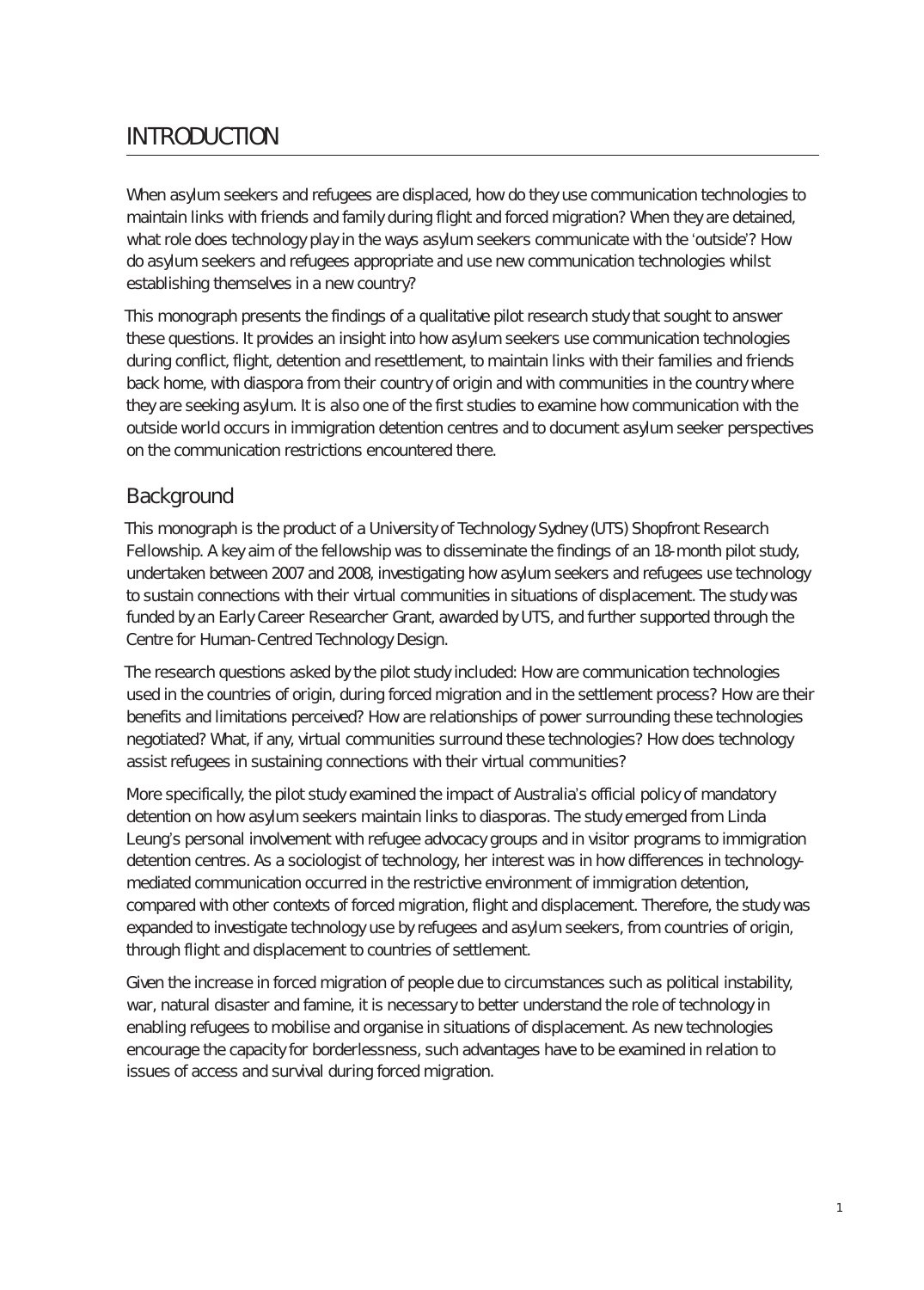# **INTRODUCTION**

When asylum seekers and refugees are displaced, how do they use communication technologies to maintain links with friends and family during flight and forced migration? When they are detained, what role does technology play in the ways asylum seekers communicate with the 'outside'? How do asylum seekers and refugees appropriate and use new communication technologies whilst establishing themselves in a new country?

This monograph presents the findings of a qualitative pilot research study that sought to answer these questions. It provides an insight into how asylum seekers use communication technologies during conflict, flight, detention and resettlement, to maintain links with their families and friends back home, with diaspora from their country of origin and with communities in the country where they are seeking asylum. It is also one of the first studies to examine how communication with the outside world occurs in immigration detention centres and to document asylum seeker perspectives on the communication restrictions encountered there.

#### **Background**

This monograph is the product of a University of Technology Sydney (UTS) Shopfront Research Fellowship. A key aim of the fellowship was to disseminate the findings of an 18-month pilot study, undertaken between 2007 and 2008, investigating how asylum seekers and refugees use technology to sustain connections with their virtual communities in situations of displacement. The study was funded by an Early Career Researcher Grant, awarded by UTS, and further supported through the Centre for Human-Centred Technology Design.

The research questions asked by the pilot study included: How are communication technologies used in the countries of origin, during forced migration and in the settlement process? How are their benefits and limitations perceived? How are relationships of power surrounding these technologies negotiated? What, if any, virtual communities surround these technologies? How does technology assist refugees in sustaining connections with their virtual communities?

More specifically, the pilot study examined the impact of Australia's official policy of mandatory detention on how asylum seekers maintain links to diasporas. The study emerged from Linda Leung's personal involvement with refugee advocacy groups and in visitor programs to immigration detention centres. As a sociologist of technology, her interest was in how differences in technologymediated communication occurred in the restrictive environment of immigration detention, compared with other contexts of forced migration, flight and displacement. Therefore, the study was expanded to investigate technology use by refugees and asylum seekers, from countries of origin, through flight and displacement to countries of settlement.

Given the increase in forced migration of people due to circumstances such as political instability, war, natural disaster and famine, it is necessary to better understand the role of technology in enabling refugees to mobilise and organise in situations of displacement. As new technologies encourage the capacity for borderlessness, such advantages have to be examined in relation to issues of access and survival during forced migration.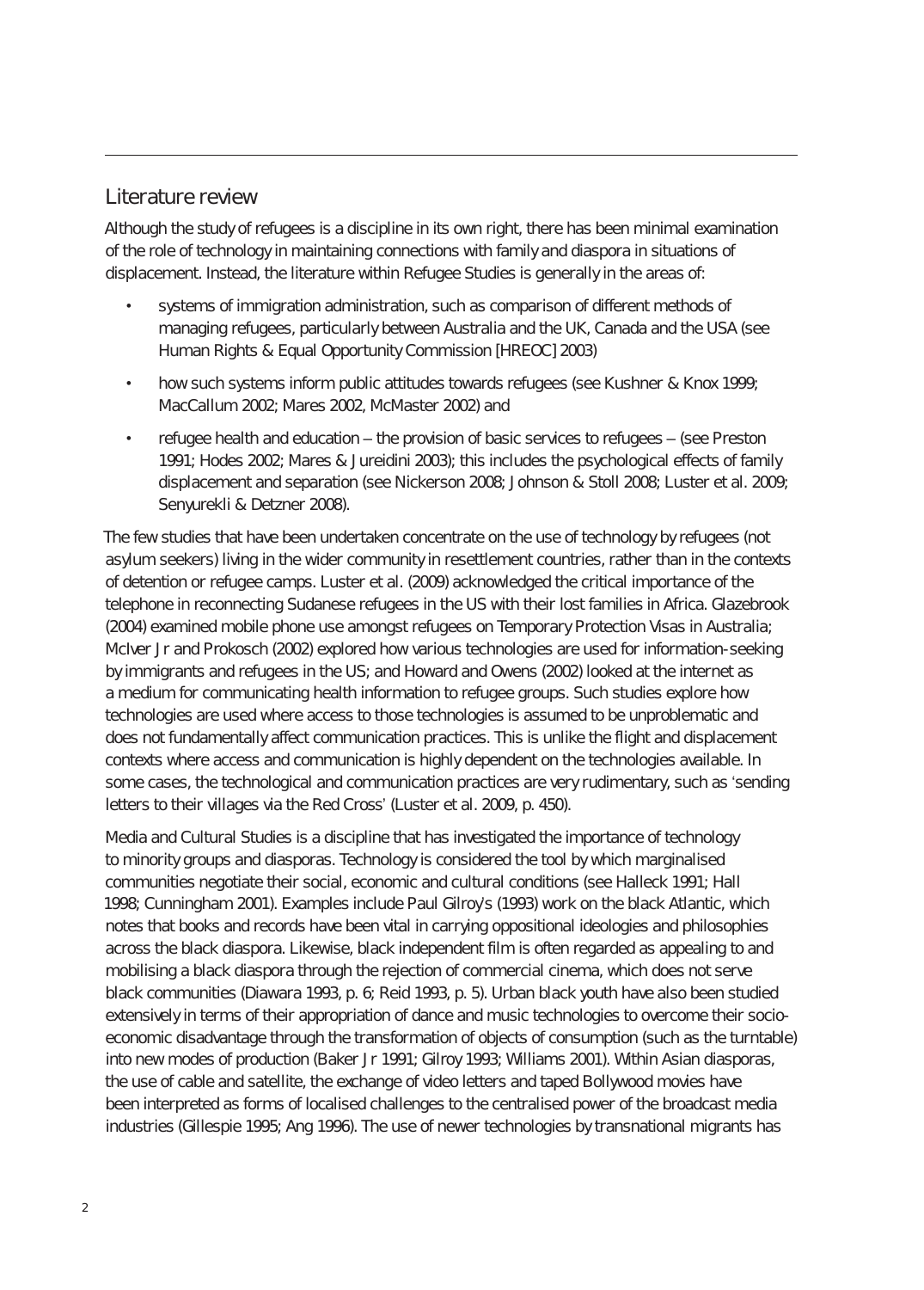#### Literature review

Although the study of refugees is a discipline in its own right, there has been minimal examination of the role of technology in maintaining connections with family and diaspora in situations of displacement. Instead, the literature within Refugee Studies is generally in the areas of:

- systems of immigration administration, such as comparison of different methods of managing refugees, particularly between Australia and the UK, Canada and the USA (see Human Rights & Equal Opportunity Commission [HREOC] 2003)
- how such systems inform public attitudes towards refugees (see Kushner & Knox 1999; MacCallum 2002; Mares 2002, McMaster 2002) and
- refugee health and education the provision of basic services to refugees (see Preston 1991; Hodes 2002; Mares & Jureidini 2003); this includes the psychological effects of family displacement and separation (see Nickerson 2008; Johnson & Stoll 2008; Luster et al. 2009; Senyurekli & Detzner 2008).

The few studies that have been undertaken concentrate on the use of technology by refugees (not asylum seekers) living in the wider community in resettlement countries, rather than in the contexts of detention or refugee camps. Luster et al. (2009) acknowledged the critical importance of the telephone in reconnecting Sudanese refugees in the US with their lost families in Africa. Glazebrook (2004) examined mobile phone use amongst refugees on Temporary Protection Visas in Australia; McIver Jr and Prokosch (2002) explored how various technologies are used for information-seeking by immigrants and refugees in the US; and Howard and Owens (2002) looked at the internet as a medium for communicating health information to refugee groups. Such studies explore how technologies are used where access to those technologies is assumed to be unproblematic and does not fundamentally affect communication practices. This is unlike the flight and displacement contexts where access and communication is highly dependent on the technologies available. In some cases, the technological and communication practices are very rudimentary, such as 'sending letters to their villages via the Red Cross' (Luster et al. 2009, p. 450).

Media and Cultural Studies is a discipline that has investigated the importance of technology to minority groups and diasporas. Technology is considered the tool by which marginalised communities negotiate their social, economic and cultural conditions (see Halleck 1991; Hall 1998; Cunningham 2001). Examples include Paul Gilroy's (1993) work on the black Atlantic, which notes that books and records have been vital in carrying oppositional ideologies and philosophies across the black diaspora. Likewise, black independent film is often regarded as appealing to and mobilising a black diaspora through the rejection of commercial cinema, which does not serve black communities (Diawara 1993, p. 6; Reid 1993, p. 5). Urban black youth have also been studied extensively in terms of their appropriation of dance and music technologies to overcome their socioeconomic disadvantage through the transformation of objects of consumption (such as the turntable) into new modes of production (Baker Jr 1991; Gilroy 1993; Williams 2001). Within Asian diasporas, the use of cable and satellite, the exchange of video letters and taped Bollywood movies have been interpreted as forms of localised challenges to the centralised power of the broadcast media industries (Gillespie 1995; Ang 1996). The use of newer technologies by transnational migrants has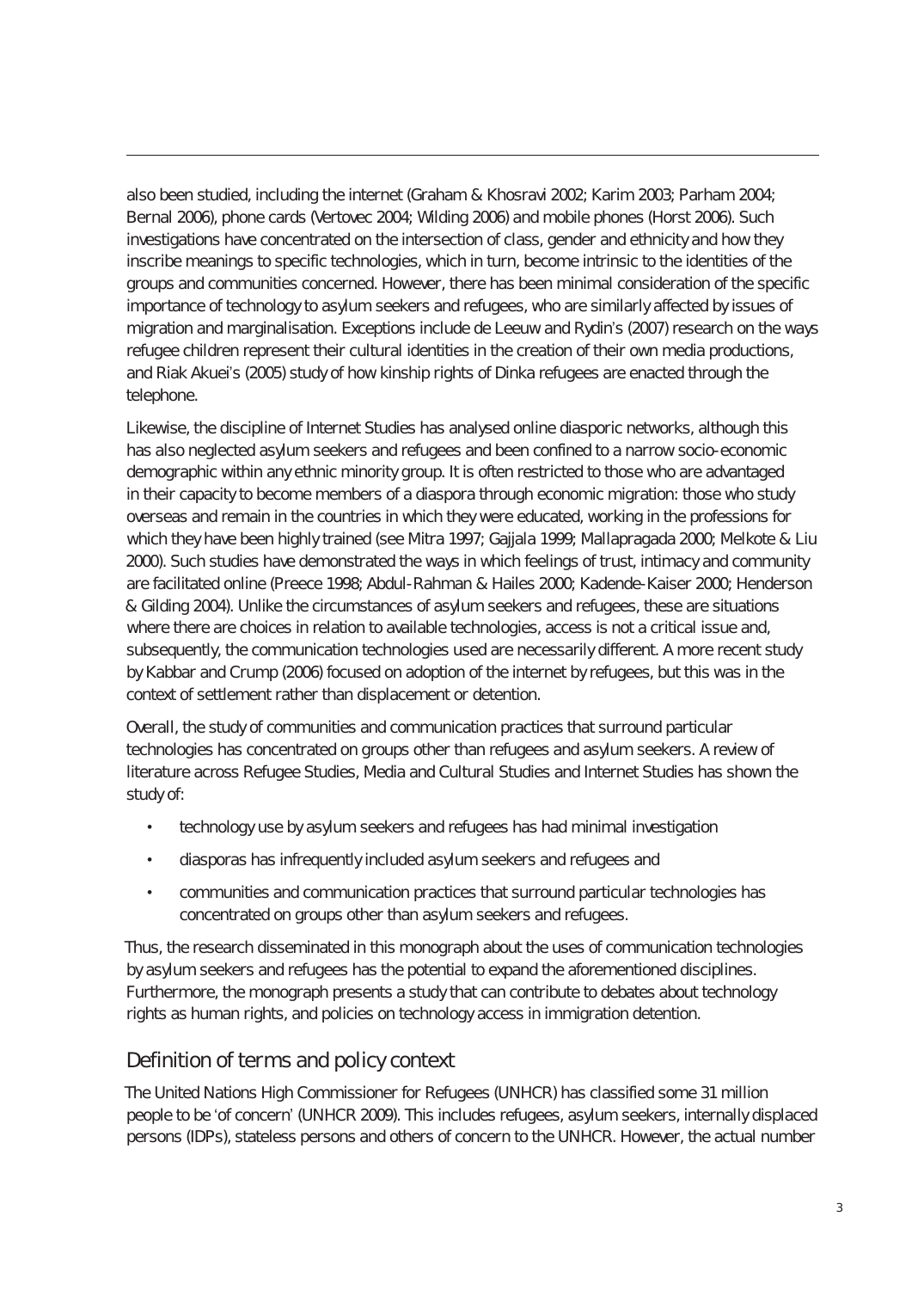also been studied, including the internet (Graham & Khosravi 2002; Karim 2003; Parham 2004; Bernal 2006), phone cards (Vertovec 2004; Wilding 2006) and mobile phones (Horst 2006). Such investigations have concentrated on the intersection of class, gender and ethnicity and how they inscribe meanings to specific technologies, which in turn, become intrinsic to the identities of the groups and communities concerned. However, there has been minimal consideration of the specific importance of technology to asylum seekers and refugees, who are similarly affected by issues of migration and marginalisation. Exceptions include de Leeuw and Rydin's (2007) research on the ways refugee children represent their cultural identities in the creation of their own media productions, and Riak Akuei's (2005) study of how kinship rights of Dinka refugees are enacted through the telephone.

Likewise, the discipline of Internet Studies has analysed online diasporic networks, although this has also neglected asylum seekers and refugees and been confined to a narrow socio-economic demographic within any ethnic minority group. It is often restricted to those who are advantaged in their capacity to become members of a diaspora through economic migration: those who study overseas and remain in the countries in which they were educated, working in the professions for which they have been highly trained (see Mitra 1997; Gajjala 1999; Mallapragada 2000; Melkote & Liu 2000). Such studies have demonstrated the ways in which feelings of trust, intimacy and community are facilitated online (Preece 1998; Abdul-Rahman & Hailes 2000; Kadende-Kaiser 2000; Henderson & Gilding 2004). Unlike the circumstances of asylum seekers and refugees, these are situations where there are choices in relation to available technologies, access is not a critical issue and, subsequently, the communication technologies used are necessarily different. A more recent study by Kabbar and Crump (2006) focused on adoption of the internet by refugees, but this was in the context of settlement rather than displacement or detention.

Overall, the study of communities and communication practices that surround particular technologies has concentrated on groups other than refugees and asylum seekers. A review of literature across Refugee Studies, Media and Cultural Studies and Internet Studies has shown the study of:

- technology use by asylum seekers and refugees has had minimal investigation
- diasporas has infrequently included asylum seekers and refugees and
- communities and communication practices that surround particular technologies has concentrated on groups other than asylum seekers and refugees.

Thus, the research disseminated in this monograph about the uses of communication technologies by asylum seekers and refugees has the potential to expand the aforementioned disciplines. Furthermore, the monograph presents a study that can contribute to debates about technology rights as human rights, and policies on technology access in immigration detention.

#### Definition of terms and policy context

The United Nations High Commissioner for Refugees (UNHCR) has classified some 31 million people to be 'of concern' (UNHCR 2009). This includes refugees, asylum seekers, internally displaced persons (IDPs), stateless persons and others of concern to the UNHCR. However, the actual number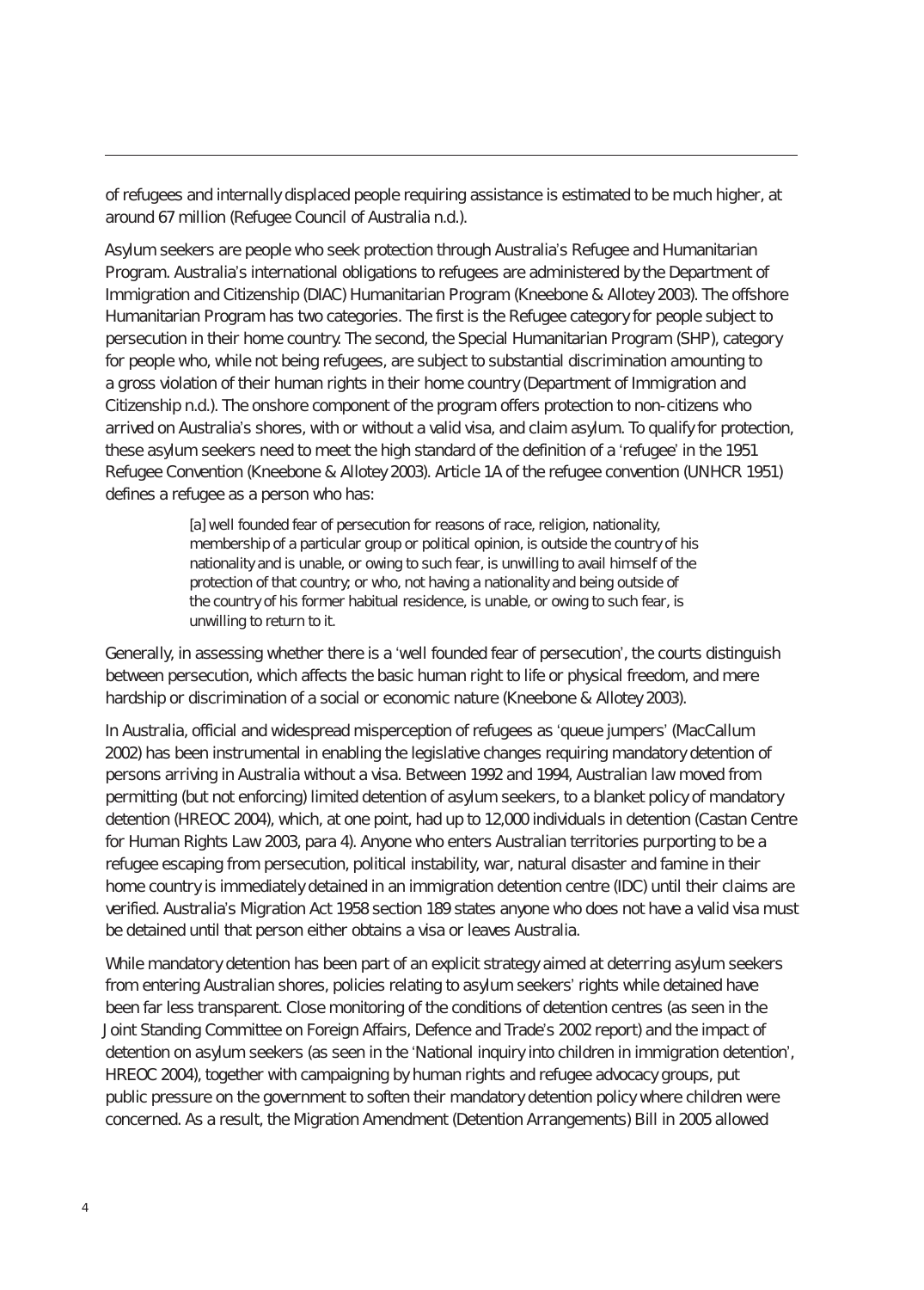of refugees and internally displaced people requiring assistance is estimated to be much higher, at around 67 million (Refugee Council of Australia n.d.).

Asylum seekers are people who seek protection through Australia's Refugee and Humanitarian Program. Australia's international obligations to refugees are administered by the Department of Immigration and Citizenship (DIAC) Humanitarian Program (Kneebone & Allotey 2003). The offshore Humanitarian Program has two categories. The first is the Refugee category for people subject to persecution in their home country. The second, the Special Humanitarian Program (SHP), category for people who, while not being refugees, are subject to substantial discrimination amounting to a gross violation of their human rights in their home country (Department of Immigration and Citizenship n.d.). The onshore component of the program offers protection to non-citizens who arrived on Australia's shores, with or without a valid visa, and claim asylum. To qualify for protection, these asylum seekers need to meet the high standard of the definition of a 'refugee' in the 1951 Refugee Convention (Kneebone & Allotey 2003). Article 1A of the refugee convention (UNHCR 1951) defines a refugee as a person who has:

> [a] well founded fear of persecution for reasons of race, religion, nationality, membership of a particular group or political opinion, is outside the country of his nationality and is unable, or owing to such fear, is unwilling to avail himself of the protection of that country; or who, not having a nationality and being outside of the country of his former habitual residence, is unable, or owing to such fear, is unwilling to return to it.

Generally, in assessing whether there is a 'well founded fear of persecution', the courts distinguish between persecution, which affects the basic human right to life or physical freedom, and mere hardship or discrimination of a social or economic nature (Kneebone & Allotey 2003).

In Australia, official and widespread misperception of refugees as 'queue jumpers' (MacCallum 2002) has been instrumental in enabling the legislative changes requiring mandatory detention of persons arriving in Australia without a visa. Between 1992 and 1994, Australian law moved from permitting (but not enforcing) limited detention of asylum seekers, to a blanket policy of mandatory detention (HREOC 2004), which, at one point, had up to 12,000 individuals in detention (Castan Centre for Human Rights Law 2003, para 4). Anyone who enters Australian territories purporting to be a refugee escaping from persecution, political instability, war, natural disaster and famine in their home country is immediately detained in an immigration detention centre (IDC) until their claims are verified. Australia's Migration Act 1958 section 189 states anyone who does not have a valid visa must be detained until that person either obtains a visa or leaves Australia.

While mandatory detention has been part of an explicit strategy aimed at deterring asylum seekers from entering Australian shores, policies relating to asylum seekers' rights while detained have been far less transparent. Close monitoring of the conditions of detention centres (as seen in the Joint Standing Committee on Foreign Affairs, Defence and Trade's 2002 report) and the impact of detention on asylum seekers (as seen in the 'National inquiry into children in immigration detention', HREOC 2004), together with campaigning by human rights and refugee advocacy groups, put public pressure on the government to soften their mandatory detention policy where children were concerned. As a result, the Migration Amendment (Detention Arrangements) Bill in 2005 allowed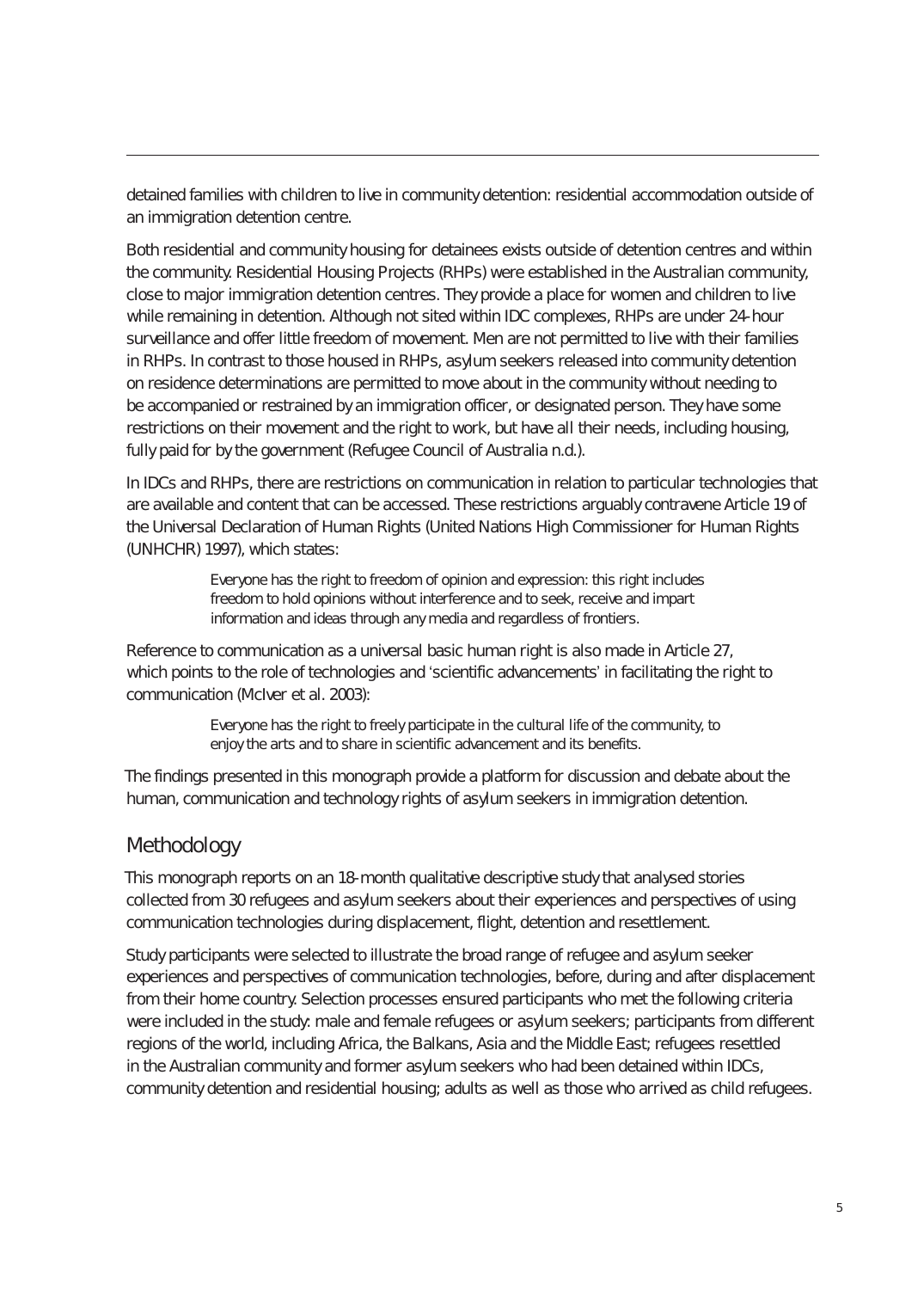detained families with children to live in community detention: residential accommodation outside of an immigration detention centre.

Both residential and community housing for detainees exists outside of detention centres and within the community. Residential Housing Projects (RHPs) were established in the Australian community, close to major immigration detention centres. They provide a place for women and children to live while remaining in detention. Although not sited within IDC complexes, RHPs are under 24-hour surveillance and offer little freedom of movement. Men are not permitted to live with their families in RHPs. In contrast to those housed in RHPs, asylum seekers released into community detention on residence determinations are permitted to move about in the community without needing to be accompanied or restrained by an immigration officer, or designated person. They have some restrictions on their movement and the right to work, but have all their needs, including housing, fully paid for by the government (Refugee Council of Australia n.d.).

In IDCs and RHPs, there are restrictions on communication in relation to particular technologies that are available and content that can be accessed. These restrictions arguably contravene Article 19 of the Universal Declaration of Human Rights (United Nations High Commissioner for Human Rights (UNHCHR) 1997), which states:

> Everyone has the right to freedom of opinion and expression: this right includes freedom to hold opinions without interference and to seek, receive and impart information and ideas through any media and regardless of frontiers.

Reference to communication as a universal basic human right is also made in Article 27, which points to the role of technologies and 'scientific advancements' in facilitating the right to communication (McIver et al. 2003):

> Everyone has the right to freely participate in the cultural life of the community, to enjoy the arts and to share in scientific advancement and its benefits.

The findings presented in this monograph provide a platform for discussion and debate about the human, communication and technology rights of asylum seekers in immigration detention.

#### Methodology

This monograph reports on an 18-month qualitative descriptive study that analysed stories collected from 30 refugees and asylum seekers about their experiences and perspectives of using communication technologies during displacement, flight, detention and resettlement.

Study participants were selected to illustrate the broad range of refugee and asylum seeker experiences and perspectives of communication technologies, before, during and after displacement from their home country. Selection processes ensured participants who met the following criteria were included in the study: male and female refugees or asylum seekers; participants from different regions of the world, including Africa, the Balkans, Asia and the Middle East; refugees resettled in the Australian community and former asylum seekers who had been detained within IDCs, community detention and residential housing; adults as well as those who arrived as child refugees.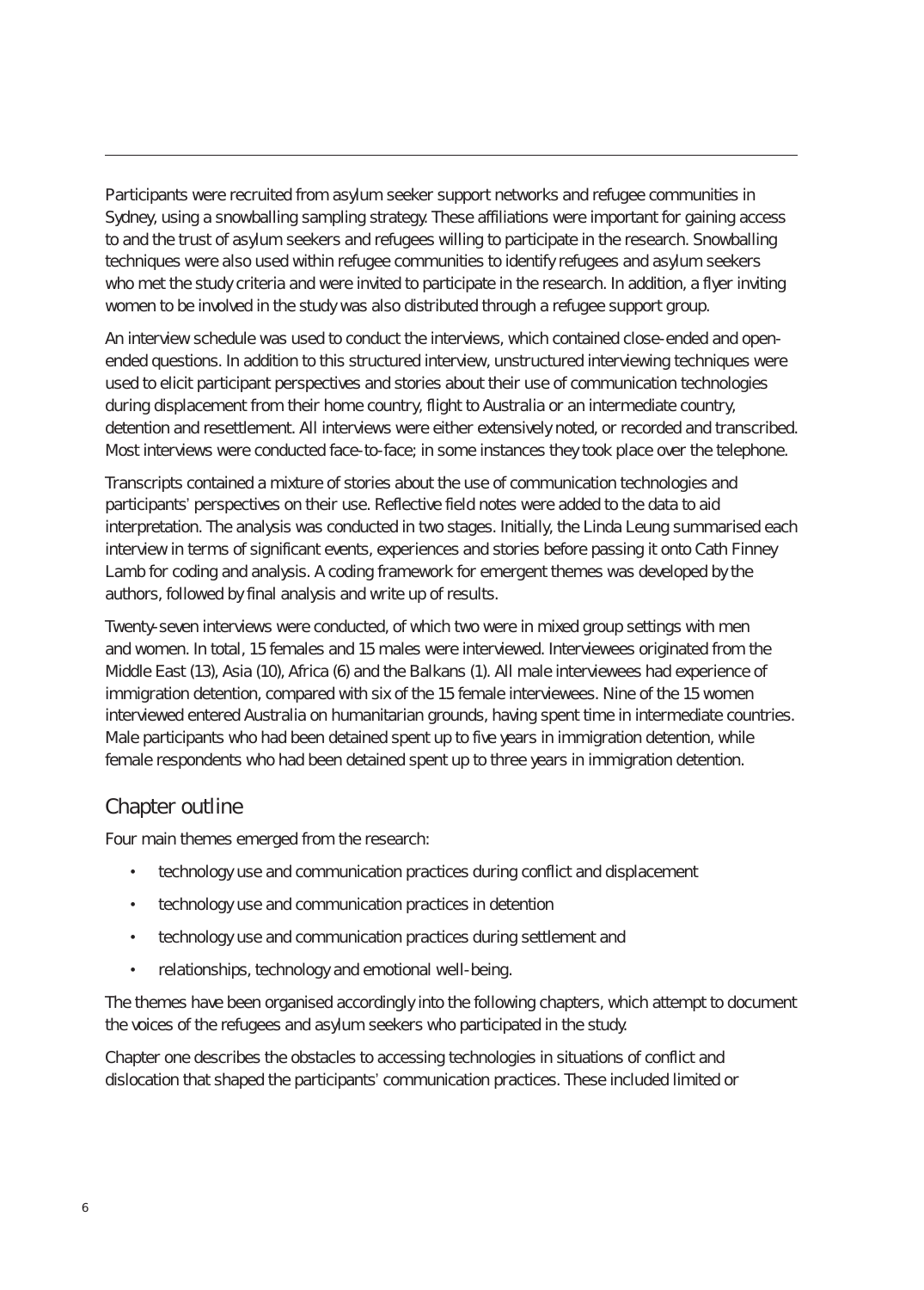Participants were recruited from asylum seeker support networks and refugee communities in Sydney, using a snowballing sampling strategy. These affiliations were important for gaining access to and the trust of asylum seekers and refugees willing to participate in the research. Snowballing techniques were also used within refugee communities to identify refugees and asylum seekers who met the study criteria and were invited to participate in the research. In addition, a flyer inviting women to be involved in the study was also distributed through a refugee support group.

An interview schedule was used to conduct the interviews, which contained close-ended and openended questions. In addition to this structured interview, unstructured interviewing techniques were used to elicit participant perspectives and stories about their use of communication technologies during displacement from their home country, flight to Australia or an intermediate country, detention and resettlement. All interviews were either extensively noted, or recorded and transcribed. Most interviews were conducted face-to-face; in some instances they took place over the telephone.

Transcripts contained a mixture of stories about the use of communication technologies and participants' perspectives on their use. Reflective field notes were added to the data to aid interpretation. The analysis was conducted in two stages. Initially, the Linda Leung summarised each interview in terms of significant events, experiences and stories before passing it onto Cath Finney Lamb for coding and analysis. A coding framework for emergent themes was developed by the authors, followed by final analysis and write up of results.

Twenty-seven interviews were conducted, of which two were in mixed group settings with men and women. In total, 15 females and 15 males were interviewed. Interviewees originated from the Middle East (13), Asia (10), Africa (6) and the Balkans (1). All male interviewees had experience of immigration detention, compared with six of the 15 female interviewees. Nine of the 15 women interviewed entered Australia on humanitarian grounds, having spent time in intermediate countries. Male participants who had been detained spent up to five years in immigration detention, while female respondents who had been detained spent up to three years in immigration detention.

#### Chapter outline

Four main themes emerged from the research:

- technology use and communication practices during conflict and displacement
- technology use and communication practices in detention
- technology use and communication practices during settlement and
- relationships, technology and emotional well-being.

The themes have been organised accordingly into the following chapters, which attempt to document the voices of the refugees and asylum seekers who participated in the study.

Chapter one describes the obstacles to accessing technologies in situations of conflict and dislocation that shaped the participants' communication practices. These included limited or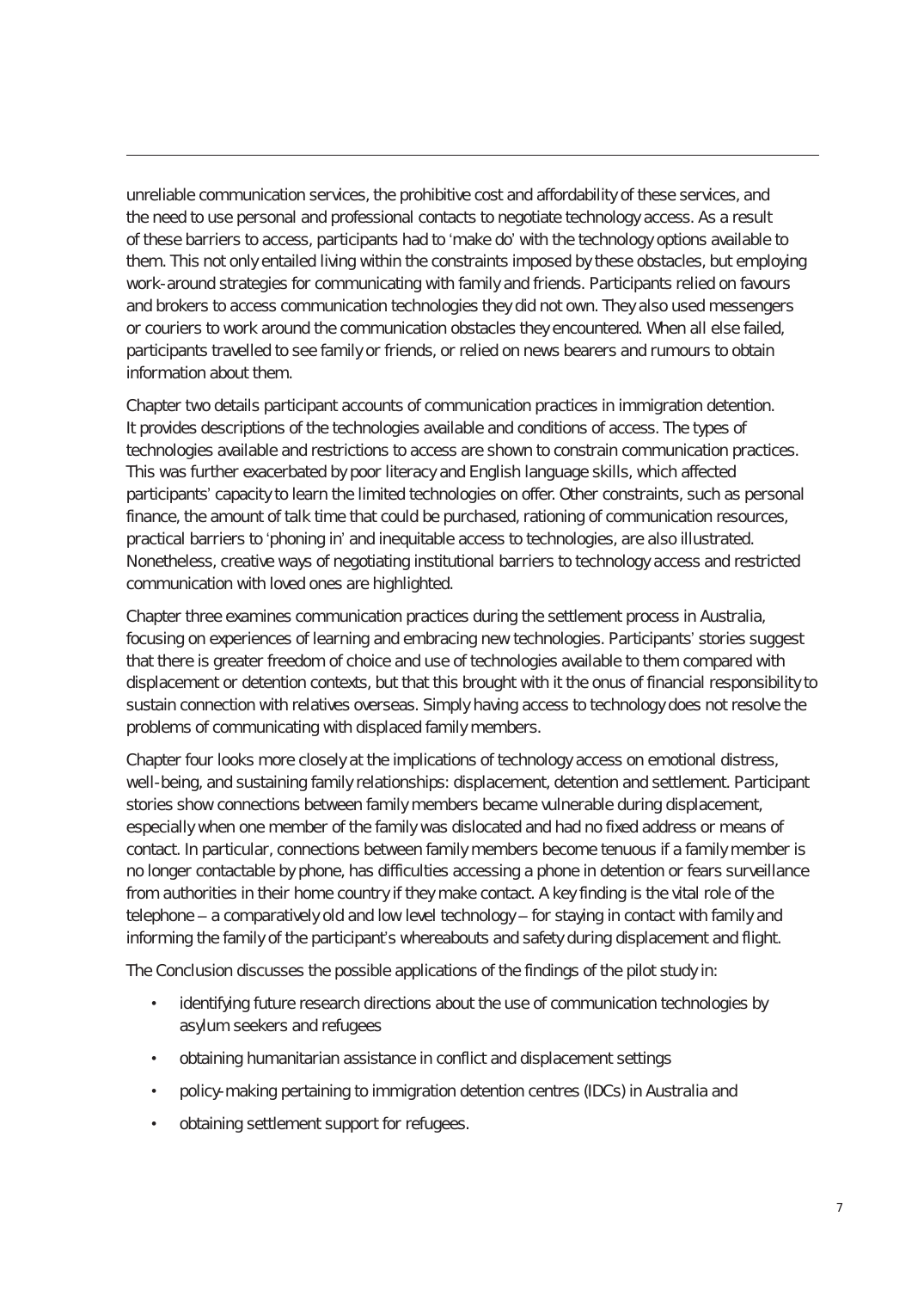unreliable communication services, the prohibitive cost and affordability of these services, and the need to use personal and professional contacts to negotiate technology access. As a result of these barriers to access, participants had to 'make do' with the technology options available to them. This not only entailed living within the constraints imposed by these obstacles, but employing work-around strategies for communicating with family and friends. Participants relied on favours and brokers to access communication technologies they did not own. They also used messengers or couriers to work around the communication obstacles they encountered. When all else failed, participants travelled to see family or friends, or relied on news bearers and rumours to obtain information about them.

Chapter two details participant accounts of communication practices in immigration detention. It provides descriptions of the technologies available and conditions of access. The types of technologies available and restrictions to access are shown to constrain communication practices. This was further exacerbated by poor literacy and English language skills, which affected participants' capacity to learn the limited technologies on offer. Other constraints, such as personal finance, the amount of talk time that could be purchased, rationing of communication resources, practical barriers to 'phoning in' and inequitable access to technologies, are also illustrated. Nonetheless, creative ways of negotiating institutional barriers to technology access and restricted communication with loved ones are highlighted.

Chapter three examines communication practices during the settlement process in Australia, focusing on experiences of learning and embracing new technologies. Participants' stories suggest that there is greater freedom of choice and use of technologies available to them compared with displacement or detention contexts, but that this brought with it the onus of financial responsibility to sustain connection with relatives overseas. Simply having access to technology does not resolve the problems of communicating with displaced family members.

Chapter four looks more closely at the implications of technology access on emotional distress, well-being, and sustaining family relationships: displacement, detention and settlement. Participant stories show connections between family members became vulnerable during displacement, especially when one member of the family was dislocated and had no fixed address or means of contact. In particular, connections between family members become tenuous if a family member is no longer contactable by phone, has difficulties accessing a phone in detention or fears surveillance from authorities in their home country if they make contact. A key finding is the vital role of the telephone – a comparatively old and low level technology – for staying in contact with family and informing the family of the participant's whereabouts and safety during displacement and flight.

The Conclusion discusses the possible applications of the findings of the pilot study in:

- identifying future research directions about the use of communication technologies by asylum seekers and refugees
- obtaining humanitarian assistance in conflict and displacement settings
- policy-making pertaining to immigration detention centres (IDCs) in Australia and
- obtaining settlement support for refugees.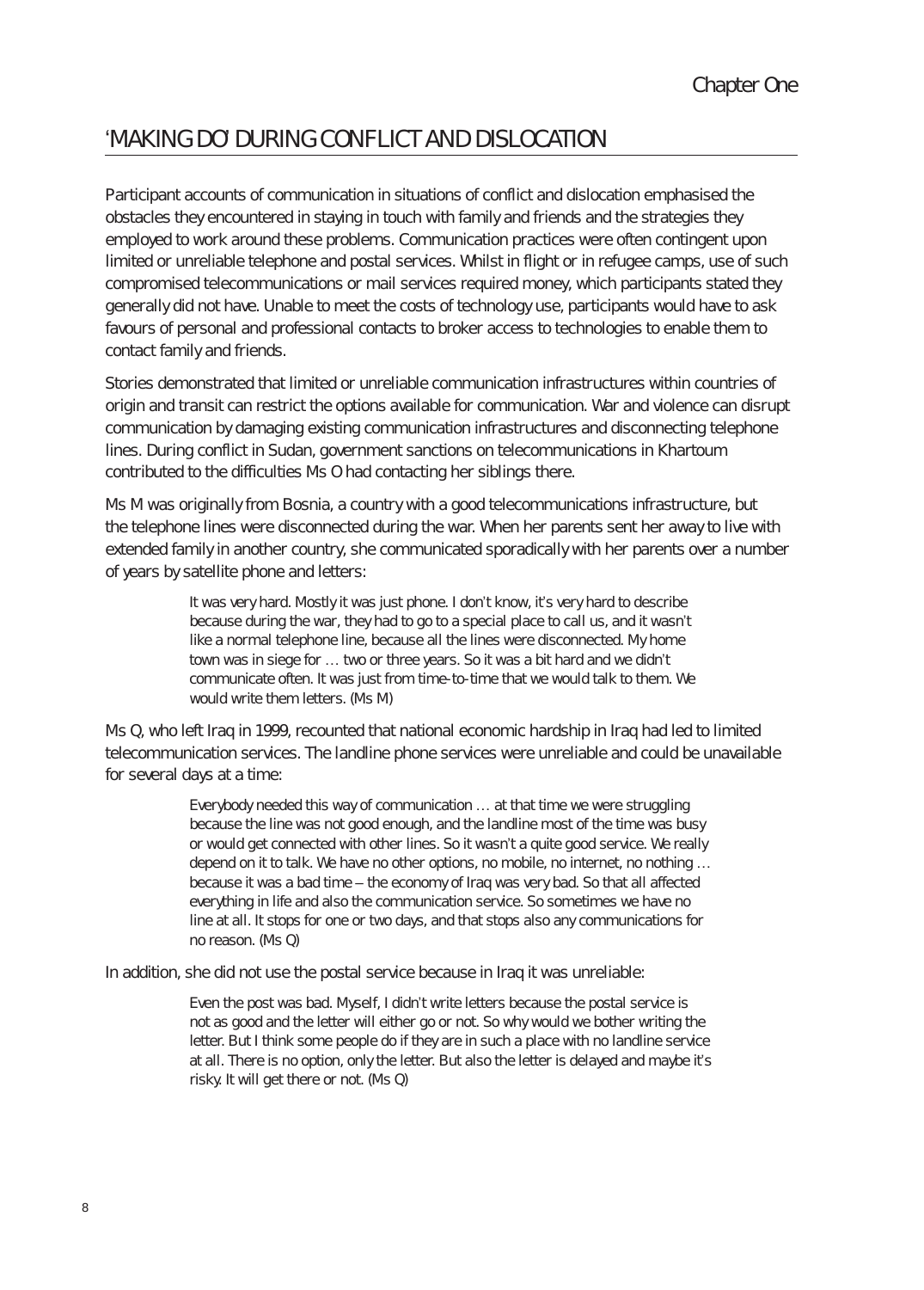# 'MAKInG DO' DuRInG cOnflIct AnD DIslOcAtIOn

Participant accounts of communication in situations of conflict and dislocation emphasised the obstacles they encountered in staying in touch with family and friends and the strategies they employed to work around these problems. Communication practices were often contingent upon limited or unreliable telephone and postal services. Whilst in flight or in refugee camps, use of such compromised telecommunications or mail services required money, which participants stated they generally did not have. Unable to meet the costs of technology use, participants would have to ask favours of personal and professional contacts to broker access to technologies to enable them to contact family and friends.

Stories demonstrated that limited or unreliable communication infrastructures within countries of origin and transit can restrict the options available for communication. War and violence can disrupt communication by damaging existing communication infrastructures and disconnecting telephone lines. During conflict in Sudan, government sanctions on telecommunications in Khartoum contributed to the difficulties Ms O had contacting her siblings there.

Ms M was originally from Bosnia, a country with a good telecommunications infrastructure, but the telephone lines were disconnected during the war. When her parents sent her away to live with extended family in another country, she communicated sporadically with her parents over a number of years by satellite phone and letters:

> It was very hard. Mostly it was just phone. I don't know, it's very hard to describe because during the war, they had to go to a special place to call us, and it wasn't like a normal telephone line, because all the lines were disconnected. My home town was in siege for … two or three years. So it was a bit hard and we didn't communicate often. It was just from time-to-time that we would talk to them. We would write them letters. (Ms M)

Ms Q, who left Iraq in 1999, recounted that national economic hardship in Iraq had led to limited telecommunication services. The landline phone services were unreliable and could be unavailable for several days at a time:

> Everybody needed this way of communication … at that time we were struggling because the line was not good enough, and the landline most of the time was busy or would get connected with other lines. So it wasn't a quite good service. We really depend on it to talk. We have no other options, no mobile, no internet, no nothing … because it was a bad time – the economy of Iraq was very bad. So that all affected everything in life and also the communication service. So sometimes we have no line at all. It stops for one or two days, and that stops also any communications for no reason. (Ms Q)

In addition, she did not use the postal service because in Iraq it was unreliable:

Even the post was bad. Myself, I didn't write letters because the postal service is not as good and the letter will either go or not. So why would we bother writing the letter. But I think some people do if they are in such a place with no landline service at all. There is no option, only the letter. But also the letter is delayed and maybe it's risky. It will get there or not. (Ms Q)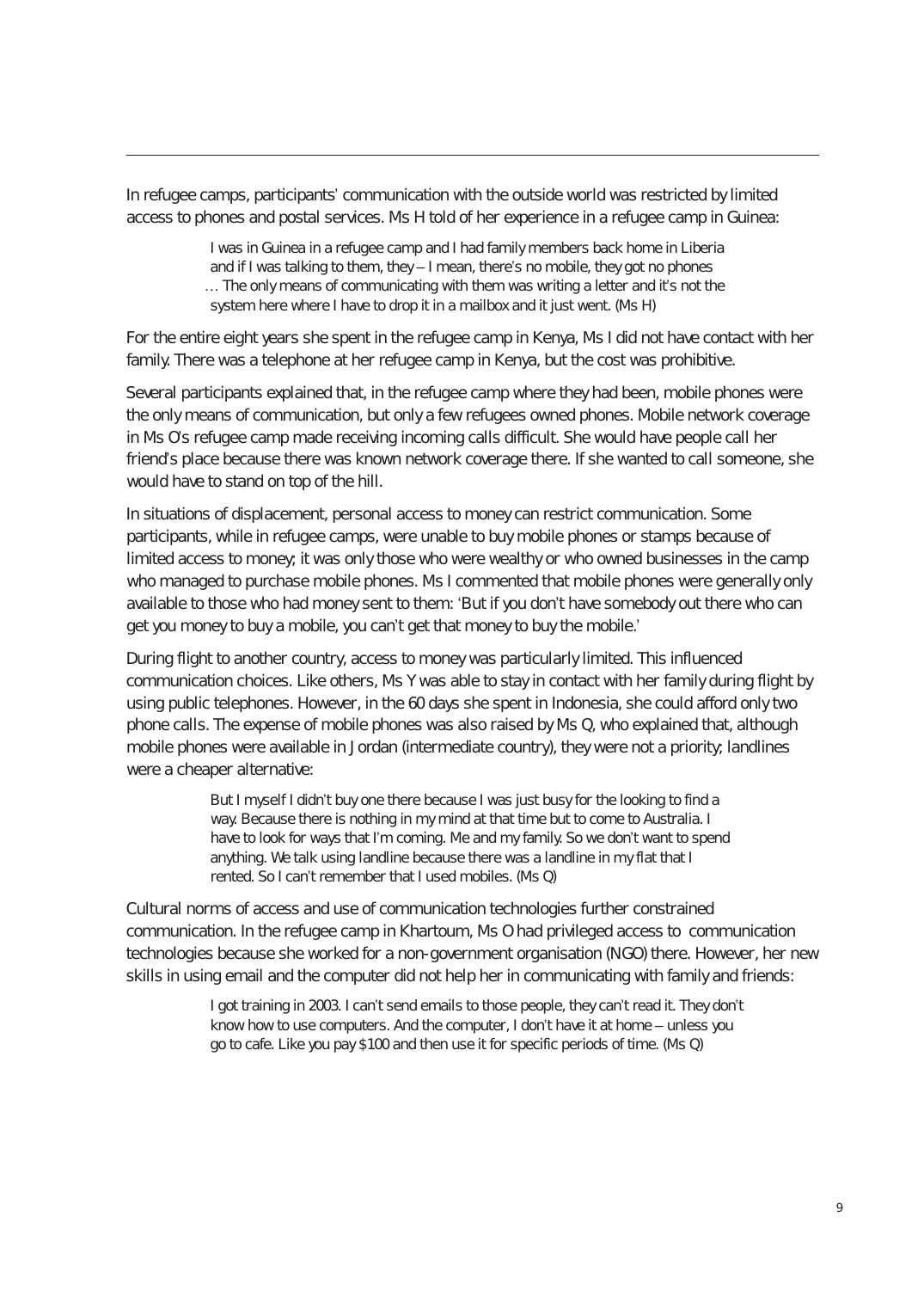In refugee camps, participants' communication with the outside world was restricted by limited access to phones and postal services. Ms H told of her experience in a refugee camp in Guinea:

> I was in Guinea in a refugee camp and I had family members back home in Liberia and if I was talking to them, they – I mean, there's no mobile, they got no phones … The only means of communicating with them was writing a letter and it's not the system here where I have to drop it in a mailbox and it just went. (Ms H)

For the entire eight years she spent in the refugee camp in Kenya, Ms I did not have contact with her family. There was a telephone at her refugee camp in Kenya, but the cost was prohibitive.

Several participants explained that, in the refugee camp where they had been, mobile phones were the only means of communication, but only a few refugees owned phones. Mobile network coverage in Ms O's refugee camp made receiving incoming calls difficult. She would have people call her friend's place because there was known network coverage there. If she wanted to call someone, she would have to stand on top of the hill.

In situations of displacement, personal access to money can restrict communication. Some participants, while in refugee camps, were unable to buy mobile phones or stamps because of limited access to money; it was only those who were wealthy or who owned businesses in the camp who managed to purchase mobile phones. Ms I commented that mobile phones were generally only available to those who had money sent to them: 'But if you don't have somebody out there who can get you money to buy a mobile, you can't get that money to buy the mobile.'

During flight to another country, access to money was particularly limited. This influenced communication choices. Like others, Ms Y was able to stay in contact with her family during flight by using public telephones. However, in the 60 days she spent in Indonesia, she could afford only two phone calls. The expense of mobile phones was also raised by Ms Q, who explained that, although mobile phones were available in Jordan (intermediate country), they were not a priority; landlines were a cheaper alternative:

> But I myself I didn't buy one there because I was just busy for the looking to find a way. Because there is nothing in my mind at that time but to come to Australia. I have to look for ways that I'm coming. Me and my family. So we don't want to spend anything. We talk using landline because there was a landline in my flat that I rented. So I can't remember that I used mobiles. (Ms Q)

Cultural norms of access and use of communication technologies further constrained communication. In the refugee camp in Khartoum, Ms O had privileged access to communication technologies because she worked for a non-government organisation (NGO) there. However, her new skills in using email and the computer did not help her in communicating with family and friends:

> I got training in 2003. I can't send emails to those people, they can't read it. They don't know how to use computers. And the computer, I don't have it at home – unless you go to cafe. Like you pay \$100 and then use it for specific periods of time. (Ms Q)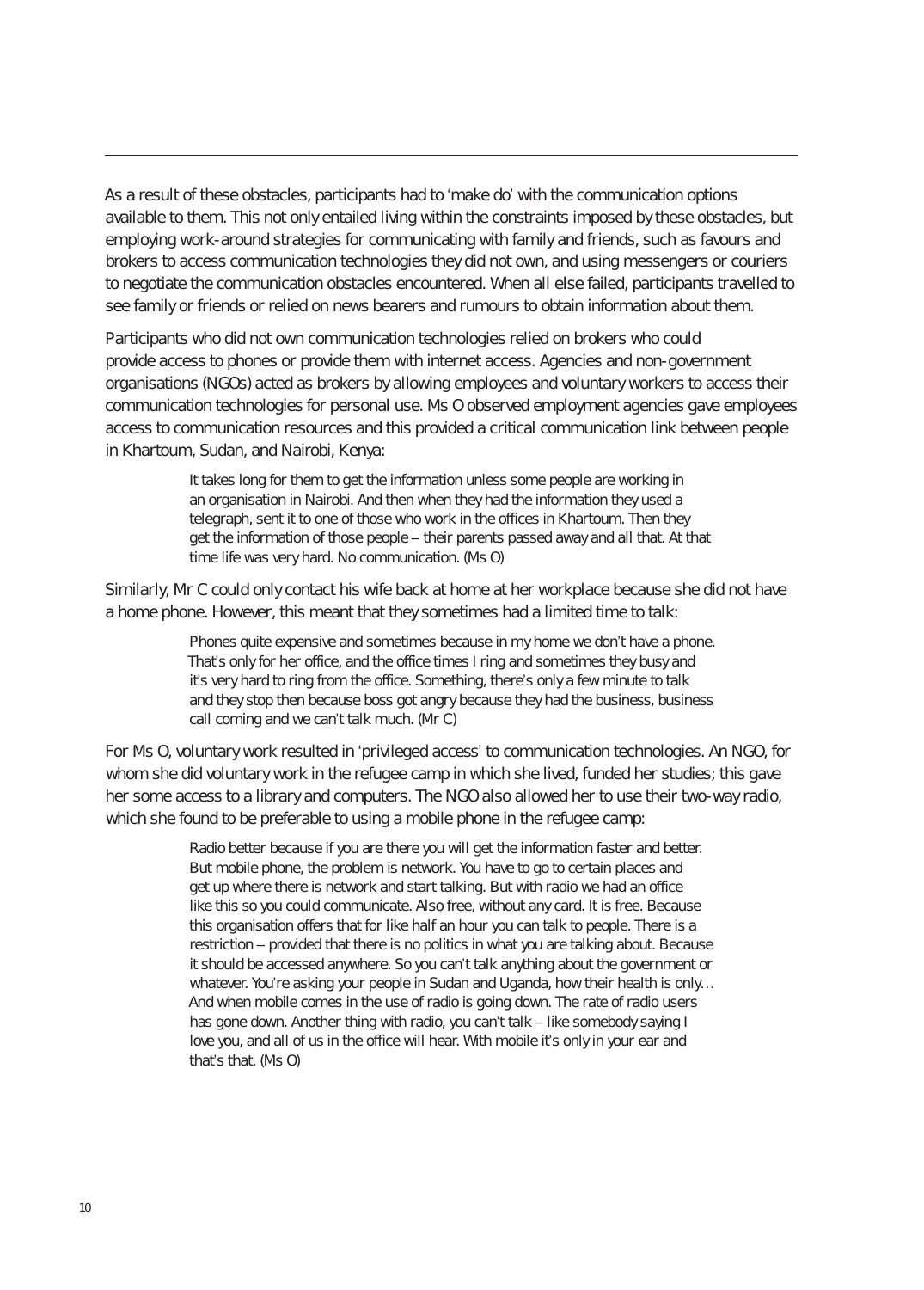As a result of these obstacles, participants had to 'make do' with the communication options available to them. This not only entailed living within the constraints imposed by these obstacles, but employing work-around strategies for communicating with family and friends, such as favours and brokers to access communication technologies they did not own, and using messengers or couriers to negotiate the communication obstacles encountered. When all else failed, participants travelled to see family or friends or relied on news bearers and rumours to obtain information about them.

Participants who did not own communication technologies relied on brokers who could provide access to phones or provide them with internet access. Agencies and non-government organisations (NGOs) acted as brokers by allowing employees and voluntary workers to access their communication technologies for personal use. Ms O observed employment agencies gave employees access to communication resources and this provided a critical communication link between people in Khartoum, Sudan, and Nairobi, Kenya:

> It takes long for them to get the information unless some people are working in an organisation in Nairobi. And then when they had the information they used a telegraph, sent it to one of those who work in the offices in Khartoum. Then they get the information of those people – their parents passed away and all that. At that time life was very hard. No communication. (Ms O)

Similarly, Mr C could only contact his wife back at home at her workplace because she did not have a home phone. However, this meant that they sometimes had a limited time to talk:

> Phones quite expensive and sometimes because in my home we don't have a phone. That's only for her office, and the office times I ring and sometimes they busy and it's very hard to ring from the office. Something, there's only a few minute to talk and they stop then because boss got angry because they had the business, business call coming and we can't talk much. (Mr C)

For Ms O, voluntary work resulted in 'privileged access' to communication technologies. An NGO, for whom she did voluntary work in the refugee camp in which she lived, funded her studies; this gave her some access to a library and computers. The NGO also allowed her to use their two-way radio, which she found to be preferable to using a mobile phone in the refugee camp:

> Radio better because if you are there you will get the information faster and better. But mobile phone, the problem is network. You have to go to certain places and get up where there is network and start talking. But with radio we had an office like this so you could communicate. Also free, without any card. It is free. Because this organisation offers that for like half an hour you can talk to people. There is a restriction – provided that there is no politics in what you are talking about. Because it should be accessed anywhere. So you can't talk anything about the government or whatever. You're asking your people in Sudan and Uganda, how their health is only... And when mobile comes in the use of radio is going down. The rate of radio users has gone down. Another thing with radio, you can't talk – like somebody saying I love you, and all of us in the office will hear. With mobile it's only in your ear and that's that. (Ms O)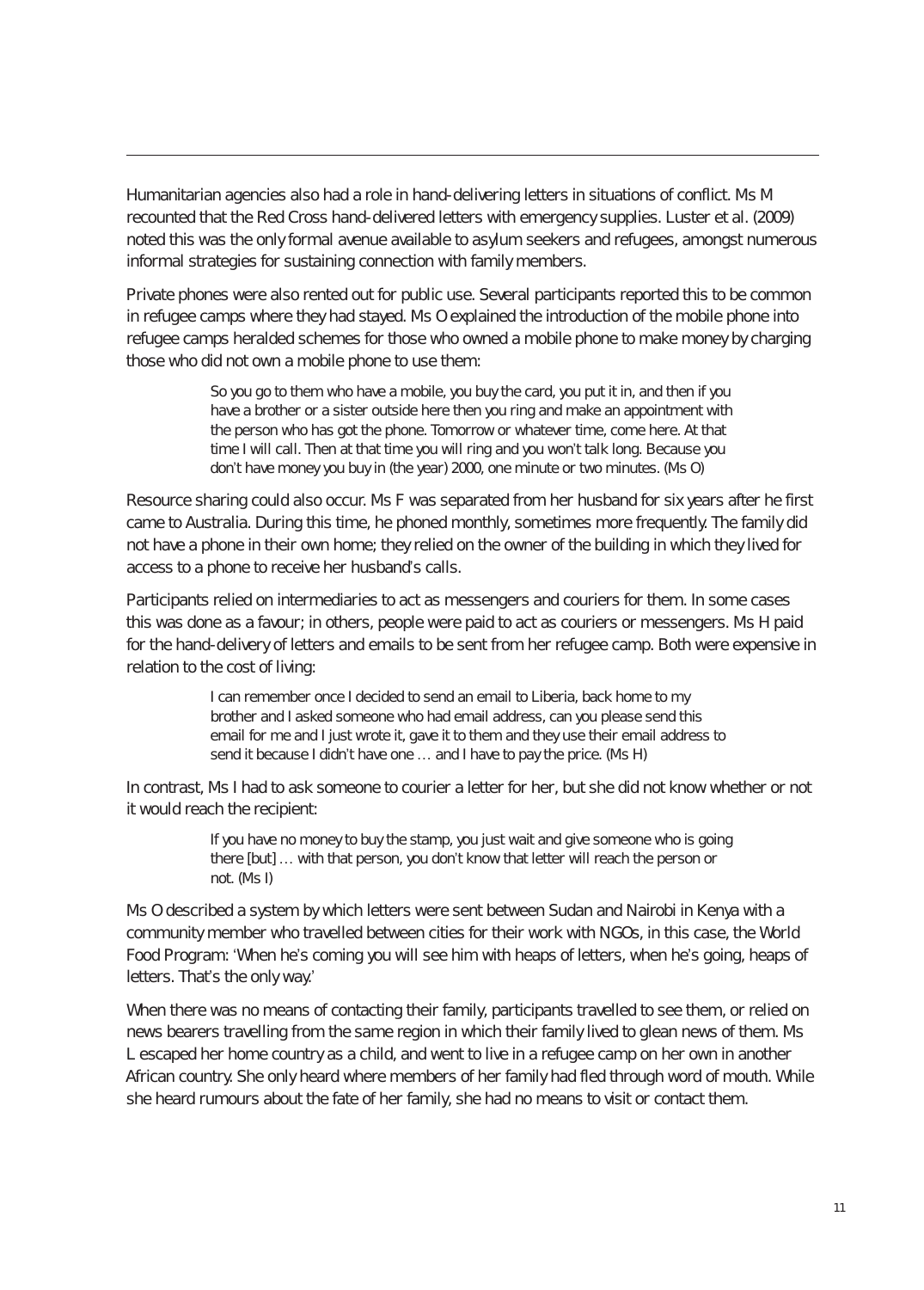Humanitarian agencies also had a role in hand-delivering letters in situations of conflict. Ms M recounted that the Red Cross hand-delivered letters with emergency supplies. Luster et al. (2009) noted this was the only formal avenue available to asylum seekers and refugees, amongst numerous informal strategies for sustaining connection with family members.

Private phones were also rented out for public use. Several participants reported this to be common in refugee camps where they had stayed. Ms O explained the introduction of the mobile phone into refugee camps heralded schemes for those who owned a mobile phone to make money by charging those who did not own a mobile phone to use them:

> So you go to them who have a mobile, you buy the card, you put it in, and then if you have a brother or a sister outside here then you ring and make an appointment with the person who has got the phone. Tomorrow or whatever time, come here. At that time I will call. Then at that time you will ring and you won't talk long. Because you don't have money you buy in (the year) 2000, one minute or two minutes. (Ms O)

Resource sharing could also occur. Ms F was separated from her husband for six years after he first came to Australia. During this time, he phoned monthly, sometimes more frequently. The family did not have a phone in their own home; they relied on the owner of the building in which they lived for access to a phone to receive her husband's calls.

Participants relied on intermediaries to act as messengers and couriers for them. In some cases this was done as a favour; in others, people were paid to act as couriers or messengers. Ms H paid for the hand-delivery of letters and emails to be sent from her refugee camp. Both were expensive in relation to the cost of living:

> I can remember once I decided to send an email to Liberia, back home to my brother and I asked someone who had email address, can you please send this email for me and I just wrote it, gave it to them and they use their email address to send it because I didn't have one … and I have to pay the price. (Ms H)

In contrast, Ms I had to ask someone to courier a letter for her, but she did not know whether or not it would reach the recipient:

> If you have no money to buy the stamp, you just wait and give someone who is going there [but] … with that person, you don't know that letter will reach the person or not. (Ms I)

Ms O described a system by which letters were sent between Sudan and Nairobi in Kenya with a community member who travelled between cities for their work with NGOs, in this case, the World Food Program: 'When he's coming you will see him with heaps of letters, when he's going, heaps of letters. That's the only way.'

When there was no means of contacting their family, participants travelled to see them, or relied on news bearers travelling from the same region in which their family lived to glean news of them. Ms L escaped her home country as a child, and went to live in a refugee camp on her own in another African country. She only heard where members of her family had fled through word of mouth. While she heard rumours about the fate of her family, she had no means to visit or contact them.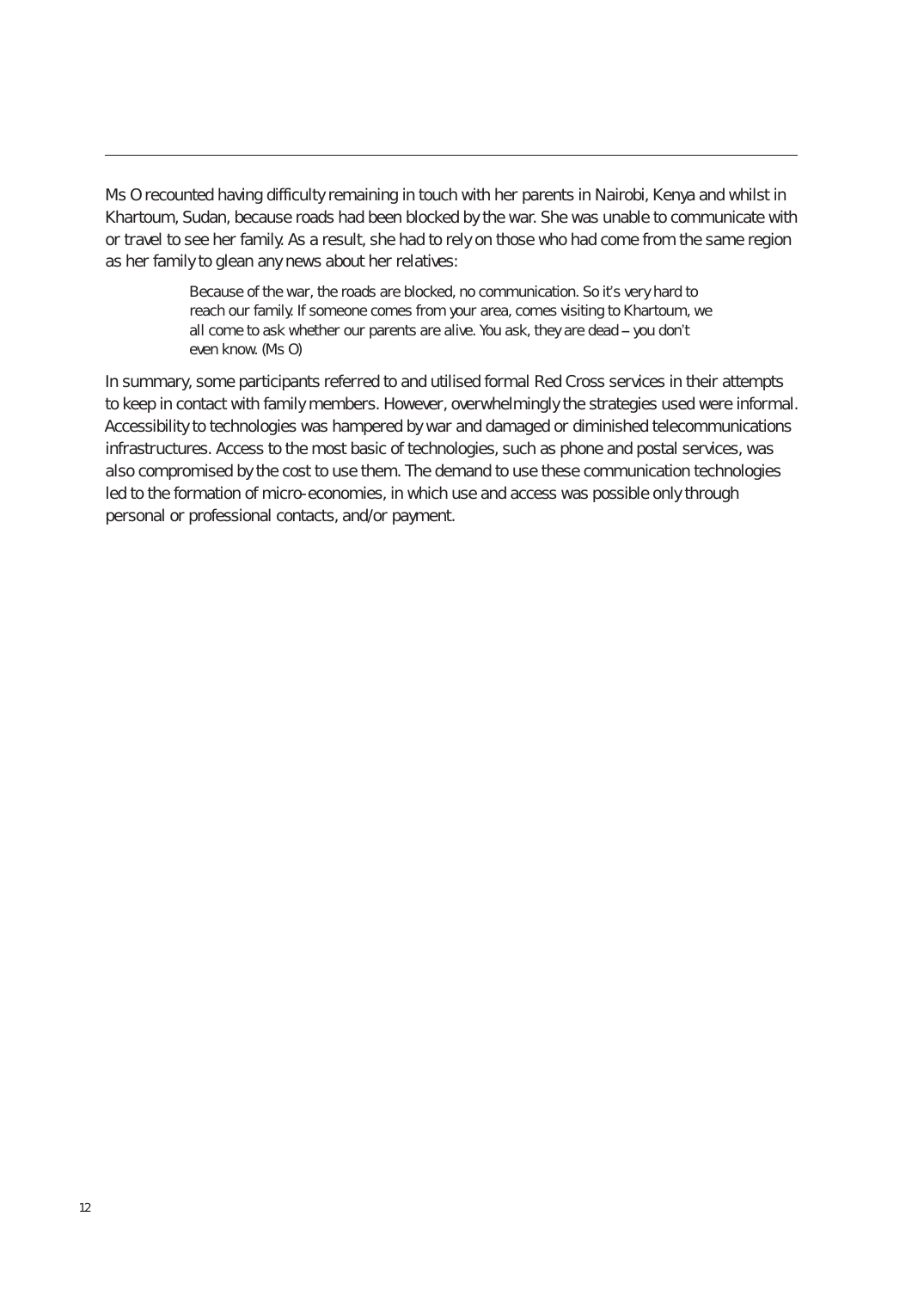Ms O recounted having difficulty remaining in touch with her parents in Nairobi, Kenya and whilst in Khartoum, Sudan, because roads had been blocked by the war. She was unable to communicate with or travel to see her family. As a result, she had to rely on those who had come from the same region as her family to glean any news about her relatives:

> Because of the war, the roads are blocked, no communication. So it's very hard to reach our family. If someone comes from your area, comes visiting to Khartoum, we all come to ask whether our parents are alive. You ask, they are dead **–** you don't even know. (Ms O)

In summary, some participants referred to and utilised formal Red Cross services in their attempts to keep in contact with family members. However, overwhelmingly the strategies used were informal. Accessibility to technologies was hampered by war and damaged or diminished telecommunications infrastructures. Access to the most basic of technologies, such as phone and postal services, was also compromised by the cost to use them. The demand to use these communication technologies led to the formation of micro-economies, in which use and access was possible only through personal or professional contacts, and/or payment.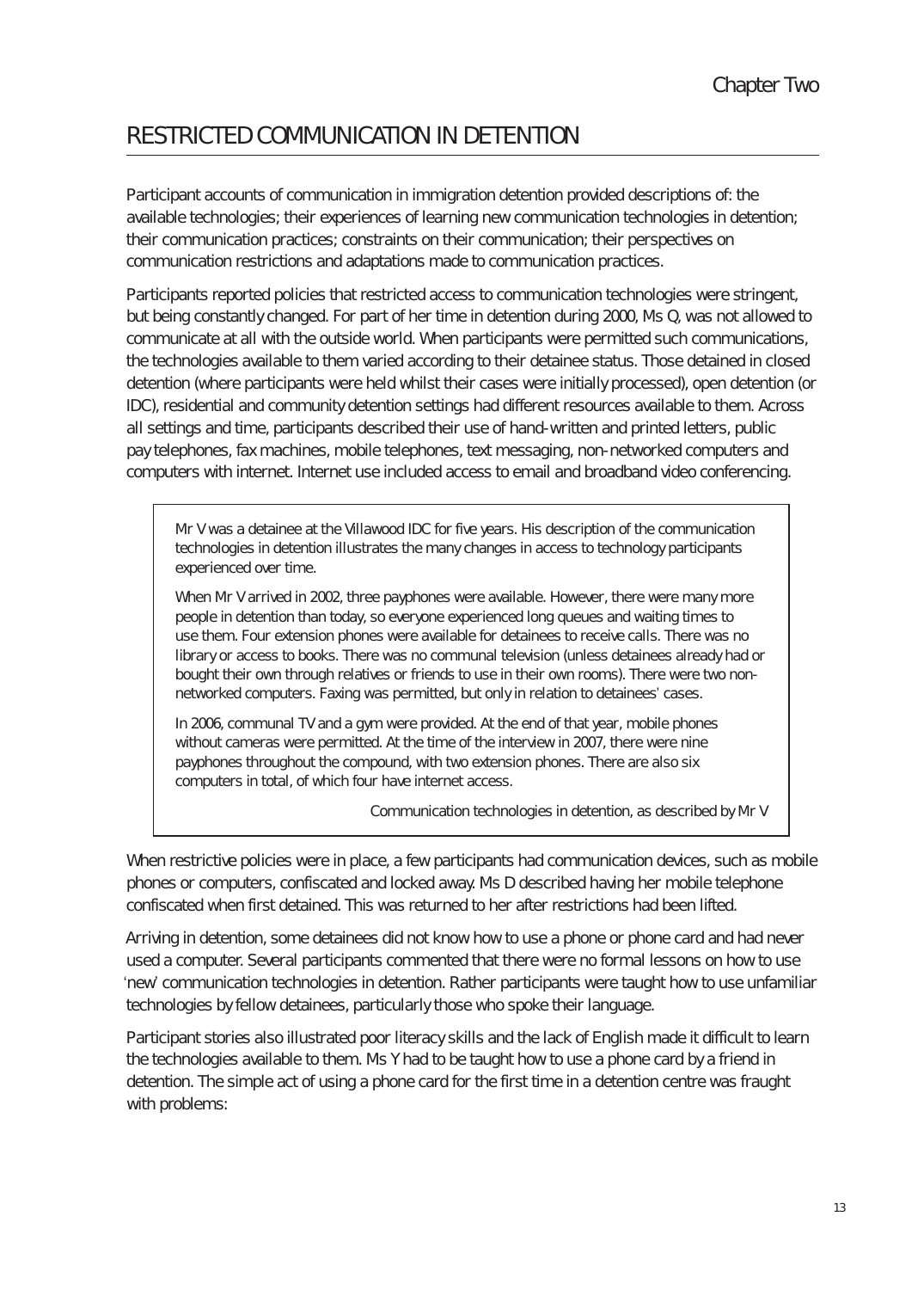# RestRIcteD cOmmunIcAtIOn In DetentIOn

Participant accounts of communication in immigration detention provided descriptions of: the available technologies; their experiences of learning new communication technologies in detention; their communication practices; constraints on their communication; their perspectives on communication restrictions and adaptations made to communication practices.

Participants reported policies that restricted access to communication technologies were stringent, but being constantly changed. For part of her time in detention during 2000, Ms Q, was not allowed to communicate at all with the outside world. When participants were permitted such communications, the technologies available to them varied according to their detainee status. Those detained in closed detention (where participants were held whilst their cases were initially processed), open detention (or IDC), residential and community detention settings had different resources available to them. Across all settings and time, participants described their use of hand-written and printed letters, public pay telephones, fax machines, mobile telephones, text messaging, non-networked computers and computers with internet. Internet use included access to email and broadband video conferencing.

Mr V was a detainee at the Villawood IDC for five years. His description of the communication technologies in detention illustrates the many changes in access to technology participants experienced over time.

When Mr V arrived in 2002, three payphones were available. However, there were many more people in detention than today, so everyone experienced long queues and waiting times to use them. Four extension phones were available for detainees to receive calls. There was no library or access to books. There was no communal television (unless detainees already had or bought their own through relatives or friends to use in their own rooms). There were two nonnetworked computers. Faxing was permitted, but only in relation to detainees' cases.

In 2006, communal TV and a gym were provided. At the end of that year, mobile phones without cameras were permitted. At the time of the interview in 2007, there were nine payphones throughout the compound, with two extension phones. There are also six computers in total, of which four have internet access.

Communication technologies in detention, as described by Mr V

When restrictive policies were in place, a few participants had communication devices, such as mobile phones or computers, confiscated and locked away. Ms D described having her mobile telephone confiscated when first detained. This was returned to her after restrictions had been lifted.

Arriving in detention, some detainees did not know how to use a phone or phone card and had never used a computer. Several participants commented that there were no formal lessons on how to use 'new' communication technologies in detention. Rather participants were taught how to use unfamiliar technologies by fellow detainees, particularly those who spoke their language.

Participant stories also illustrated poor literacy skills and the lack of English made it difficult to learn the technologies available to them. Ms Y had to be taught how to use a phone card by a friend in detention. The simple act of using a phone card for the first time in a detention centre was fraught with problems: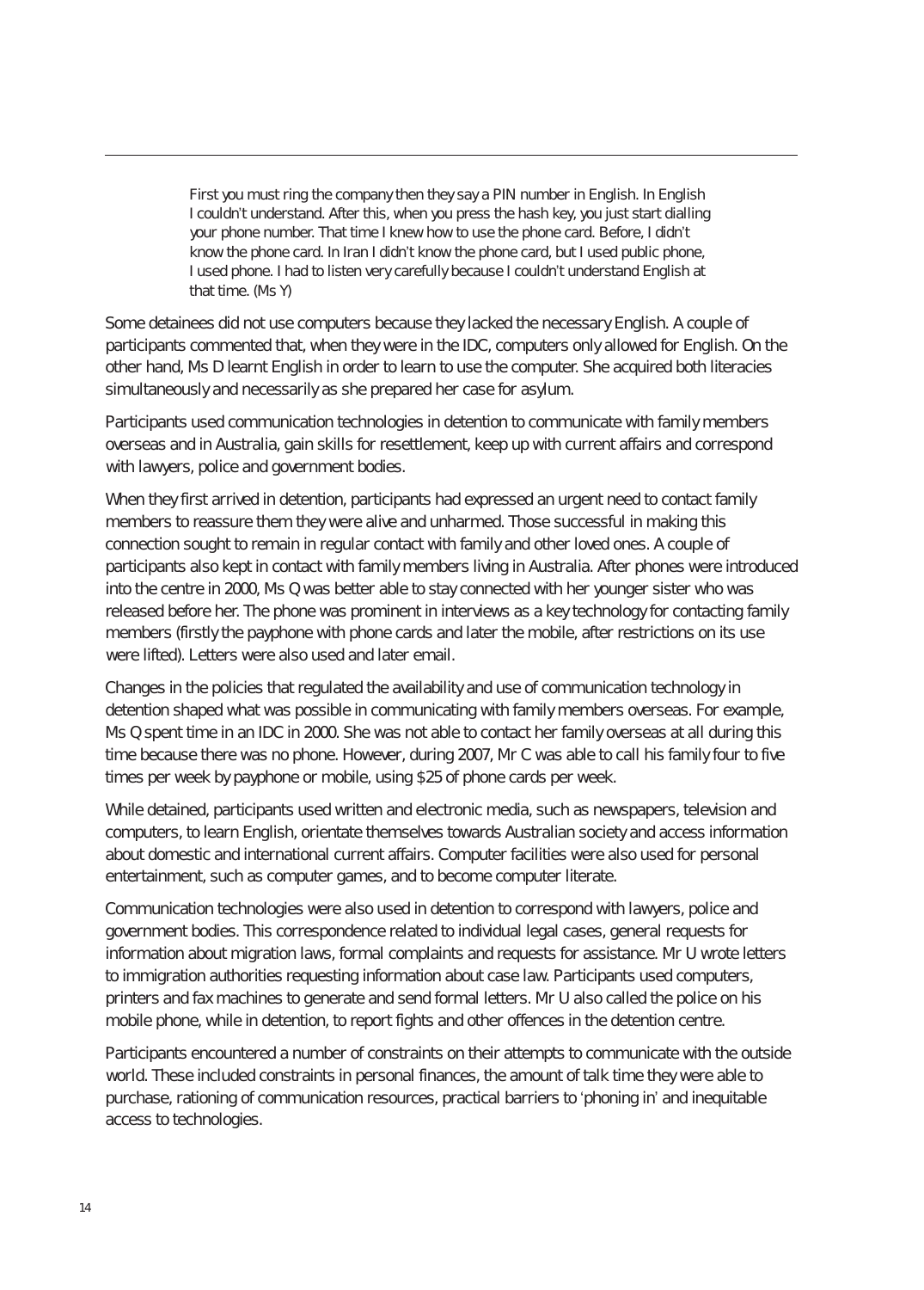First you must ring the company then they say a PIN number in English. In English I couldn't understand. After this, when you press the hash key, you just start dialling your phone number. That time I knew how to use the phone card. Before, I didn't know the phone card. In Iran I didn't know the phone card, but I used public phone, I used phone. I had to listen very carefully because I couldn't understand English at that time. (Ms Y)

Some detainees did not use computers because they lacked the necessary English. A couple of participants commented that, when they were in the IDC, computers only allowed for English. On the other hand, Ms D learnt English in order to learn to use the computer. She acquired both literacies simultaneously and necessarily as she prepared her case for asylum.

Participants used communication technologies in detention to communicate with family members overseas and in Australia, gain skills for resettlement, keep up with current affairs and correspond with lawyers, police and government bodies.

When they first arrived in detention, participants had expressed an urgent need to contact family members to reassure them they were alive and unharmed. Those successful in making this connection sought to remain in regular contact with family and other loved ones. A couple of participants also kept in contact with family members living in Australia. After phones were introduced into the centre in 2000, Ms Q was better able to stay connected with her younger sister who was released before her. The phone was prominent in interviews as a key technology for contacting family members (firstly the payphone with phone cards and later the mobile, after restrictions on its use were lifted). Letters were also used and later email.

Changes in the policies that regulated the availability and use of communication technology in detention shaped what was possible in communicating with family members overseas. For example, Ms Q spent time in an IDC in 2000. She was not able to contact her family overseas at all during this time because there was no phone. However, during 2007, Mr C was able to call his family four to five times per week by payphone or mobile, using \$25 of phone cards per week.

While detained, participants used written and electronic media, such as newspapers, television and computers, to learn English, orientate themselves towards Australian society and access information about domestic and international current affairs. Computer facilities were also used for personal entertainment, such as computer games, and to become computer literate.

Communication technologies were also used in detention to correspond with lawyers, police and government bodies. This correspondence related to individual legal cases, general requests for information about migration laws, formal complaints and requests for assistance. Mr U wrote letters to immigration authorities requesting information about case law. Participants used computers, printers and fax machines to generate and send formal letters. Mr U also called the police on his mobile phone, while in detention, to report fights and other offences in the detention centre.

Participants encountered a number of constraints on their attempts to communicate with the outside world. These included constraints in personal finances, the amount of talk time they were able to purchase, rationing of communication resources, practical barriers to 'phoning in' and inequitable access to technologies.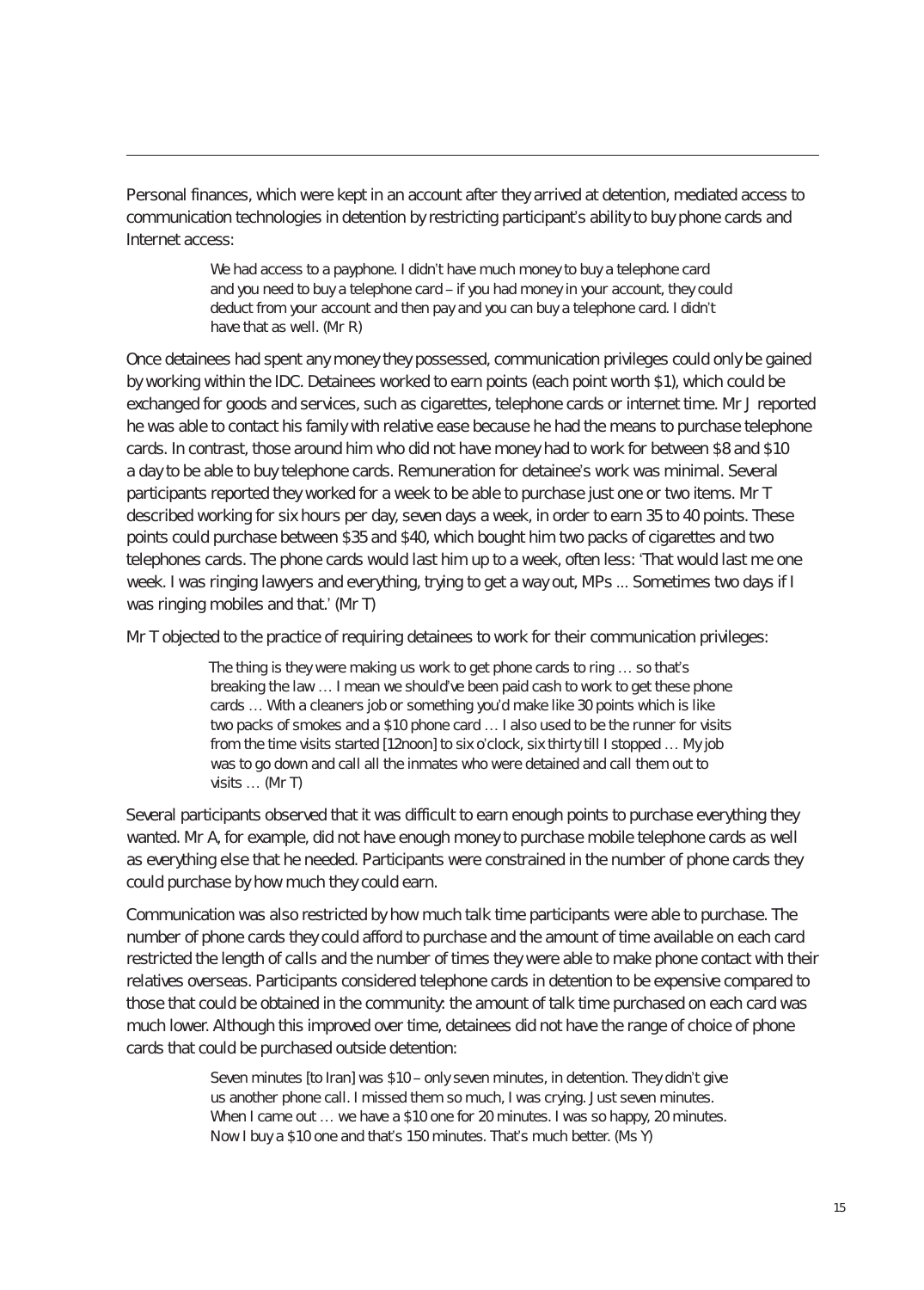Personal finances, which were kept in an account after they arrived at detention, mediated access to communication technologies in detention by restricting participant's ability to buy phone cards and Internet access:

> We had access to a payphone. I didn't have much money to buy a telephone card and you need to buy a telephone card – if you had money in your account, they could deduct from your account and then pay and you can buy a telephone card. I didn't have that as well. (Mr R)

Once detainees had spent any money they possessed, communication privileges could only be gained by working within the IDC. Detainees worked to earn points (each point worth \$1), which could be exchanged for goods and services, such as cigarettes, telephone cards or internet time. Mr J reported he was able to contact his family with relative ease because he had the means to purchase telephone cards. In contrast, those around him who did not have money had to work for between \$8 and \$10 a day to be able to buy telephone cards. Remuneration for detainee's work was minimal. Several participants reported they worked for a week to be able to purchase just one or two items. Mr T described working for six hours per day, seven days a week, in order to earn 35 to 40 points. These points could purchase between \$35 and \$40, which bought him two packs of cigarettes and two telephones cards. The phone cards would last him up to a week, often less: 'That would last me one week. I was ringing lawyers and everything, trying to get a way out, MPs ... Sometimes two days if I was ringing mobiles and that.' (Mr T)

Mr T objected to the practice of requiring detainees to work for their communication privileges:

The thing is they were making us work to get phone cards to ring … so that's breaking the law … I mean we should've been paid cash to work to get these phone cards … With a cleaners job or something you'd make like 30 points which is like two packs of smokes and a \$10 phone card … I also used to be the runner for visits from the time visits started [12noon] to six o'clock, six thirty till I stopped … My job was to go down and call all the inmates who were detained and call them out to visits … (Mr T)

Several participants observed that it was difficult to earn enough points to purchase everything they wanted. Mr A, for example, did not have enough money to purchase mobile telephone cards as well as everything else that he needed. Participants were constrained in the number of phone cards they could purchase by how much they could earn.

Communication was also restricted by how much talk time participants were able to purchase. The number of phone cards they could afford to purchase and the amount of time available on each card restricted the length of calls and the number of times they were able to make phone contact with their relatives overseas. Participants considered telephone cards in detention to be expensive compared to those that could be obtained in the community: the amount of talk time purchased on each card was much lower. Although this improved over time, detainees did not have the range of choice of phone cards that could be purchased outside detention:

> Seven minutes [to Iran] was \$10 – only seven minutes, in detention. They didn't give us another phone call. I missed them so much, I was crying. Just seven minutes. When I came out ... we have a \$10 one for 20 minutes. I was so happy, 20 minutes. Now I buy a \$10 one and that's 150 minutes. That's much better. (Ms Y)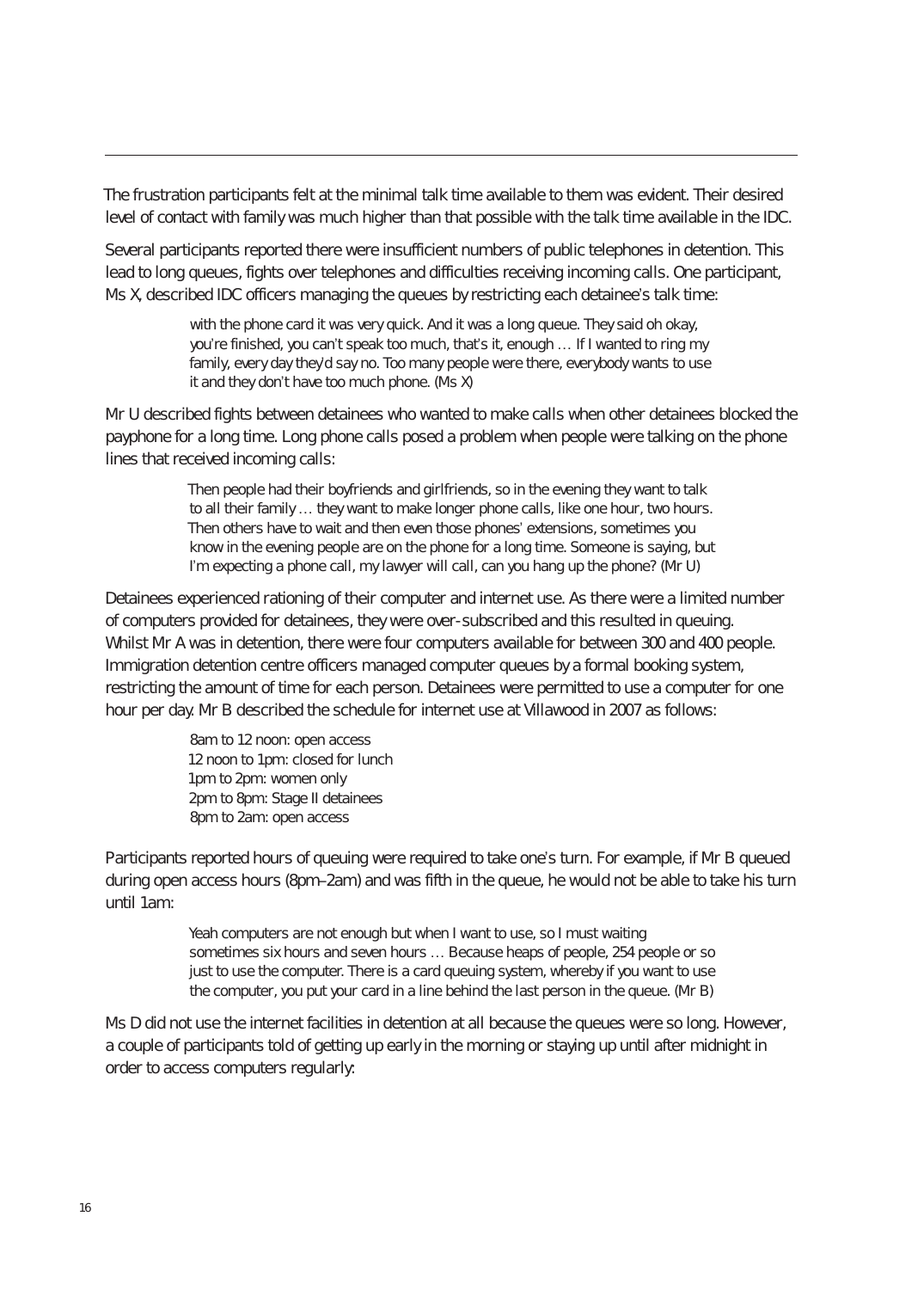The frustration participants felt at the minimal talk time available to them was evident. Their desired level of contact with family was much higher than that possible with the talk time available in the IDC.

Several participants reported there were insufficient numbers of public telephones in detention. This lead to long queues, fights over telephones and difficulties receiving incoming calls. One participant, Ms X, described IDC officers managing the queues by restricting each detainee's talk time:

> with the phone card it was very quick. And it was a long queue. They said oh okay, you're finished, you can't speak too much, that's it, enough … If I wanted to ring my family, every day they'd say no. Too many people were there, everybody wants to use it and they don't have too much phone. (Ms X)

Mr U described fights between detainees who wanted to make calls when other detainees blocked the payphone for a long time. Long phone calls posed a problem when people were talking on the phone lines that received incoming calls:

> Then people had their boyfriends and girlfriends, so in the evening they want to talk to all their family … they want to make longer phone calls, like one hour, two hours. Then others have to wait and then even those phones' extensions, sometimes you know in the evening people are on the phone for a long time. Someone is saying, but I'm expecting a phone call, my lawyer will call, can you hang up the phone? (Mr U)

Detainees experienced rationing of their computer and internet use. As there were a limited number of computers provided for detainees, they were over-subscribed and this resulted in queuing. Whilst Mr A was in detention, there were four computers available for between 300 and 400 people. Immigration detention centre officers managed computer queues by a formal booking system, restricting the amount of time for each person. Detainees were permitted to use a computer for one hour per day. Mr B described the schedule for internet use at Villawood in 2007 as follows:

> 8am to 12 noon: open access 12 noon to 1pm: closed for lunch 1pm to 2pm: women only 2pm to 8pm: Stage II detainees 8pm to 2am: open access

Participants reported hours of queuing were required to take one's turn. For example, if Mr B queued during open access hours (8pm–2am) and was fifth in the queue, he would not be able to take his turn until 1am:

> Yeah computers are not enough but when I want to use, so I must waiting sometimes six hours and seven hours … Because heaps of people, 254 people or so just to use the computer. There is a card queuing system, whereby if you want to use the computer, you put your card in a line behind the last person in the queue. (Mr B)

Ms D did not use the internet facilities in detention at all because the queues were so long. However, a couple of participants told of getting up early in the morning or staying up until after midnight in order to access computers regularly: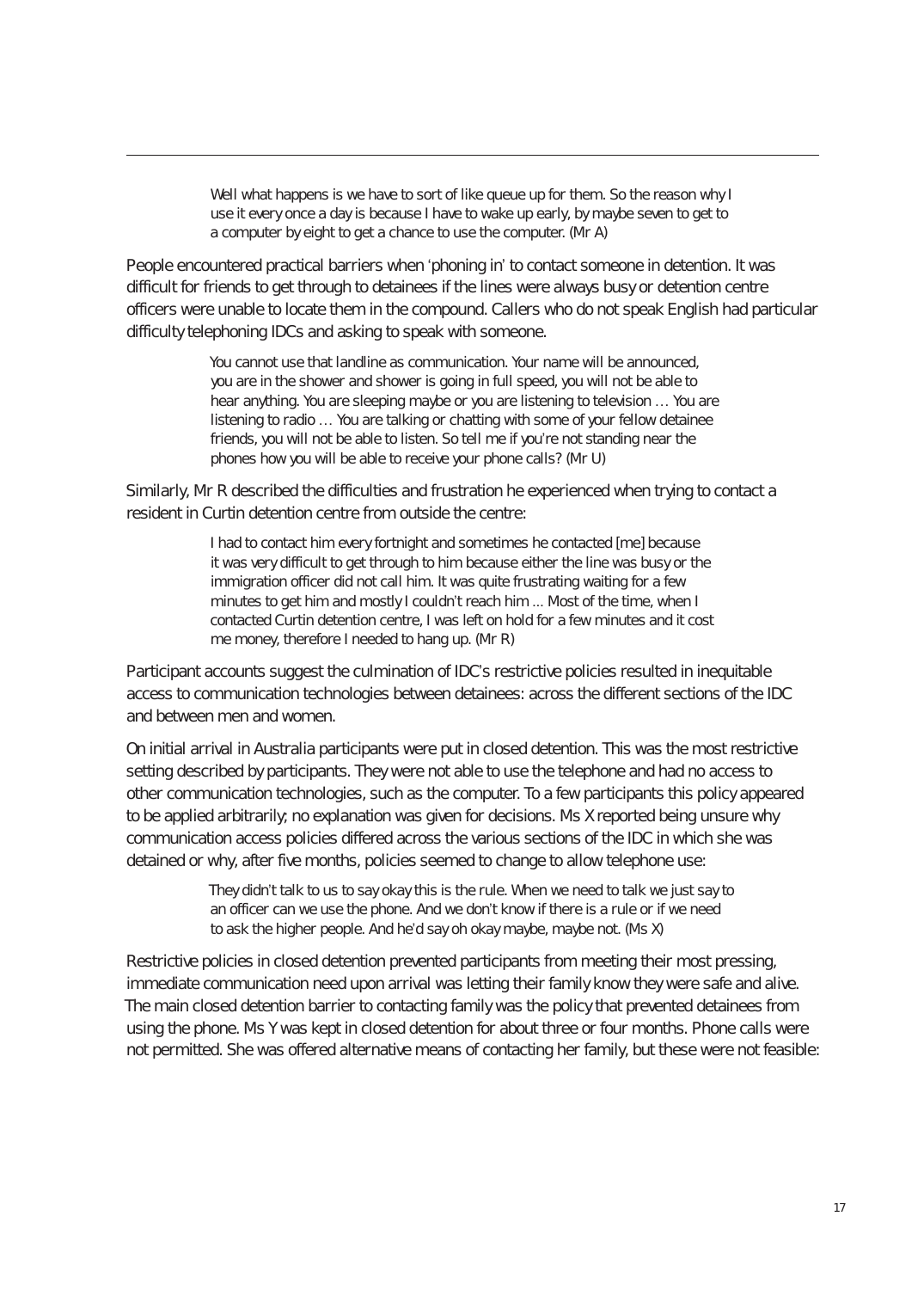Well what happens is we have to sort of like queue up for them. So the reason why I use it every once a day is because I have to wake up early, by maybe seven to get to a computer by eight to get a chance to use the computer. (Mr A)

People encountered practical barriers when 'phoning in' to contact someone in detention. It was difficult for friends to get through to detainees if the lines were always busy or detention centre officers were unable to locate them in the compound. Callers who do not speak English had particular difficulty telephoning IDCs and asking to speak with someone.

> You cannot use that landline as communication. Your name will be announced, you are in the shower and shower is going in full speed, you will not be able to hear anything. You are sleeping maybe or you are listening to television … You are listening to radio … You are talking or chatting with some of your fellow detainee friends, you will not be able to listen. So tell me if you're not standing near the phones how you will be able to receive your phone calls? (Mr U)

Similarly, Mr R described the difficulties and frustration he experienced when trying to contact a resident in Curtin detention centre from outside the centre:

> I had to contact him every fortnight and sometimes he contacted [me] because it was very difficult to get through to him because either the line was busy or the immigration officer did not call him. It was quite frustrating waiting for a few minutes to get him and mostly I couldn't reach him ... Most of the time, when I contacted Curtin detention centre, I was left on hold for a few minutes and it cost me money, therefore I needed to hang up. (Mr R)

Participant accounts suggest the culmination of IDC's restrictive policies resulted in inequitable access to communication technologies between detainees: across the different sections of the IDC and between men and women.

On initial arrival in Australia participants were put in closed detention. This was the most restrictive setting described by participants. They were not able to use the telephone and had no access to other communication technologies, such as the computer. To a few participants this policy appeared to be applied arbitrarily; no explanation was given for decisions. Ms X reported being unsure why communication access policies differed across the various sections of the IDC in which she was detained or why, after five months, policies seemed to change to allow telephone use:

> They didn't talk to us to say okay this is the rule. When we need to talk we just say to an officer can we use the phone. And we don't know if there is a rule or if we need to ask the higher people. And he'd say oh okay maybe, maybe not. (Ms X)

Restrictive policies in closed detention prevented participants from meeting their most pressing, immediate communication need upon arrival was letting their family know they were safe and alive. The main closed detention barrier to contacting family was the policy that prevented detainees from using the phone. Ms Y was kept in closed detention for about three or four months. Phone calls were not permitted. She was offered alternative means of contacting her family, but these were not feasible: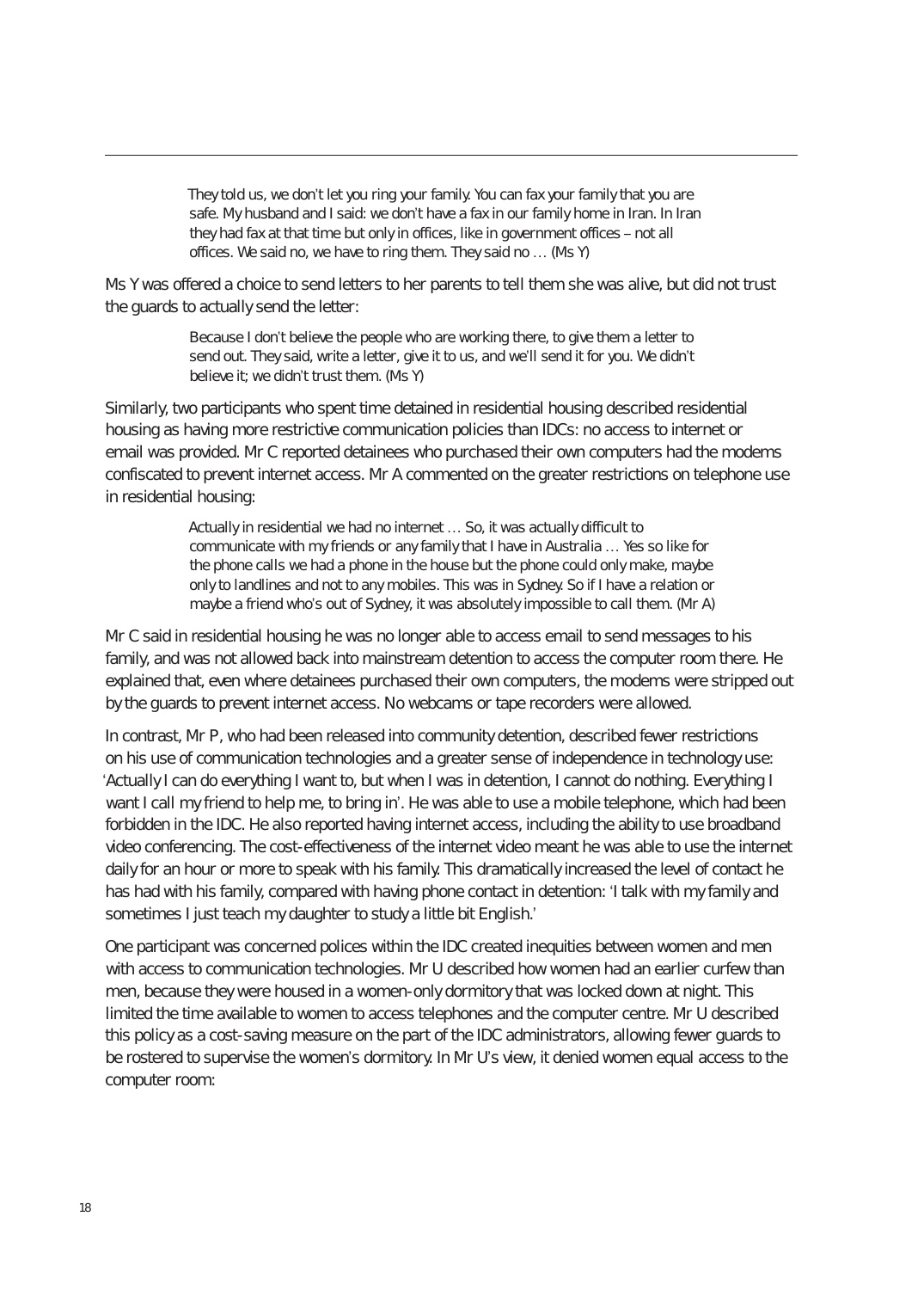They told us, we don't let you ring your family. You can fax your family that you are safe. My husband and I said: we don't have a fax in our family home in Iran. In Iran they had fax at that time but only in offices, like in government offices – not all offices. We said no, we have to ring them. They said no … (Ms Y)

Ms Y was offered a choice to send letters to her parents to tell them she was alive, but did not trust the guards to actually send the letter:

> Because I don't believe the people who are working there, to give them a letter to send out. They said, write a letter, give it to us, and we'll send it for you. We didn't believe it; we didn't trust them. (Ms Y)

Similarly, two participants who spent time detained in residential housing described residential housing as having more restrictive communication policies than IDCs: no access to internet or email was provided. Mr C reported detainees who purchased their own computers had the modems confiscated to prevent internet access. Mr A commented on the greater restrictions on telephone use in residential housing:

> Actually in residential we had no internet … So, it was actually difficult to communicate with my friends or any family that I have in Australia … Yes so like for the phone calls we had a phone in the house but the phone could only make, maybe only to landlines and not to any mobiles. This was in Sydney. So if I have a relation or maybe a friend who's out of Sydney, it was absolutely impossible to call them. (Mr A)

Mr C said in residential housing he was no longer able to access email to send messages to his family, and was not allowed back into mainstream detention to access the computer room there. He explained that, even where detainees purchased their own computers, the modems were stripped out by the guards to prevent internet access. No webcams or tape recorders were allowed.

In contrast, Mr P, who had been released into community detention, described fewer restrictions on his use of communication technologies and a greater sense of independence in technology use: 'Actually I can do everything I want to, but when I was in detention, I cannot do nothing. Everything I want I call my friend to help me, to bring in'. He was able to use a mobile telephone, which had been forbidden in the IDC. He also reported having internet access, including the ability to use broadband video conferencing. The cost-effectiveness of the internet video meant he was able to use the internet daily for an hour or more to speak with his family. This dramatically increased the level of contact he has had with his family, compared with having phone contact in detention: 'I talk with my family and sometimes I just teach my daughter to study a little bit English.'

One participant was concerned polices within the IDC created inequities between women and men with access to communication technologies. Mr U described how women had an earlier curfew than men, because they were housed in a women-only dormitory that was locked down at night. This limited the time available to women to access telephones and the computer centre. Mr U described this policy as a cost-saving measure on the part of the IDC administrators, allowing fewer guards to be rostered to supervise the women's dormitory. In Mr U's view, it denied women equal access to the computer room: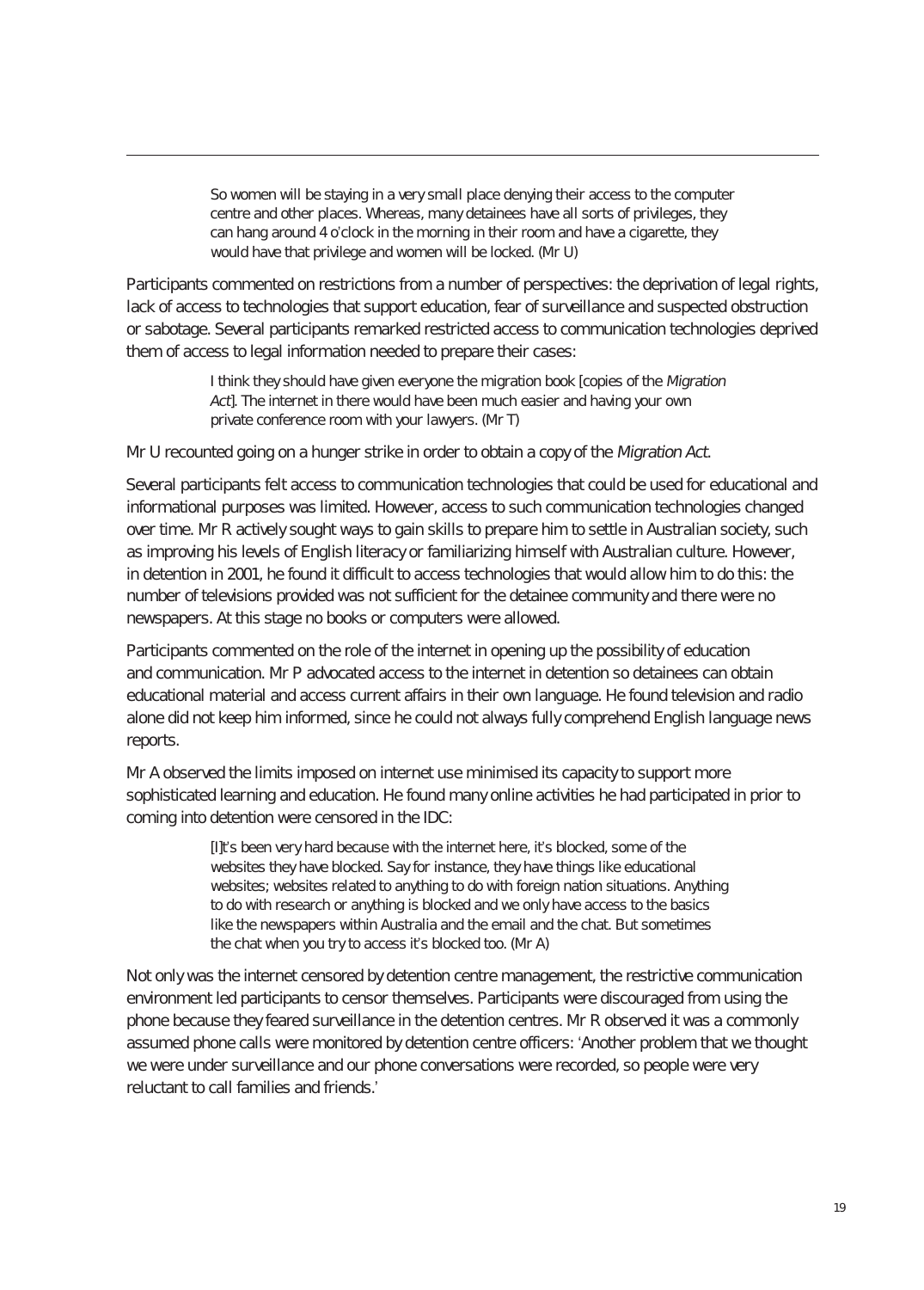So women will be staying in a very small place denying their access to the computer centre and other places. Whereas, many detainees have all sorts of privileges, they can hang around 4 o'clock in the morning in their room and have a cigarette, they would have that privilege and women will be locked. (Mr U)

Participants commented on restrictions from a number of perspectives: the deprivation of legal rights, lack of access to technologies that support education, fear of surveillance and suspected obstruction or sabotage. Several participants remarked restricted access to communication technologies deprived them of access to legal information needed to prepare their cases:

> I think they should have given everyone the migration book [copies of the Migration Act]. The internet in there would have been much easier and having your own private conference room with your lawyers. (Mr T)

Mr U recounted going on a hunger strike in order to obtain a copy of the Migration Act.

Several participants felt access to communication technologies that could be used for educational and informational purposes was limited. However, access to such communication technologies changed over time. Mr R actively sought ways to gain skills to prepare him to settle in Australian society, such as improving his levels of English literacy or familiarizing himself with Australian culture. However, in detention in 2001, he found it difficult to access technologies that would allow him to do this: the number of televisions provided was not sufficient for the detainee community and there were no newspapers. At this stage no books or computers were allowed.

Participants commented on the role of the internet in opening up the possibility of education and communication. Mr P advocated access to the internet in detention so detainees can obtain educational material and access current affairs in their own language. He found television and radio alone did not keep him informed, since he could not always fully comprehend English language news reports.

Mr A observed the limits imposed on internet use minimised its capacity to support more sophisticated learning and education. He found many online activities he had participated in prior to coming into detention were censored in the IDC:

> [I]t's been very hard because with the internet here, it's blocked, some of the websites they have blocked. Say for instance, they have things like educational websites; websites related to anything to do with foreign nation situations. Anything to do with research or anything is blocked and we only have access to the basics like the newspapers within Australia and the email and the chat. But sometimes the chat when you try to access it's blocked too. (Mr A)

Not only was the internet censored by detention centre management, the restrictive communication environment led participants to censor themselves. Participants were discouraged from using the phone because they feared surveillance in the detention centres. Mr R observed it was a commonly assumed phone calls were monitored by detention centre officers: 'Another problem that we thought we were under surveillance and our phone conversations were recorded, so people were very reluctant to call families and friends.'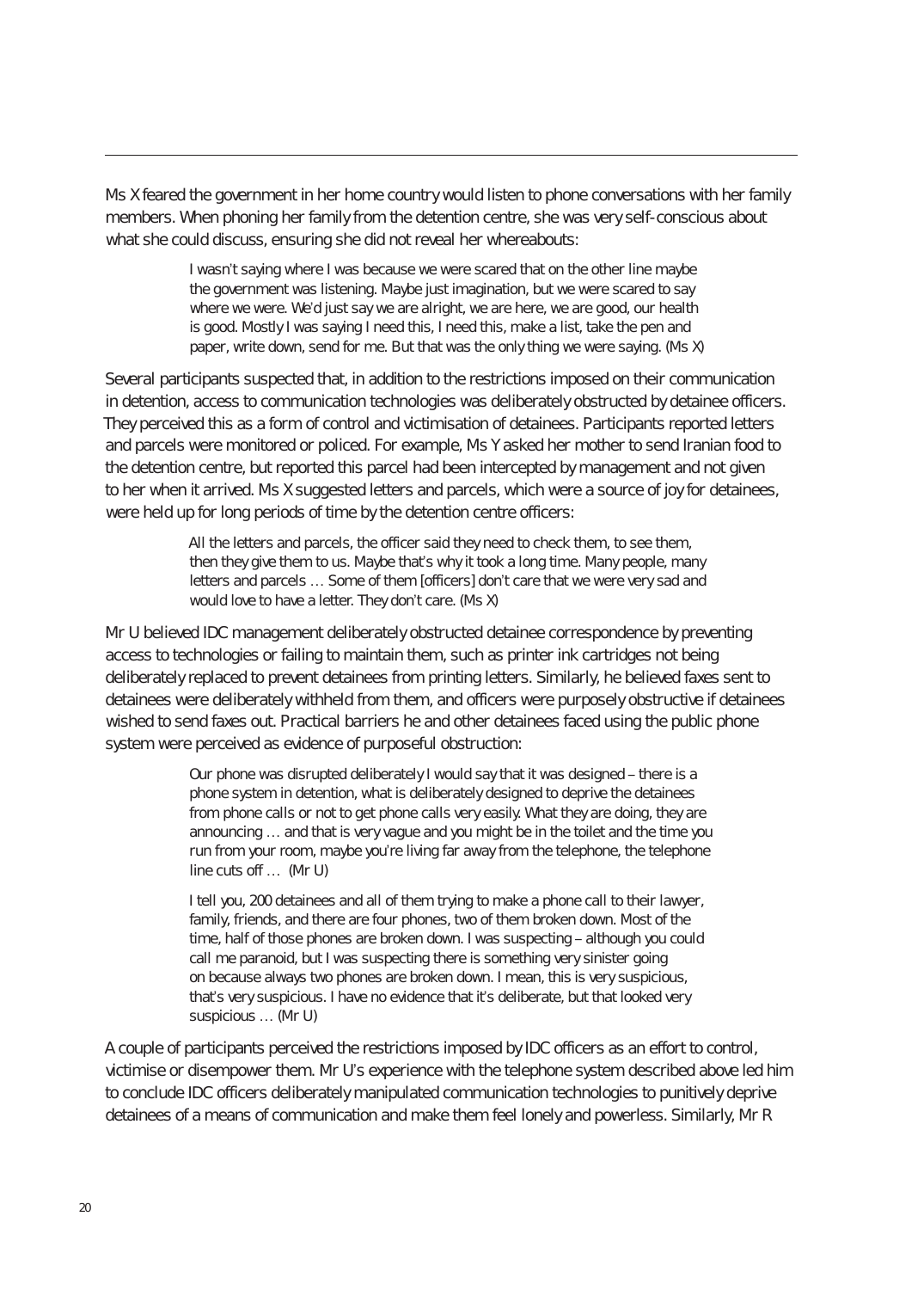Ms X feared the government in her home country would listen to phone conversations with her family members. When phoning her family from the detention centre, she was very self-conscious about what she could discuss, ensuring she did not reveal her whereabouts:

> I wasn't saying where I was because we were scared that on the other line maybe the government was listening. Maybe just imagination, but we were scared to say where we were. We'd just say we are alright, we are here, we are good, our health is good. Mostly I was saying I need this, I need this, make a list, take the pen and paper, write down, send for me. But that was the only thing we were saying. (Ms X)

Several participants suspected that, in addition to the restrictions imposed on their communication in detention, access to communication technologies was deliberately obstructed by detainee officers. They perceived this as a form of control and victimisation of detainees. Participants reported letters and parcels were monitored or policed. For example, Ms Y asked her mother to send Iranian food to the detention centre, but reported this parcel had been intercepted by management and not given to her when it arrived. Ms X suggested letters and parcels, which were a source of joy for detainees, were held up for long periods of time by the detention centre officers:

> All the letters and parcels, the officer said they need to check them, to see them, then they give them to us. Maybe that's why it took a long time. Many people, many letters and parcels … Some of them [officers] don't care that we were very sad and would love to have a letter. They don't care. (Ms X)

Mr U believed IDC management deliberately obstructed detainee correspondence by preventing access to technologies or failing to maintain them, such as printer ink cartridges not being deliberately replaced to prevent detainees from printing letters. Similarly, he believed faxes sent to detainees were deliberately withheld from them, and officers were purposely obstructive if detainees wished to send faxes out. Practical barriers he and other detainees faced using the public phone system were perceived as evidence of purposeful obstruction:

> Our phone was disrupted deliberately I would say that it was designed – there is a phone system in detention, what is deliberately designed to deprive the detainees from phone calls or not to get phone calls very easily. What they are doing, they are announcing … and that is very vague and you might be in the toilet and the time you run from your room, maybe you're living far away from the telephone, the telephone line cuts off … (Mr U)

I tell you, 200 detainees and all of them trying to make a phone call to their lawyer, family, friends, and there are four phones, two of them broken down. Most of the time, half of those phones are broken down. I was suspecting – although you could call me paranoid, but I was suspecting there is something very sinister going on because always two phones are broken down. I mean, this is very suspicious, that's very suspicious. I have no evidence that it's deliberate, but that looked very suspicious … (Mr U)

A couple of participants perceived the restrictions imposed by IDC officers as an effort to control, victimise or disempower them. Mr U's experience with the telephone system described above led him to conclude IDC officers deliberately manipulated communication technologies to punitively deprive detainees of a means of communication and make them feel lonely and powerless. Similarly, Mr R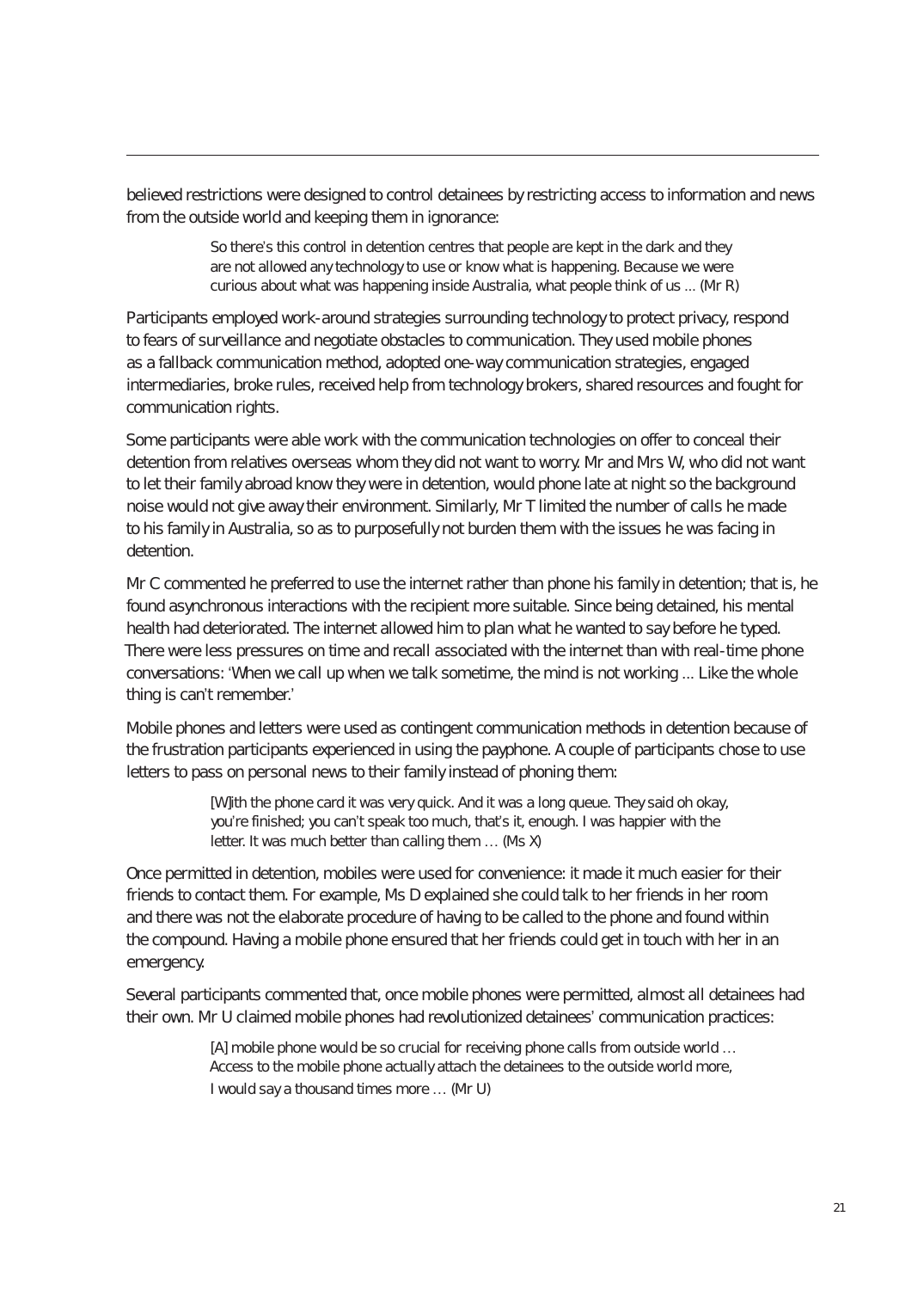believed restrictions were designed to control detainees by restricting access to information and news from the outside world and keeping them in ignorance:

> So there's this control in detention centres that people are kept in the dark and they are not allowed any technology to use or know what is happening. Because we were curious about what was happening inside Australia, what people think of us ... (Mr R)

Participants employed work-around strategies surrounding technology to protect privacy, respond to fears of surveillance and negotiate obstacles to communication. They used mobile phones as a fallback communication method, adopted one-way communication strategies, engaged intermediaries, broke rules, received help from technology brokers, shared resources and fought for communication rights.

Some participants were able work with the communication technologies on offer to conceal their detention from relatives overseas whom they did not want to worry. Mr and Mrs W, who did not want to let their family abroad know they were in detention, would phone late at night so the background noise would not give away their environment. Similarly, Mr T limited the number of calls he made to his family in Australia, so as to purposefully not burden them with the issues he was facing in detention.

Mr C commented he preferred to use the internet rather than phone his family in detention; that is, he found asynchronous interactions with the recipient more suitable. Since being detained, his mental health had deteriorated. The internet allowed him to plan what he wanted to say before he typed. There were less pressures on time and recall associated with the internet than with real-time phone conversations: 'When we call up when we talk sometime, the mind is not working ... Like the whole thing is can't remember.'

Mobile phones and letters were used as contingent communication methods in detention because of the frustration participants experienced in using the payphone. A couple of participants chose to use letters to pass on personal news to their family instead of phoning them:

> [W]ith the phone card it was very quick. And it was a long queue. They said oh okay, you're finished; you can't speak too much, that's it, enough. I was happier with the letter. It was much better than calling them … (Ms X)

Once permitted in detention, mobiles were used for convenience: it made it much easier for their friends to contact them. For example, Ms D explained she could talk to her friends in her room and there was not the elaborate procedure of having to be called to the phone and found within the compound. Having a mobile phone ensured that her friends could get in touch with her in an emergency.

Several participants commented that, once mobile phones were permitted, almost all detainees had their own. Mr U claimed mobile phones had revolutionized detainees' communication practices:

> [A] mobile phone would be so crucial for receiving phone calls from outside world ... Access to the mobile phone actually attach the detainees to the outside world more, I would say a thousand times more … (Mr U)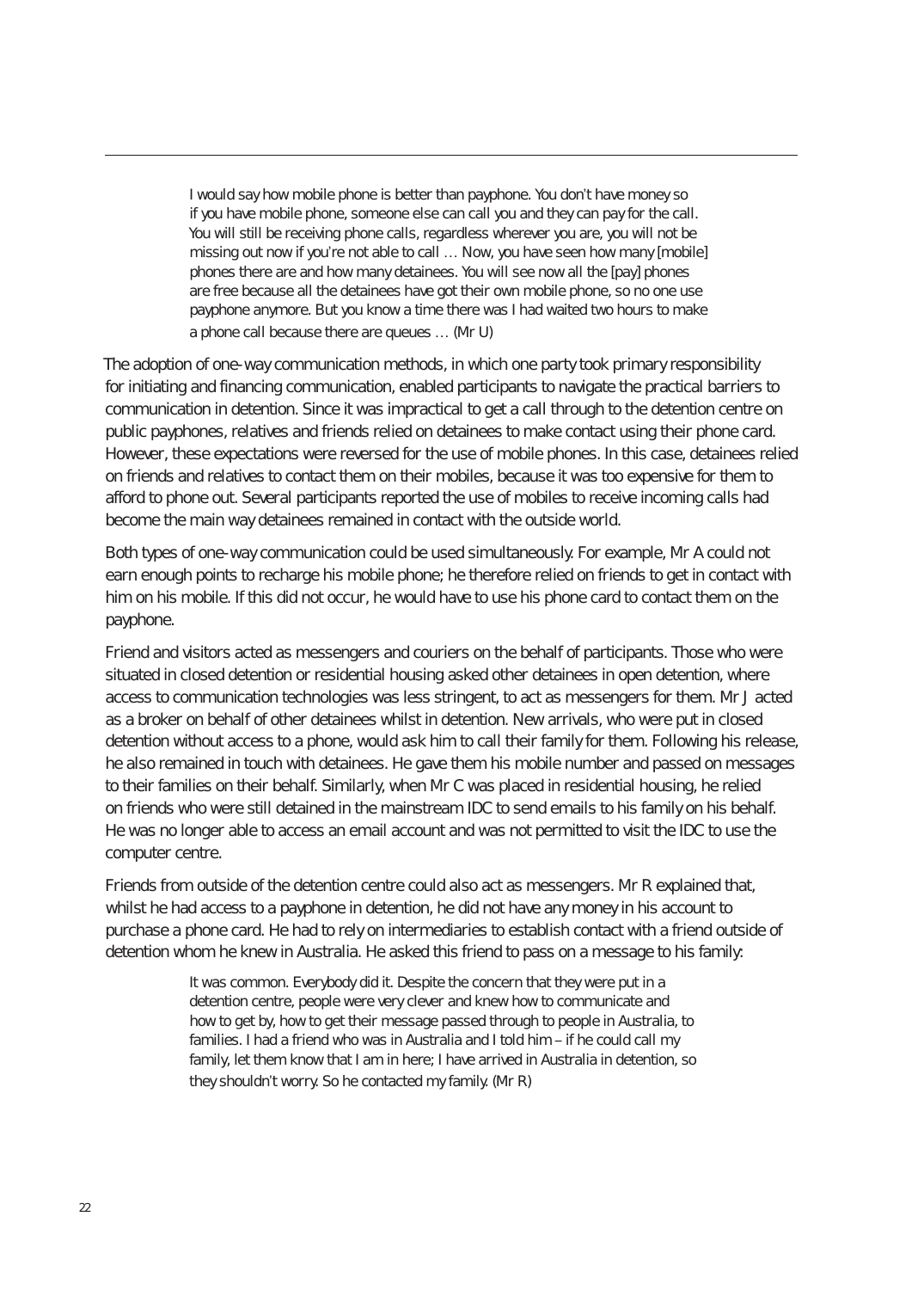I would say how mobile phone is better than payphone. You don't have money so if you have mobile phone, someone else can call you and they can pay for the call. You will still be receiving phone calls, regardless wherever you are, you will not be missing out now if you're not able to call … Now, you have seen how many [mobile] phones there are and how many detainees. You will see now all the [pay] phones are free because all the detainees have got their own mobile phone, so no one use payphone anymore. But you know a time there was I had waited two hours to make a phone call because there are queues … (Mr U)

The adoption of one-way communication methods, in which one party took primary responsibility for initiating and financing communication, enabled participants to navigate the practical barriers to communication in detention. Since it was impractical to get a call through to the detention centre on public payphones, relatives and friends relied on detainees to make contact using their phone card. However, these expectations were reversed for the use of mobile phones. In this case, detainees relied on friends and relatives to contact them on their mobiles, because it was too expensive for them to afford to phone out. Several participants reported the use of mobiles to receive incoming calls had become the main way detainees remained in contact with the outside world.

Both types of one-way communication could be used simultaneously. For example, Mr A could not earn enough points to recharge his mobile phone; he therefore relied on friends to get in contact with him on his mobile. If this did not occur, he would have to use his phone card to contact them on the payphone.

Friend and visitors acted as messengers and couriers on the behalf of participants. Those who were situated in closed detention or residential housing asked other detainees in open detention, where access to communication technologies was less stringent, to act as messengers for them. Mr J acted as a broker on behalf of other detainees whilst in detention. New arrivals, who were put in closed detention without access to a phone, would ask him to call their family for them. Following his release, he also remained in touch with detainees. He gave them his mobile number and passed on messages to their families on their behalf. Similarly, when Mr C was placed in residential housing, he relied on friends who were still detained in the mainstream IDC to send emails to his family on his behalf. He was no longer able to access an email account and was not permitted to visit the IDC to use the computer centre.

Friends from outside of the detention centre could also act as messengers. Mr R explained that, whilst he had access to a payphone in detention, he did not have any money in his account to purchase a phone card. He had to rely on intermediaries to establish contact with a friend outside of detention whom he knew in Australia. He asked this friend to pass on a message to his family:

> It was common. Everybody did it. Despite the concern that they were put in a detention centre, people were very clever and knew how to communicate and how to get by, how to get their message passed through to people in Australia, to families. I had a friend who was in Australia and I told him – if he could call my family, let them know that I am in here; I have arrived in Australia in detention, so they shouldn't worry. So he contacted my family. (Mr R)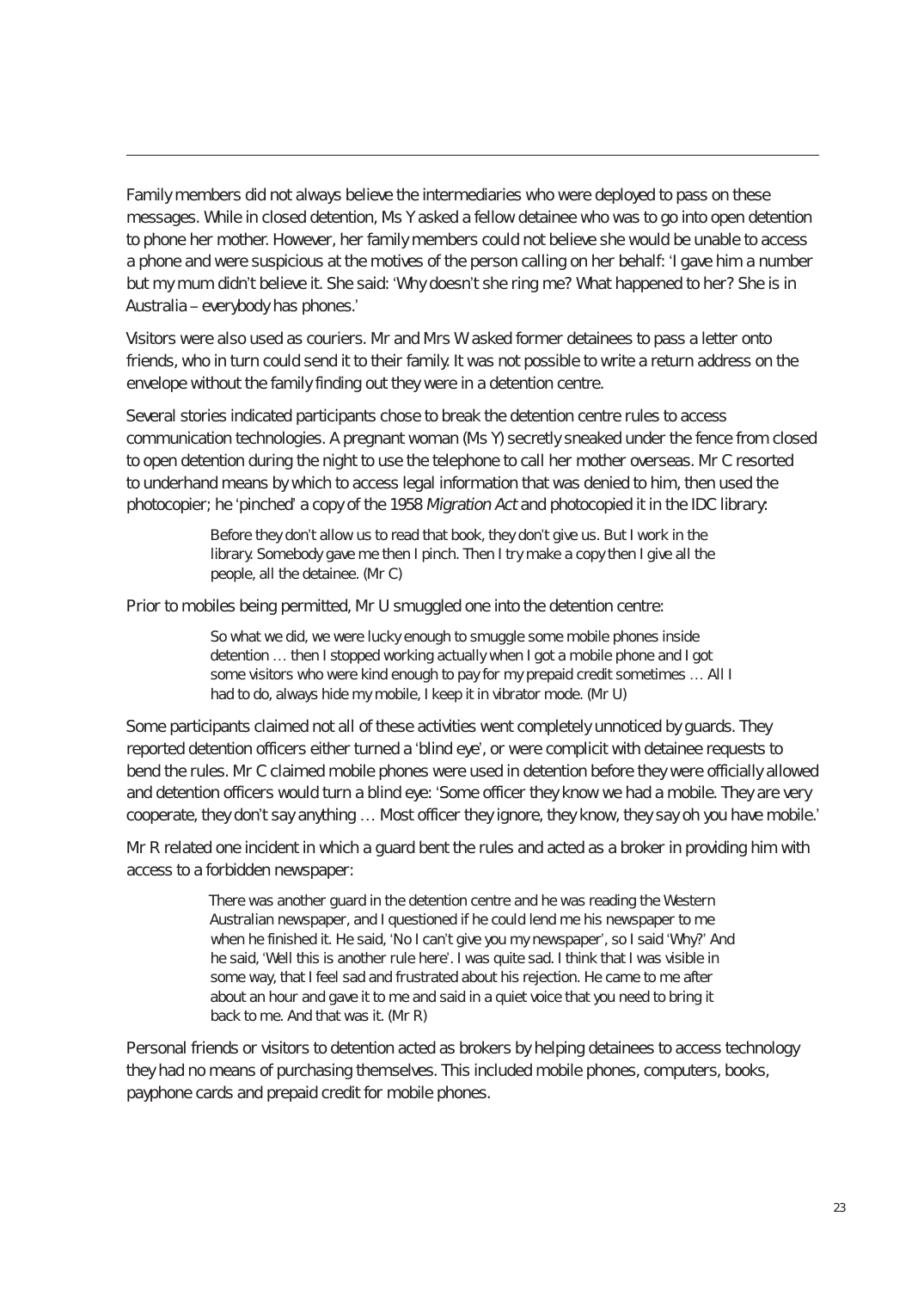Family members did not always believe the intermediaries who were deployed to pass on these messages. While in closed detention, Ms Y asked a fellow detainee who was to go into open detention to phone her mother. However, her family members could not believe she would be unable to access a phone and were suspicious at the motives of the person calling on her behalf: 'I gave him a number but my mum didn't believe it. She said: 'Why doesn't she ring me? What happened to her? She is in Australia – everybody has phones.'

Visitors were also used as couriers. Mr and Mrs W asked former detainees to pass a letter onto friends, who in turn could send it to their family. It was not possible to write a return address on the envelope without the family finding out they were in a detention centre.

Several stories indicated participants chose to break the detention centre rules to access communication technologies. A pregnant woman (Ms Y) secretly sneaked under the fence from closed to open detention during the night to use the telephone to call her mother overseas. Mr C resorted to underhand means by which to access legal information that was denied to him, then used the photocopier; he 'pinched' a copy of the 1958 Migration Act and photocopied it in the IDC library:

> Before they don't allow us to read that book, they don't give us. But I work in the library. Somebody gave me then I pinch. Then I try make a copy then I give all the people, all the detainee. (Mr C)

Prior to mobiles being permitted, Mr U smuggled one into the detention centre:

So what we did, we were lucky enough to smuggle some mobile phones inside detention … then I stopped working actually when I got a mobile phone and I got some visitors who were kind enough to pay for my prepaid credit sometimes … All I had to do, always hide my mobile, I keep it in vibrator mode. (Mr U)

Some participants claimed not all of these activities went completely unnoticed by guards. They reported detention officers either turned a 'blind eye', or were complicit with detainee requests to bend the rules. Mr C claimed mobile phones were used in detention before they were officially allowed and detention officers would turn a blind eye: 'Some officer they know we had a mobile. They are very cooperate, they don't say anything … Most officer they ignore, they know, they say oh you have mobile.'

Mr R related one incident in which a guard bent the rules and acted as a broker in providing him with access to a forbidden newspaper:

> There was another guard in the detention centre and he was reading the Western Australian newspaper, and I questioned if he could lend me his newspaper to me when he finished it. He said, 'No I can't give you my newspaper', so I said 'Why?' And he said, 'Well this is another rule here'. I was quite sad. I think that I was visible in some way, that I feel sad and frustrated about his rejection. He came to me after about an hour and gave it to me and said in a quiet voice that you need to bring it back to me. And that was it. (Mr R)

Personal friends or visitors to detention acted as brokers by helping detainees to access technology they had no means of purchasing themselves. This included mobile phones, computers, books, payphone cards and prepaid credit for mobile phones.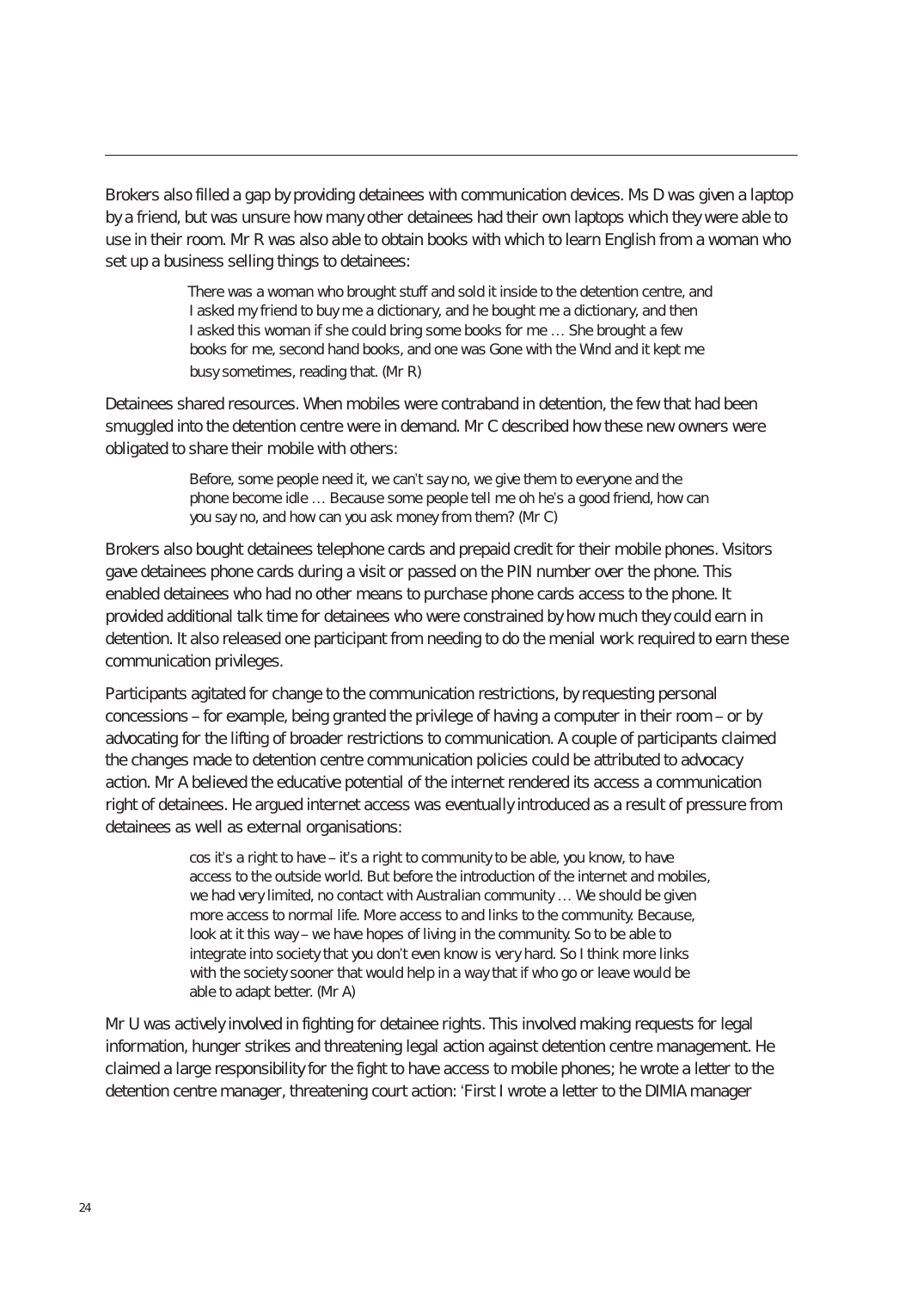Brokers also filled a gap by providing detainees with communication devices. Ms D was given a laptop by a friend, but was unsure how many other detainees had their own laptops which they were able to use in their room. Mr R was also able to obtain books with which to learn English from a woman who set up a business selling things to detainees:

> There was a woman who brought stuff and sold it inside to the detention centre, and I asked my friend to buy me a dictionary, and he bought me a dictionary, and then I asked this woman if she could bring some books for me … She brought a few books for me, second hand books, and one was Gone with the Wind and it kept me busy sometimes, reading that. (Mr R)

Detainees shared resources. When mobiles were contraband in detention, the few that had been smuggled into the detention centre were in demand. Mr C described how these new owners were obligated to share their mobile with others:

> Before, some people need it, we can't say no, we give them to everyone and the phone become idle … Because some people tell me oh he's a good friend, how can you say no, and how can you ask money from them? (Mr C)

Brokers also bought detainees telephone cards and prepaid credit for their mobile phones. Visitors gave detainees phone cards during a visit or passed on the PIN number over the phone. This enabled detainees who had no other means to purchase phone cards access to the phone. It provided additional talk time for detainees who were constrained by how much they could earn in detention. It also released one participant from needing to do the menial work required to earn these communication privileges.

Participants agitated for change to the communication restrictions, by requesting personal concessions – for example, being granted the privilege of having a computer in their room – or by advocating for the lifting of broader restrictions to communication. A couple of participants claimed the changes made to detention centre communication policies could be attributed to advocacy action. Mr A believed the educative potential of the internet rendered its access a communication right of detainees. He argued internet access was eventually introduced as a result of pressure from detainees as well as external organisations:

> cos it's a right to have – it's a right to community to be able, you know, to have access to the outside world. But before the introduction of the internet and mobiles, we had very limited, no contact with Australian community … We should be given more access to normal life. More access to and links to the community. Because, look at it this way – we have hopes of living in the community. So to be able to integrate into society that you don't even know is very hard. So I think more links with the society sooner that would help in a way that if who go or leave would be able to adapt better. (Mr A)

Mr U was actively involved in fighting for detainee rights. This involved making requests for legal information, hunger strikes and threatening legal action against detention centre management. He claimed a large responsibility for the fight to have access to mobile phones; he wrote a letter to the detention centre manager, threatening court action: 'First I wrote a letter to the DIMIA manager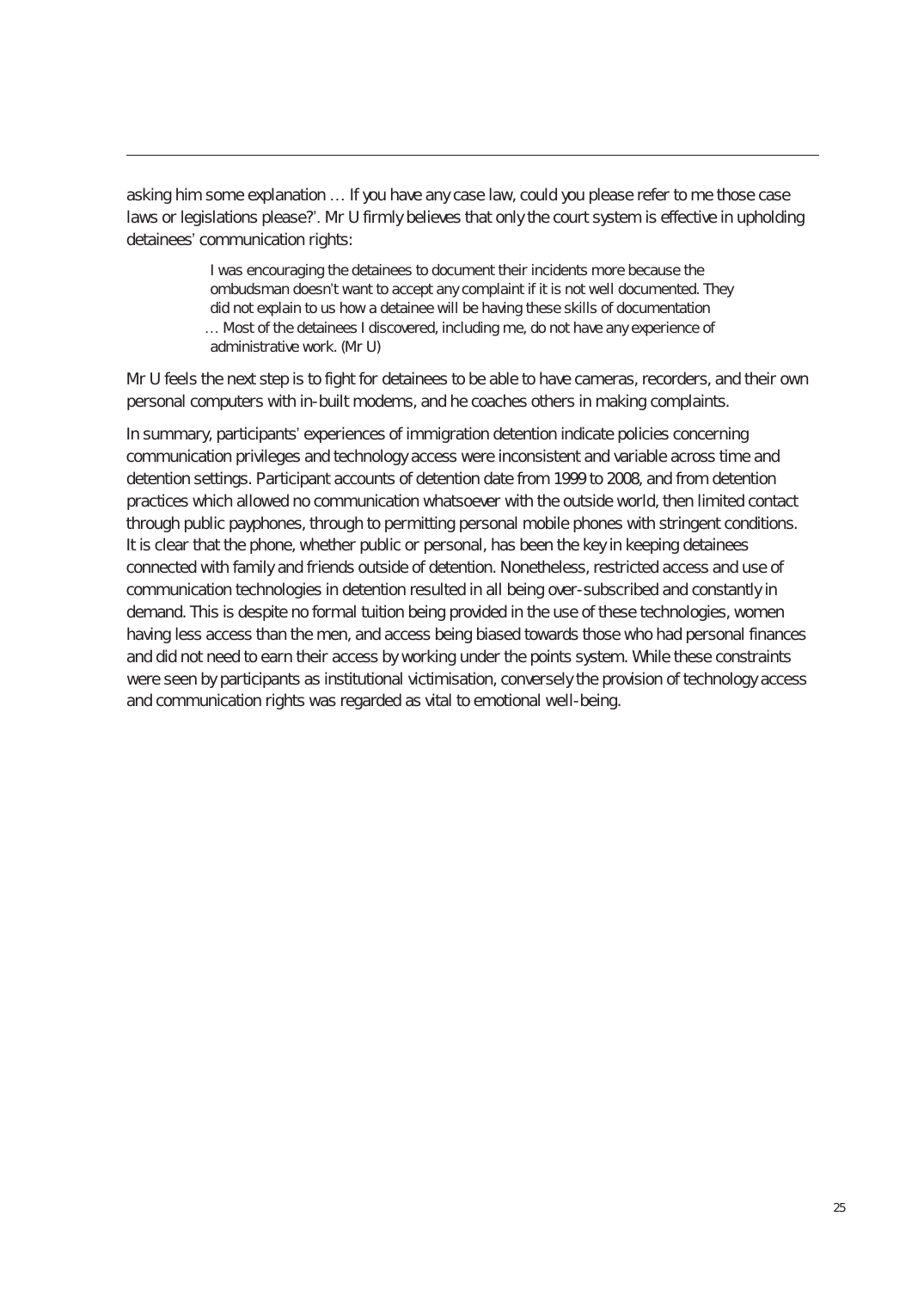asking him some explanation … If you have any case law, could you please refer to me those case laws or legislations please?'. Mr U firmly believes that only the court system is effective in upholding detainees' communication rights:

> I was encouraging the detainees to document their incidents more because the ombudsman doesn't want to accept any complaint if it is not well documented. They did not explain to us how a detainee will be having these skills of documentation … Most of the detainees I discovered, including me, do not have any experience of administrative work. (Mr U)

Mr U feels the next step is to fight for detainees to be able to have cameras, recorders, and their own personal computers with in-built modems, and he coaches others in making complaints.

In summary, participants' experiences of immigration detention indicate policies concerning communication privileges and technology access were inconsistent and variable across time and detention settings. Participant accounts of detention date from 1999 to 2008, and from detention practices which allowed no communication whatsoever with the outside world, then limited contact through public payphones, through to permitting personal mobile phones with stringent conditions. It is clear that the phone, whether public or personal, has been the key in keeping detainees connected with family and friends outside of detention. Nonetheless, restricted access and use of communication technologies in detention resulted in all being over-subscribed and constantly in demand. This is despite no formal tuition being provided in the use of these technologies, women having less access than the men, and access being biased towards those who had personal finances and did not need to earn their access by working under the points system. While these constraints were seen by participants as institutional victimisation, conversely the provision of technology access and communication rights was regarded as vital to emotional well-being.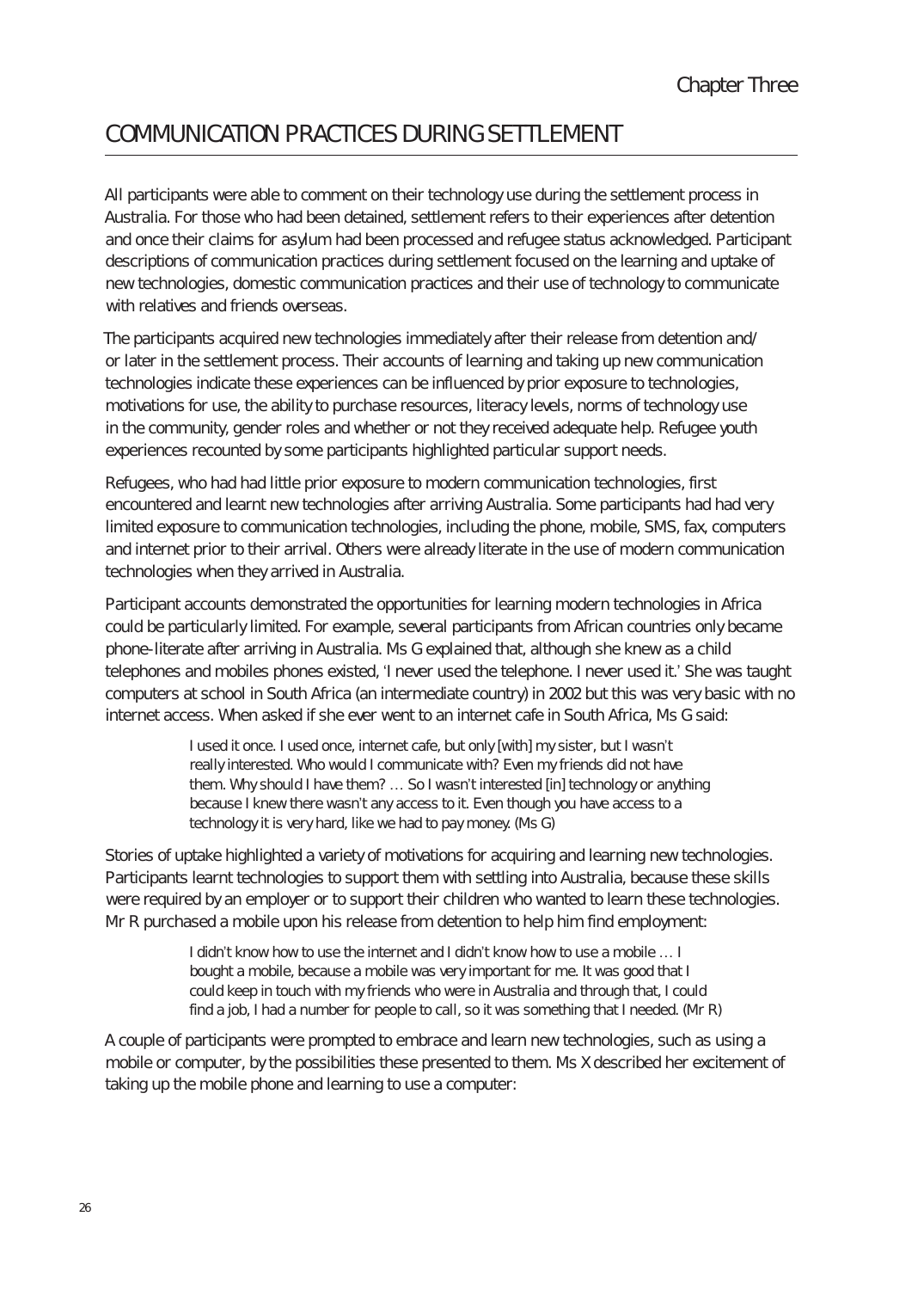# cOmmunIcAtIOn PRActIces DuRInG settlement

All participants were able to comment on their technology use during the settlement process in Australia. For those who had been detained, settlement refers to their experiences after detention and once their claims for asylum had been processed and refugee status acknowledged. Participant descriptions of communication practices during settlement focused on the learning and uptake of new technologies, domestic communication practices and their use of technology to communicate with relatives and friends overseas.

The participants acquired new technologies immediately after their release from detention and/ or later in the settlement process. Their accounts of learning and taking up new communication technologies indicate these experiences can be influenced by prior exposure to technologies, motivations for use, the ability to purchase resources, literacy levels, norms of technology use in the community, gender roles and whether or not they received adequate help. Refugee youth experiences recounted by some participants highlighted particular support needs.

Refugees, who had had little prior exposure to modern communication technologies, first encountered and learnt new technologies after arriving Australia. Some participants had had very limited exposure to communication technologies, including the phone, mobile, SMS, fax, computers and internet prior to their arrival. Others were already literate in the use of modern communication technologies when they arrived in Australia.

Participant accounts demonstrated the opportunities for learning modern technologies in Africa could be particularly limited. For example, several participants from African countries only became phone-literate after arriving in Australia. Ms G explained that, although she knew as a child telephones and mobiles phones existed, 'I never used the telephone. I never used it.' She was taught computers at school in South Africa (an intermediate country) in 2002 but this was very basic with no internet access. When asked if she ever went to an internet cafe in South Africa, Ms G said:

> I used it once. I used once, internet cafe, but only [with] my sister, but I wasn't really interested. Who would I communicate with? Even my friends did not have them. Why should I have them? … So I wasn't interested [in] technology or anything because I knew there wasn't any access to it. Even though you have access to a technology it is very hard, like we had to pay money. (Ms G)

Stories of uptake highlighted a variety of motivations for acquiring and learning new technologies. Participants learnt technologies to support them with settling into Australia, because these skills were required by an employer or to support their children who wanted to learn these technologies. Mr R purchased a mobile upon his release from detention to help him find employment:

> I didn't know how to use the internet and I didn't know how to use a mobile … I bought a mobile, because a mobile was very important for me. It was good that I could keep in touch with my friends who were in Australia and through that, I could find a job, I had a number for people to call, so it was something that I needed. (Mr R)

A couple of participants were prompted to embrace and learn new technologies, such as using a mobile or computer, by the possibilities these presented to them. Ms X described her excitement of taking up the mobile phone and learning to use a computer: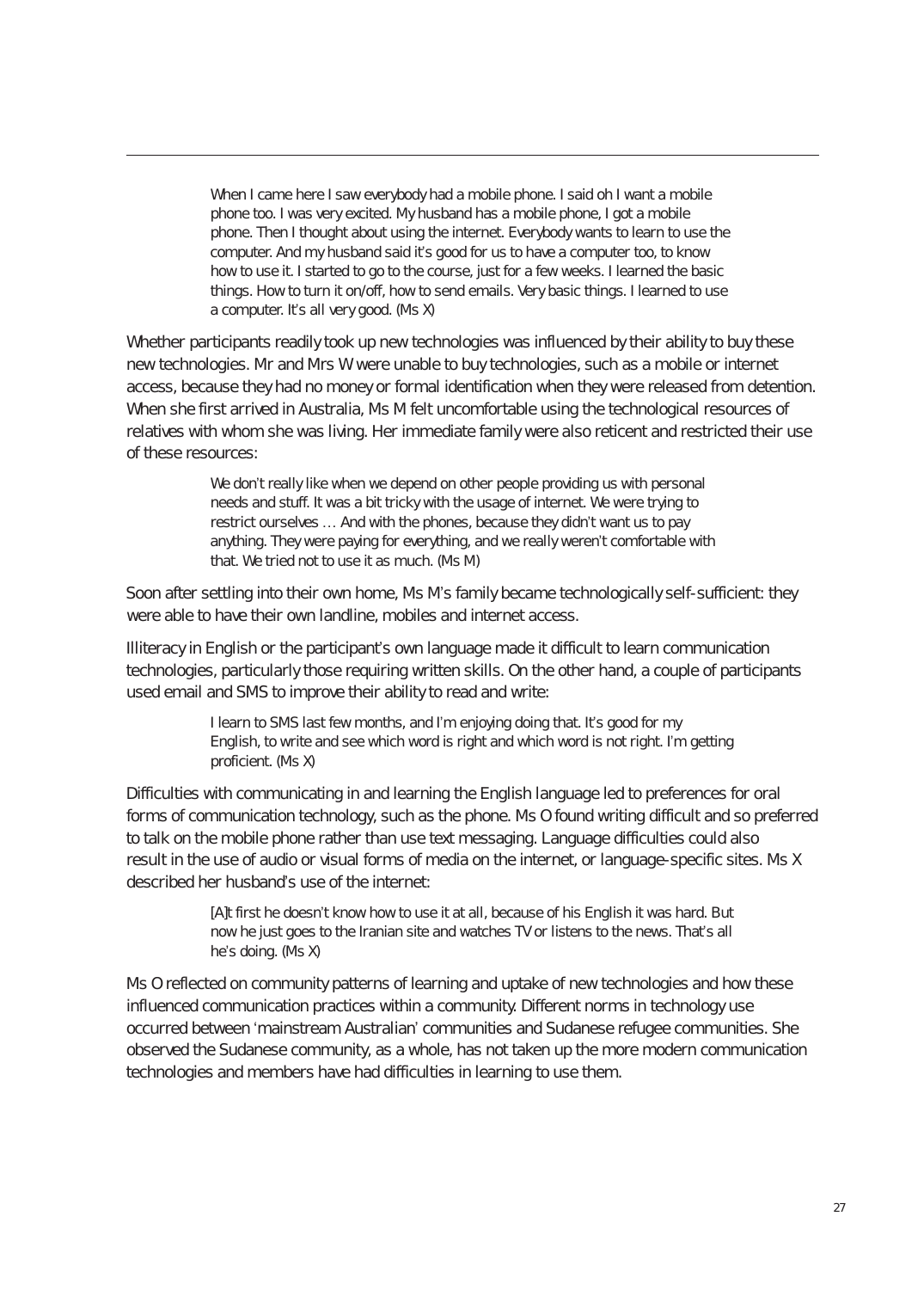When I came here I saw everybody had a mobile phone. I said oh I want a mobile phone too. I was very excited. My husband has a mobile phone, I got a mobile phone. Then I thought about using the internet. Everybody wants to learn to use the computer. And my husband said it's good for us to have a computer too, to know how to use it. I started to go to the course, just for a few weeks. I learned the basic things. How to turn it on/off, how to send emails. Very basic things. I learned to use a computer. It's all very good. (Ms X)

Whether participants readily took up new technologies was influenced by their ability to buy these new technologies. Mr and Mrs W were unable to buy technologies, such as a mobile or internet access, because they had no money or formal identification when they were released from detention. When she first arrived in Australia, Ms M felt uncomfortable using the technological resources of relatives with whom she was living. Her immediate family were also reticent and restricted their use of these resources:

> We don't really like when we depend on other people providing us with personal needs and stuff. It was a bit tricky with the usage of internet. We were trying to restrict ourselves … And with the phones, because they didn't want us to pay anything. They were paying for everything, and we really weren't comfortable with that. We tried not to use it as much. (Ms M)

Soon after settling into their own home, Ms M's family became technologically self-sufficient: they were able to have their own landline, mobiles and internet access.

Illiteracy in English or the participant's own language made it difficult to learn communication technologies, particularly those requiring written skills. On the other hand, a couple of participants used email and SMS to improve their ability to read and write:

> I learn to SMS last few months, and I'm enjoying doing that. It's good for my English, to write and see which word is right and which word is not right. I'm getting proficient. (Ms X)

Difficulties with communicating in and learning the English language led to preferences for oral forms of communication technology, such as the phone. Ms O found writing difficult and so preferred to talk on the mobile phone rather than use text messaging. Language difficulties could also result in the use of audio or visual forms of media on the internet, or language-specific sites. Ms X described her husband's use of the internet:

> [A]t first he doesn't know how to use it at all, because of his English it was hard. But now he just goes to the Iranian site and watches TV or listens to the news. That's all he's doing. (Ms X)

Ms O reflected on community patterns of learning and uptake of new technologies and how these influenced communication practices within a community. Different norms in technology use occurred between 'mainstream Australian' communities and Sudanese refugee communities. She observed the Sudanese community, as a whole, has not taken up the more modern communication technologies and members have had difficulties in learning to use them.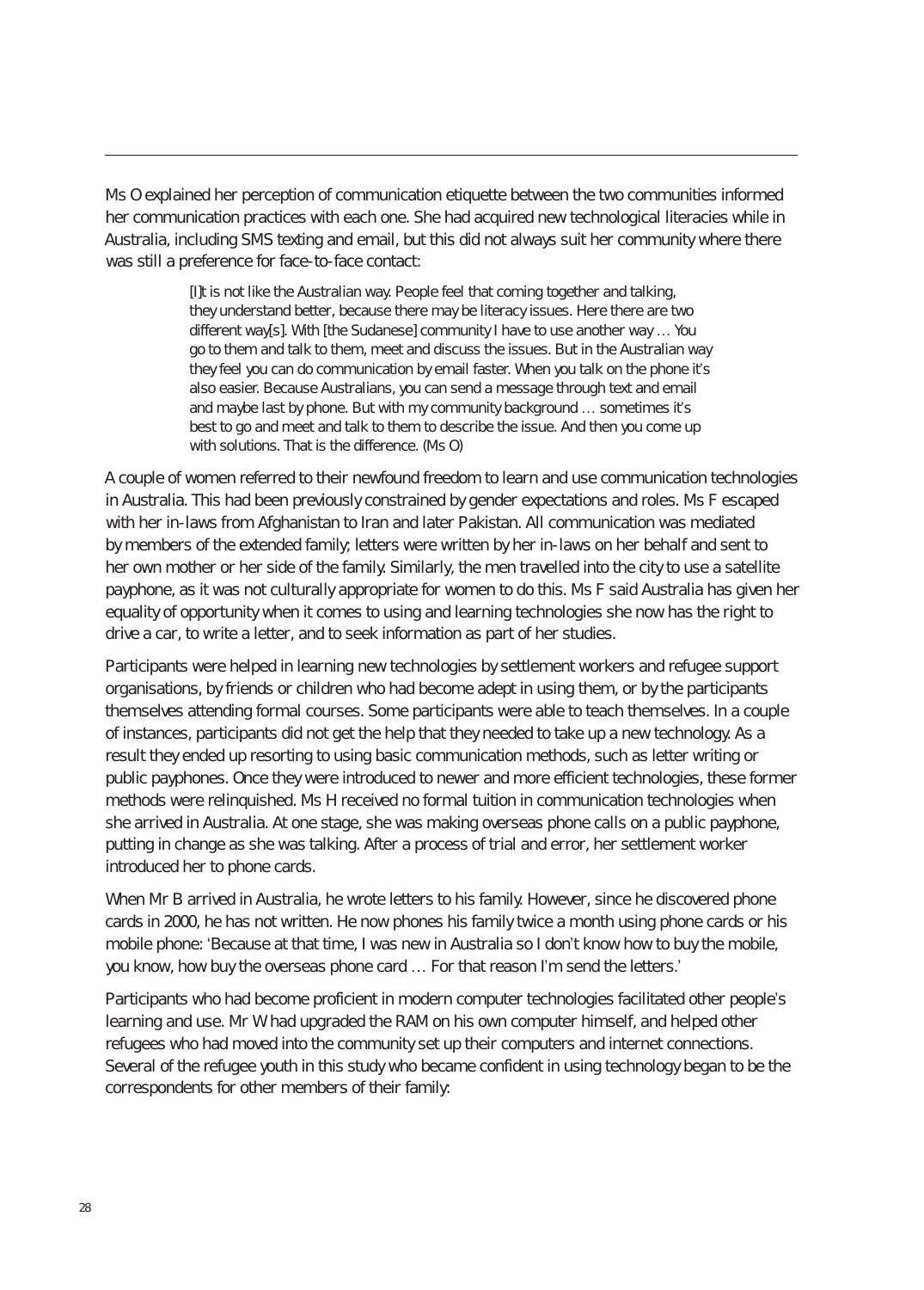Ms O explained her perception of communication etiquette between the two communities informed her communication practices with each one. She had acquired new technological literacies while in Australia, including SMS texting and email, but this did not always suit her community where there was still a preference for face-to-face contact:

> [I]t is not like the Australian way. People feel that coming together and talking, they understand better, because there may be literacy issues. Here there are two different way[s]. With [the Sudanese] community I have to use another way … You go to them and talk to them, meet and discuss the issues. But in the Australian way they feel you can do communication by email faster. When you talk on the phone it's also easier. Because Australians, you can send a message through text and email and maybe last by phone. But with my community background … sometimes it's best to go and meet and talk to them to describe the issue. And then you come up with solutions. That is the difference. (Ms O)

A couple of women referred to their newfound freedom to learn and use communication technologies in Australia. This had been previously constrained by gender expectations and roles. Ms F escaped with her in-laws from Afghanistan to Iran and later Pakistan. All communication was mediated by members of the extended family; letters were written by her in-laws on her behalf and sent to her own mother or her side of the family. Similarly, the men travelled into the city to use a satellite payphone, as it was not culturally appropriate for women to do this. Ms F said Australia has given her equality of opportunity when it comes to using and learning technologies she now has the right to drive a car, to write a letter, and to seek information as part of her studies.

Participants were helped in learning new technologies by settlement workers and refugee support organisations, by friends or children who had become adept in using them, or by the participants themselves attending formal courses. Some participants were able to teach themselves. In a couple of instances, participants did not get the help that they needed to take up a new technology. As a result they ended up resorting to using basic communication methods, such as letter writing or public payphones. Once they were introduced to newer and more efficient technologies, these former methods were relinquished. Ms H received no formal tuition in communication technologies when she arrived in Australia. At one stage, she was making overseas phone calls on a public payphone, putting in change as she was talking. After a process of trial and error, her settlement worker introduced her to phone cards.

When Mr B arrived in Australia, he wrote letters to his family. However, since he discovered phone cards in 2000, he has not written. He now phones his family twice a month using phone cards or his mobile phone: 'Because at that time, I was new in Australia so I don't know how to buy the mobile, you know, how buy the overseas phone card … For that reason I'm send the letters.'

Participants who had become proficient in modern computer technologies facilitated other people's learning and use. Mr W had upgraded the RAM on his own computer himself, and helped other refugees who had moved into the community set up their computers and internet connections. Several of the refugee youth in this study who became confident in using technology began to be the correspondents for other members of their family: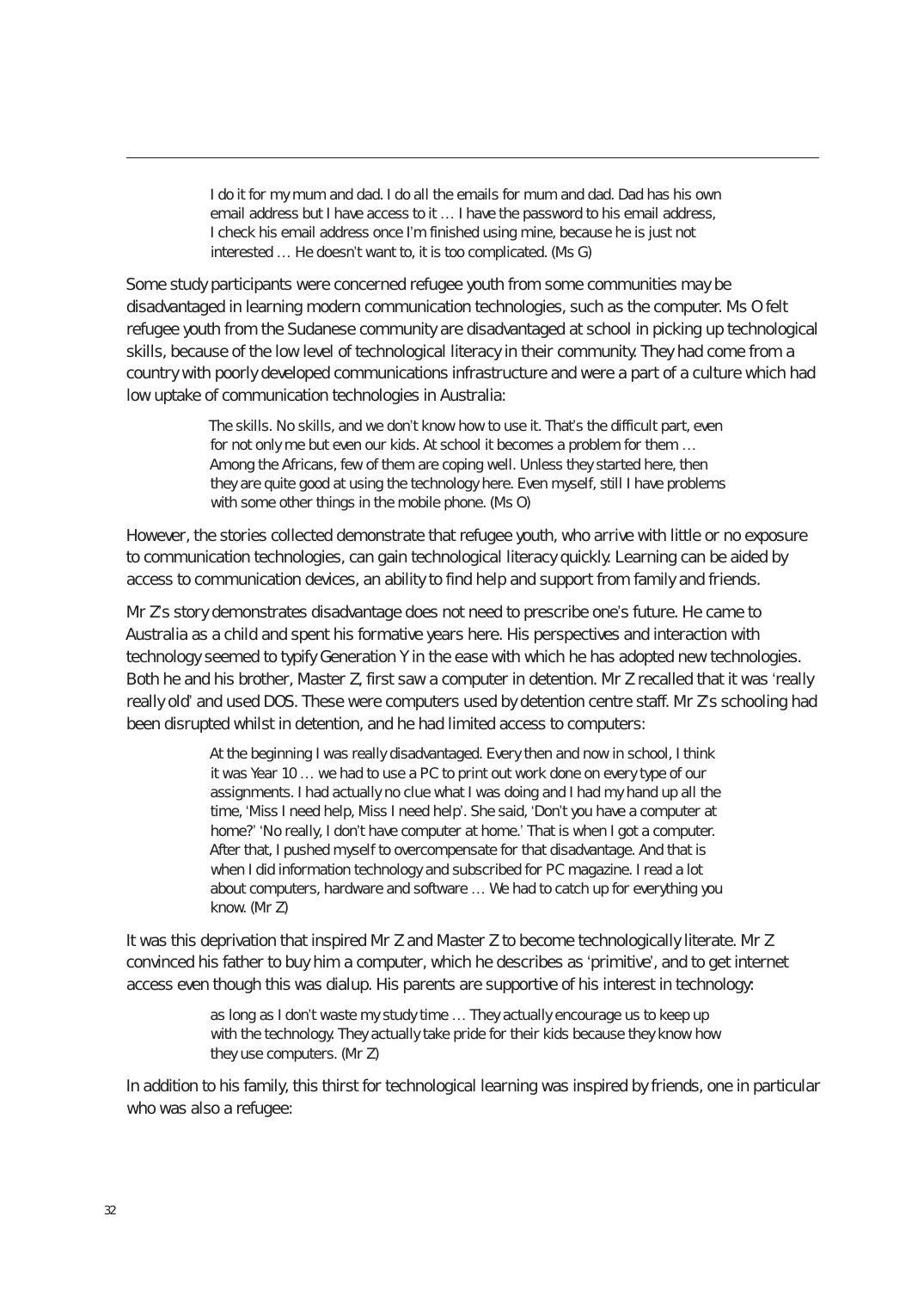I do it for my mum and dad. I do all the emails for mum and dad. Dad has his own email address but I have access to it … I have the password to his email address, I check his email address once I'm finished using mine, because he is just not interested … He doesn't want to, it is too complicated. (Ms G)

Some study participants were concerned refugee youth from some communities may be disadvantaged in learning modern communication technologies, such as the computer. Ms O felt refugee youth from the Sudanese community are disadvantaged at school in picking up technological skills, because of the low level of technological literacy in their community. They had come from a country with poorly developed communications infrastructure and were a part of a culture which had low uptake of communication technologies in Australia:

> The skills. No skills, and we don't know how to use it. That's the difficult part, even for not only me but even our kids. At school it becomes a problem for them … Among the Africans, few of them are coping well. Unless they started here, then they are quite good at using the technology here. Even myself, still I have problems with some other things in the mobile phone. (Ms O)

However, the stories collected demonstrate that refugee youth, who arrive with little or no exposure to communication technologies, can gain technological literacy quickly. Learning can be aided by access to communication devices, an ability to find help and support from family and friends.

Mr Z's story demonstrates disadvantage does not need to prescribe one's future. He came to Australia as a child and spent his formative years here. His perspectives and interaction with technology seemed to typify Generation Y in the ease with which he has adopted new technologies. Both he and his brother, Master Z, first saw a computer in detention. Mr Z recalled that it was 'really really old' and used DOS. These were computers used by detention centre staff. Mr Z's schooling had been disrupted whilst in detention, and he had limited access to computers:

> At the beginning I was really disadvantaged. Every then and now in school, I think it was Year 10 … we had to use a PC to print out work done on every type of our assignments. I had actually no clue what I was doing and I had my hand up all the time, 'Miss I need help, Miss I need help'. She said, 'Don't you have a computer at home?' 'No really, I don't have computer at home.' That is when I got a computer. After that, I pushed myself to overcompensate for that disadvantage. And that is when I did information technology and subscribed for PC magazine. I read a lot about computers, hardware and software … We had to catch up for everything you know. (Mr Z)

It was this deprivation that inspired Mr Z and Master Z to become technologically literate. Mr Z convinced his father to buy him a computer, which he describes as 'primitive', and to get internet access even though this was dialup. His parents are supportive of his interest in technology:

> as long as I don't waste my study time … They actually encourage us to keep up with the technology. They actually take pride for their kids because they know how they use computers. (Mr Z)

In addition to his family, this thirst for technological learning was inspired by friends, one in particular who was also a refugee: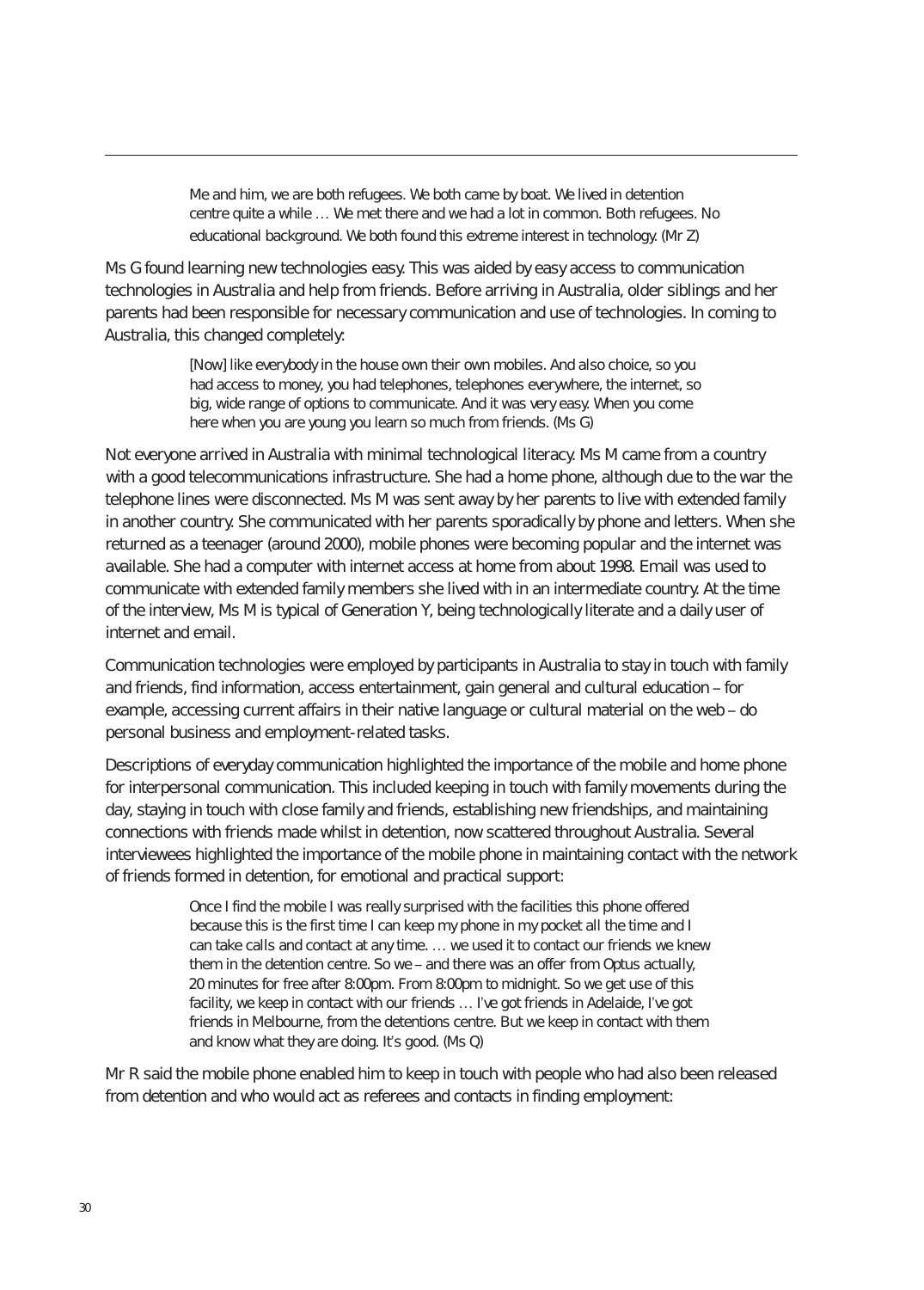Me and him, we are both refugees. We both came by boat. We lived in detention centre quite a while … We met there and we had a lot in common. Both refugees. No educational background. We both found this extreme interest in technology. (Mr Z)

Ms G found learning new technologies easy. This was aided by easy access to communication technologies in Australia and help from friends. Before arriving in Australia, older siblings and her parents had been responsible for necessary communication and use of technologies. In coming to Australia, this changed completely:

> [Now] like everybody in the house own their own mobiles. And also choice, so you had access to money, you had telephones, telephones everywhere, the internet, so big, wide range of options to communicate. And it was very easy. When you come here when you are young you learn so much from friends. (Ms G)

Not everyone arrived in Australia with minimal technological literacy. Ms M came from a country with a good telecommunications infrastructure. She had a home phone, although due to the war the telephone lines were disconnected. Ms M was sent away by her parents to live with extended family in another country. She communicated with her parents sporadically by phone and letters. When she returned as a teenager (around 2000), mobile phones were becoming popular and the internet was available. She had a computer with internet access at home from about 1998. Email was used to communicate with extended family members she lived with in an intermediate country. At the time of the interview, Ms M is typical of Generation Y, being technologically literate and a daily user of internet and email.

Communication technologies were employed by participants in Australia to stay in touch with family and friends, find information, access entertainment, gain general and cultural education – for example, accessing current affairs in their native language or cultural material on the web – do personal business and employment-related tasks.

Descriptions of everyday communication highlighted the importance of the mobile and home phone for interpersonal communication. This included keeping in touch with family movements during the day, staying in touch with close family and friends, establishing new friendships, and maintaining connections with friends made whilst in detention, now scattered throughout Australia. Several interviewees highlighted the importance of the mobile phone in maintaining contact with the network of friends formed in detention, for emotional and practical support:

> Once I find the mobile I was really surprised with the facilities this phone offered because this is the first time I can keep my phone in my pocket all the time and I can take calls and contact at any time. … we used it to contact our friends we knew them in the detention centre. So we – and there was an offer from Optus actually, 20 minutes for free after 8:00pm. From 8:00pm to midnight. So we get use of this facility, we keep in contact with our friends … I've got friends in Adelaide, I've got friends in Melbourne, from the detentions centre. But we keep in contact with them and know what they are doing. It's good. (Ms Q)

Mr R said the mobile phone enabled him to keep in touch with people who had also been released from detention and who would act as referees and contacts in finding employment: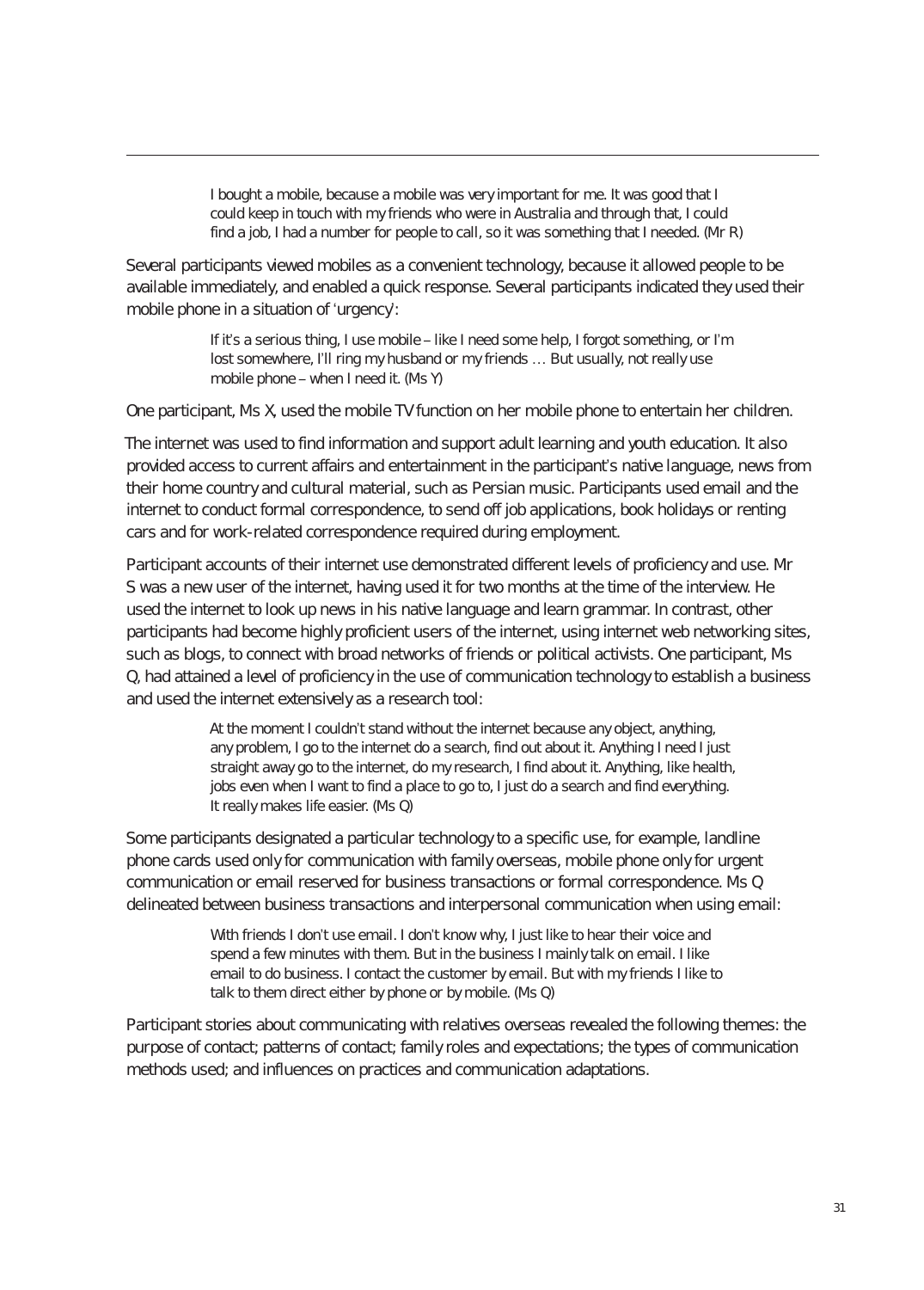I bought a mobile, because a mobile was very important for me. It was good that I could keep in touch with my friends who were in Australia and through that, I could find a job, I had a number for people to call, so it was something that I needed. (Mr R)

Several participants viewed mobiles as a convenient technology, because it allowed people to be available immediately, and enabled a quick response. Several participants indicated they used their mobile phone in a situation of 'urgency':

> If it's a serious thing, I use mobile – like I need some help, I forgot something, or I'm lost somewhere, I'll ring my husband or my friends … But usually, not really use mobile phone – when I need it. (Ms Y)

One participant, Ms X, used the mobile TV function on her mobile phone to entertain her children.

The internet was used to find information and support adult learning and youth education. It also provided access to current affairs and entertainment in the participant's native language, news from their home country and cultural material, such as Persian music. Participants used email and the internet to conduct formal correspondence, to send off job applications, book holidays or renting cars and for work-related correspondence required during employment.

Participant accounts of their internet use demonstrated different levels of proficiency and use. Mr S was a new user of the internet, having used it for two months at the time of the interview. He used the internet to look up news in his native language and learn grammar. In contrast, other participants had become highly proficient users of the internet, using internet web networking sites, such as blogs, to connect with broad networks of friends or political activists. One participant, Ms Q, had attained a level of proficiency in the use of communication technology to establish a business and used the internet extensively as a research tool:

> At the moment I couldn't stand without the internet because any object, anything, any problem, I go to the internet do a search, find out about it. Anything I need I just straight away go to the internet, do my research, I find about it. Anything, like health, jobs even when I want to find a place to go to, I just do a search and find everything. It really makes life easier. (Ms Q)

Some participants designated a particular technology to a specific use, for example, landline phone cards used only for communication with family overseas, mobile phone only for urgent communication or email reserved for business transactions or formal correspondence. Ms Q delineated between business transactions and interpersonal communication when using email:

> With friends I don't use email. I don't know why, I just like to hear their voice and spend a few minutes with them. But in the business I mainly talk on email. I like email to do business. I contact the customer by email. But with my friends I like to talk to them direct either by phone or by mobile. (Ms Q)

Participant stories about communicating with relatives overseas revealed the following themes: the purpose of contact; patterns of contact; family roles and expectations; the types of communication methods used; and influences on practices and communication adaptations.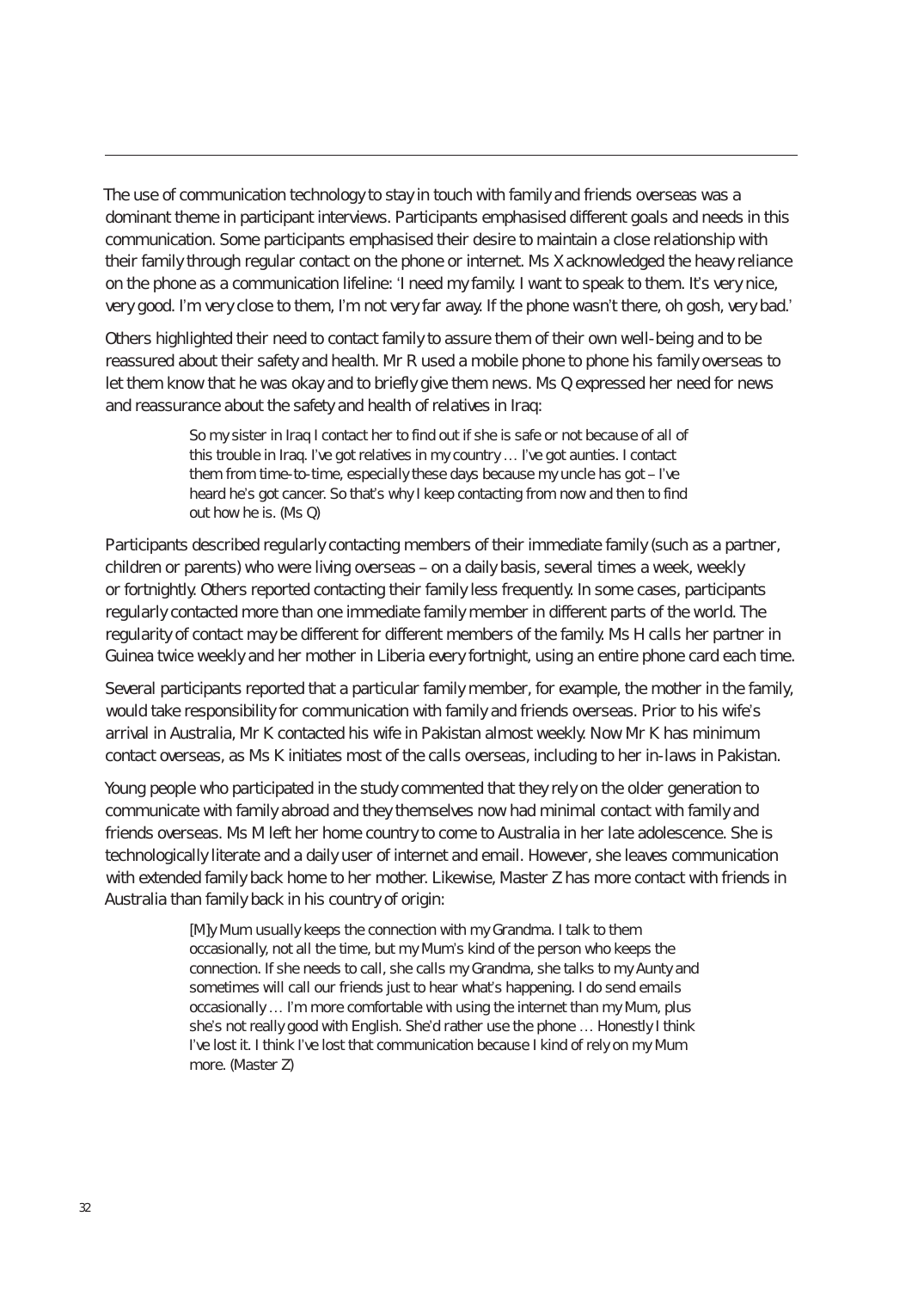The use of communication technology to stay in touch with family and friends overseas was a dominant theme in participant interviews. Participants emphasised different goals and needs in this communication. Some participants emphasised their desire to maintain a close relationship with their family through regular contact on the phone or internet. Ms X acknowledged the heavy reliance on the phone as a communication lifeline: 'I need my family. I want to speak to them. It's very nice, very good. I'm very close to them, I'm not very far away. If the phone wasn't there, oh gosh, very bad.'

Others highlighted their need to contact family to assure them of their own well-being and to be reassured about their safety and health. Mr R used a mobile phone to phone his family overseas to let them know that he was okay and to briefly give them news. Ms Q expressed her need for news and reassurance about the safety and health of relatives in Iraq:

> So my sister in Iraq I contact her to find out if she is safe or not because of all of this trouble in Iraq. I've got relatives in my country … I've got aunties. I contact them from time-to-time, especially these days because my uncle has got – I've heard he's got cancer. So that's why I keep contacting from now and then to find out how he is. (Ms Q)

Participants described regularly contacting members of their immediate family (such as a partner, children or parents) who were living overseas – on a daily basis, several times a week, weekly or fortnightly. Others reported contacting their family less frequently. In some cases, participants regularly contacted more than one immediate family member in different parts of the world. The regularity of contact may be different for different members of the family. Ms H calls her partner in Guinea twice weekly and her mother in Liberia every fortnight, using an entire phone card each time.

Several participants reported that a particular family member, for example, the mother in the family, would take responsibility for communication with family and friends overseas. Prior to his wife's arrival in Australia, Mr K contacted his wife in Pakistan almost weekly. Now Mr K has minimum contact overseas, as Ms K initiates most of the calls overseas, including to her in-laws in Pakistan.

Young people who participated in the study commented that they rely on the older generation to communicate with family abroad and they themselves now had minimal contact with family and friends overseas. Ms M left her home country to come to Australia in her late adolescence. She is technologically literate and a daily user of internet and email. However, she leaves communication with extended family back home to her mother. Likewise, Master Z has more contact with friends in Australia than family back in his country of origin:

> [M]y Mum usually keeps the connection with my Grandma. I talk to them occasionally, not all the time, but my Mum's kind of the person who keeps the connection. If she needs to call, she calls my Grandma, she talks to my Aunty and sometimes will call our friends just to hear what's happening. I do send emails occasionally … I'm more comfortable with using the internet than my Mum, plus she's not really good with English. She'd rather use the phone … Honestly I think I've lost it. I think I've lost that communication because I kind of rely on my Mum more. (Master Z)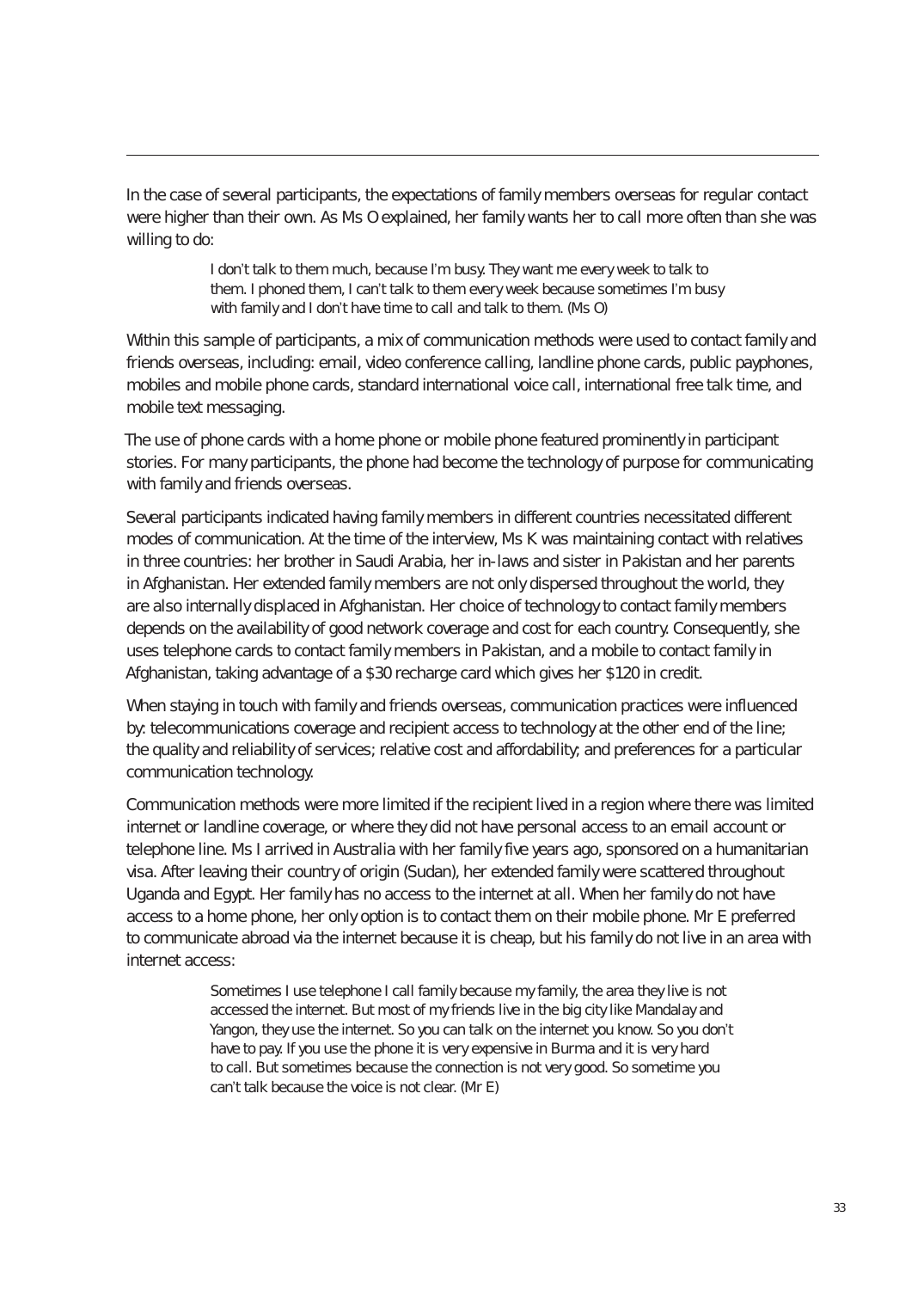In the case of several participants, the expectations of family members overseas for regular contact were higher than their own. As Ms O explained, her family wants her to call more often than she was willing to do:

> I don't talk to them much, because I'm busy. They want me every week to talk to them. I phoned them, I can't talk to them every week because sometimes I'm busy with family and I don't have time to call and talk to them. (Ms O)

Within this sample of participants, a mix of communication methods were used to contact family and friends overseas, including: email, video conference calling, landline phone cards, public payphones, mobiles and mobile phone cards, standard international voice call, international free talk time, and mobile text messaging.

The use of phone cards with a home phone or mobile phone featured prominently in participant stories. For many participants, the phone had become the technology of purpose for communicating with family and friends overseas.

Several participants indicated having family members in different countries necessitated different modes of communication. At the time of the interview, Ms K was maintaining contact with relatives in three countries: her brother in Saudi Arabia, her in-laws and sister in Pakistan and her parents in Afghanistan. Her extended family members are not only dispersed throughout the world, they are also internally displaced in Afghanistan. Her choice of technology to contact family members depends on the availability of good network coverage and cost for each country. Consequently, she uses telephone cards to contact family members in Pakistan, and a mobile to contact family in Afghanistan, taking advantage of a \$30 recharge card which gives her \$120 in credit.

When staying in touch with family and friends overseas, communication practices were influenced by: telecommunications coverage and recipient access to technology at the other end of the line; the quality and reliability of services; relative cost and affordability; and preferences for a particular communication technology.

Communication methods were more limited if the recipient lived in a region where there was limited internet or landline coverage, or where they did not have personal access to an email account or telephone line. Ms I arrived in Australia with her family five years ago, sponsored on a humanitarian visa. After leaving their country of origin (Sudan), her extended family were scattered throughout Uganda and Egypt. Her family has no access to the internet at all. When her family do not have access to a home phone, her only option is to contact them on their mobile phone. Mr E preferred to communicate abroad via the internet because it is cheap, but his family do not live in an area with internet access:

> Sometimes I use telephone I call family because my family, the area they live is not accessed the internet. But most of my friends live in the big city like Mandalay and Yangon, they use the internet. So you can talk on the internet you know. So you don't have to pay. If you use the phone it is very expensive in Burma and it is very hard to call. But sometimes because the connection is not very good. So sometime you can't talk because the voice is not clear. (Mr E)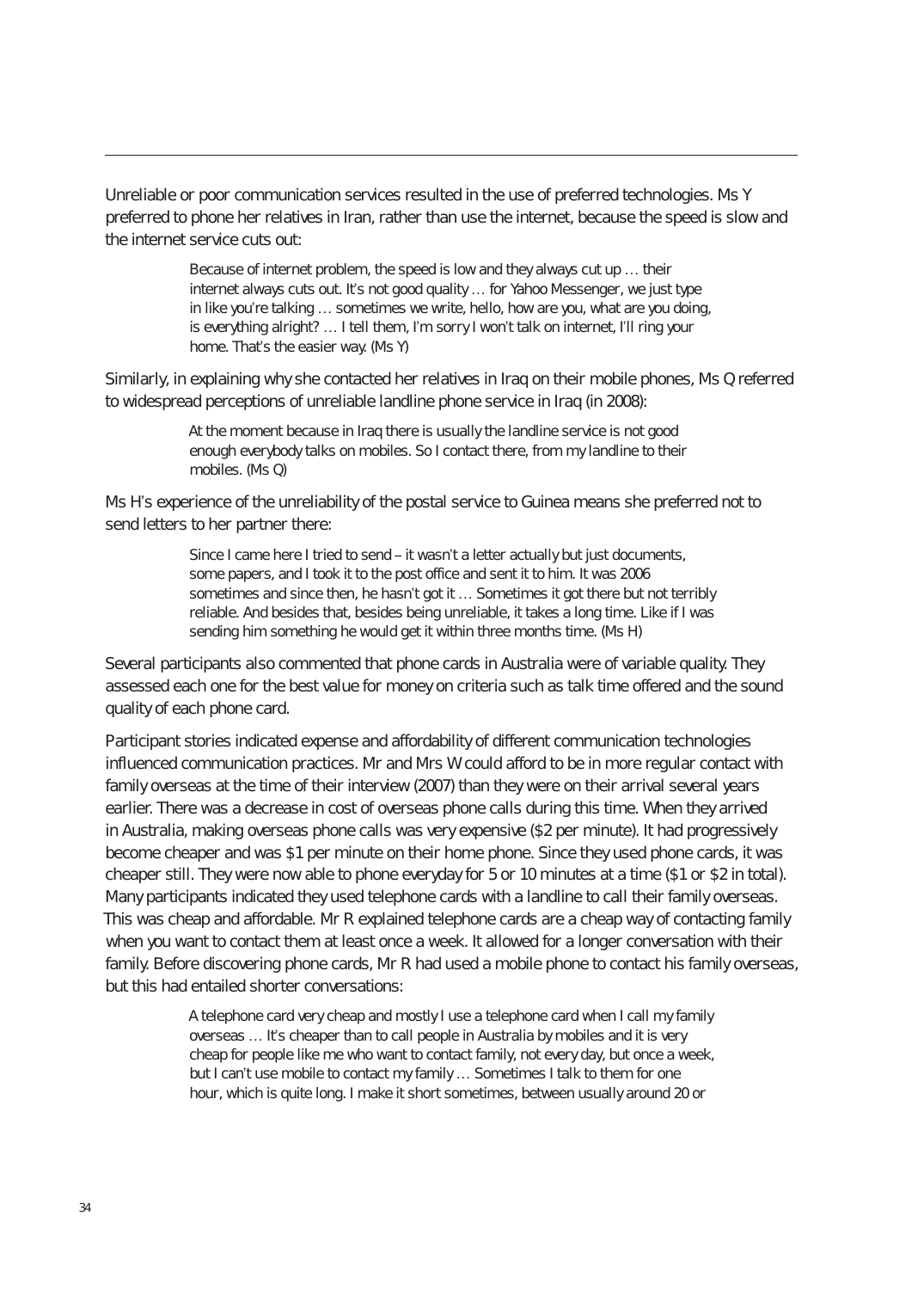Unreliable or poor communication services resulted in the use of preferred technologies. Ms Y preferred to phone her relatives in Iran, rather than use the internet, because the speed is slow and the internet service cuts out:

> Because of internet problem, the speed is low and they always cut up … their internet always cuts out. It's not good quality … for Yahoo Messenger, we just type in like you're talking … sometimes we write, hello, how are you, what are you doing, is everything alright? … I tell them, I'm sorry I won't talk on internet, I'll ring your home. That's the easier way. (Ms Y)

Similarly, in explaining why she contacted her relatives in Iraq on their mobile phones, Ms Q referred to widespread perceptions of unreliable landline phone service in Iraq (in 2008):

> At the moment because in Iraq there is usually the landline service is not good enough everybody talks on mobiles. So I contact there, from my landline to their mobiles. (Ms Q)

Ms H's experience of the unreliability of the postal service to Guinea means she preferred not to send letters to her partner there:

> Since I came here I tried to send – it wasn't a letter actually but just documents, some papers, and I took it to the post office and sent it to him. It was 2006 sometimes and since then, he hasn't got it ... Sometimes it got there but not terribly reliable. And besides that, besides being unreliable, it takes a long time. Like if I was sending him something he would get it within three months time. (Ms H)

Several participants also commented that phone cards in Australia were of variable quality. They assessed each one for the best value for money on criteria such as talk time offered and the sound quality of each phone card.

Participant stories indicated expense and affordability of different communication technologies influenced communication practices. Mr and Mrs W could afford to be in more regular contact with family overseas at the time of their interview (2007) than they were on their arrival several years earlier. There was a decrease in cost of overseas phone calls during this time. When they arrived in Australia, making overseas phone calls was very expensive (\$2 per minute). It had progressively become cheaper and was \$1 per minute on their home phone. Since they used phone cards, it was cheaper still. They were now able to phone everyday for 5 or 10 minutes at a time (\$1 or \$2 in total). Many participants indicated they used telephone cards with a landline to call their family overseas. This was cheap and affordable. Mr R explained telephone cards are a cheap way of contacting family when you want to contact them at least once a week. It allowed for a longer conversation with their family. Before discovering phone cards, Mr R had used a mobile phone to contact his family overseas, but this had entailed shorter conversations:

> A telephone card very cheap and mostly I use a telephone card when I call my family overseas … It's cheaper than to call people in Australia by mobiles and it is very cheap for people like me who want to contact family, not every day, but once a week, but I can't use mobile to contact my family … Sometimes I talk to them for one hour, which is quite long. I make it short sometimes, between usually around 20 or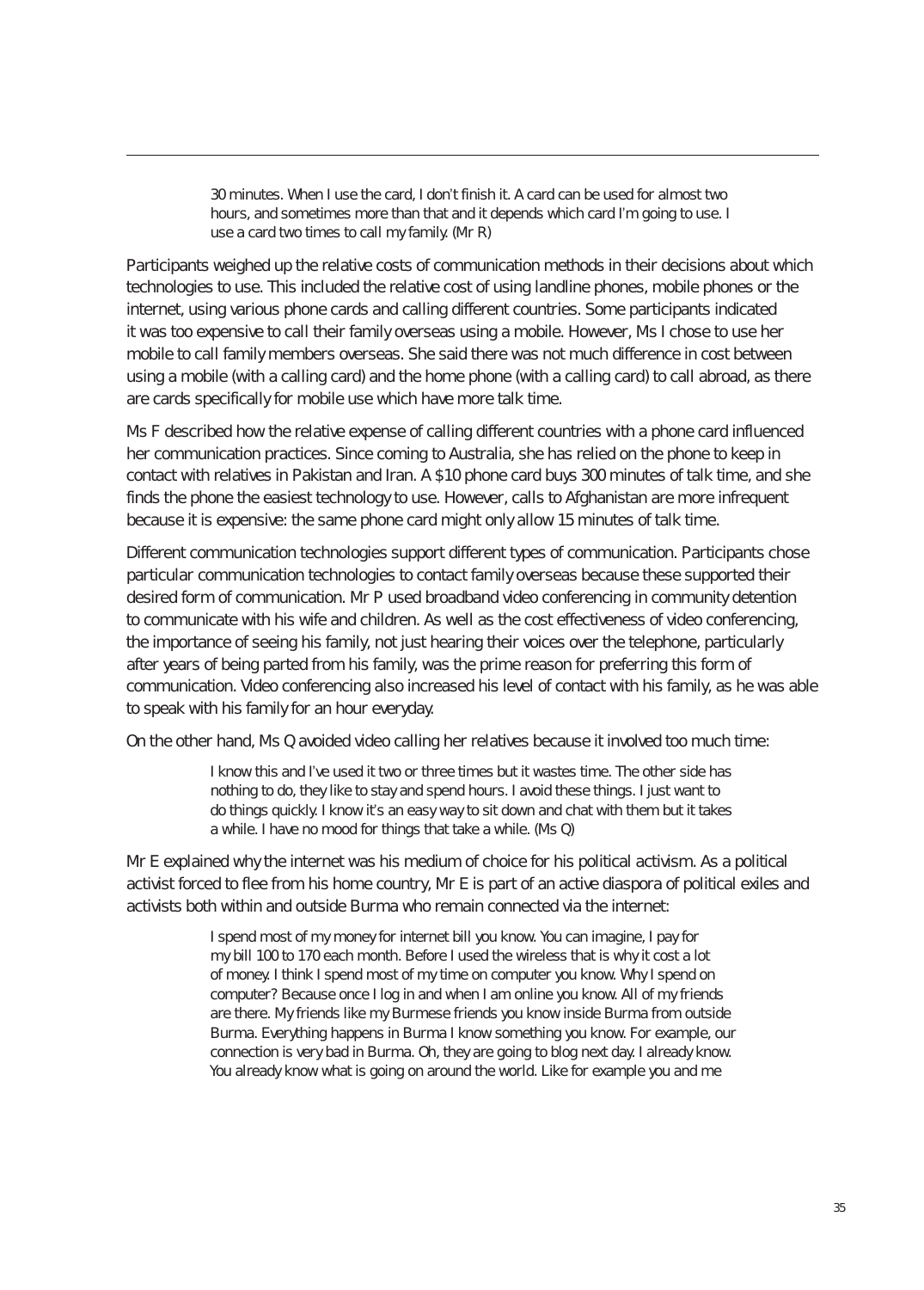30 minutes. When I use the card, I don't finish it. A card can be used for almost two hours, and sometimes more than that and it depends which card I'm going to use. I use a card two times to call my family. (Mr R)

Participants weighed up the relative costs of communication methods in their decisions about which technologies to use. This included the relative cost of using landline phones, mobile phones or the internet, using various phone cards and calling different countries. Some participants indicated it was too expensive to call their family overseas using a mobile. However, Ms I chose to use her mobile to call family members overseas. She said there was not much difference in cost between using a mobile (with a calling card) and the home phone (with a calling card) to call abroad, as there are cards specifically for mobile use which have more talk time.

Ms F described how the relative expense of calling different countries with a phone card influenced her communication practices. Since coming to Australia, she has relied on the phone to keep in contact with relatives in Pakistan and Iran. A \$10 phone card buys 300 minutes of talk time, and she finds the phone the easiest technology to use. However, calls to Afghanistan are more infrequent because it is expensive: the same phone card might only allow 15 minutes of talk time.

Different communication technologies support different types of communication. Participants chose particular communication technologies to contact family overseas because these supported their desired form of communication. Mr P used broadband video conferencing in community detention to communicate with his wife and children. As well as the cost effectiveness of video conferencing, the importance of seeing his family, not just hearing their voices over the telephone, particularly after years of being parted from his family, was the prime reason for preferring this form of communication. Video conferencing also increased his level of contact with his family, as he was able to speak with his family for an hour everyday.

On the other hand, Ms Q avoided video calling her relatives because it involved too much time:

I know this and I've used it two or three times but it wastes time. The other side has nothing to do, they like to stay and spend hours. I avoid these things. I just want to do things quickly. I know it's an easy way to sit down and chat with them but it takes a while. I have no mood for things that take a while. (Ms Q)

Mr E explained why the internet was his medium of choice for his political activism. As a political activist forced to flee from his home country, Mr E is part of an active diaspora of political exiles and activists both within and outside Burma who remain connected via the internet:

> I spend most of my money for internet bill you know. You can imagine, I pay for my bill 100 to 170 each month. Before I used the wireless that is why it cost a lot of money. I think I spend most of my time on computer you know. Why I spend on computer? Because once I log in and when I am online you know. All of my friends are there. My friends like my Burmese friends you know inside Burma from outside Burma. Everything happens in Burma I know something you know. For example, our connection is very bad in Burma. Oh, they are going to blog next day. I already know. You already know what is going on around the world. Like for example you and me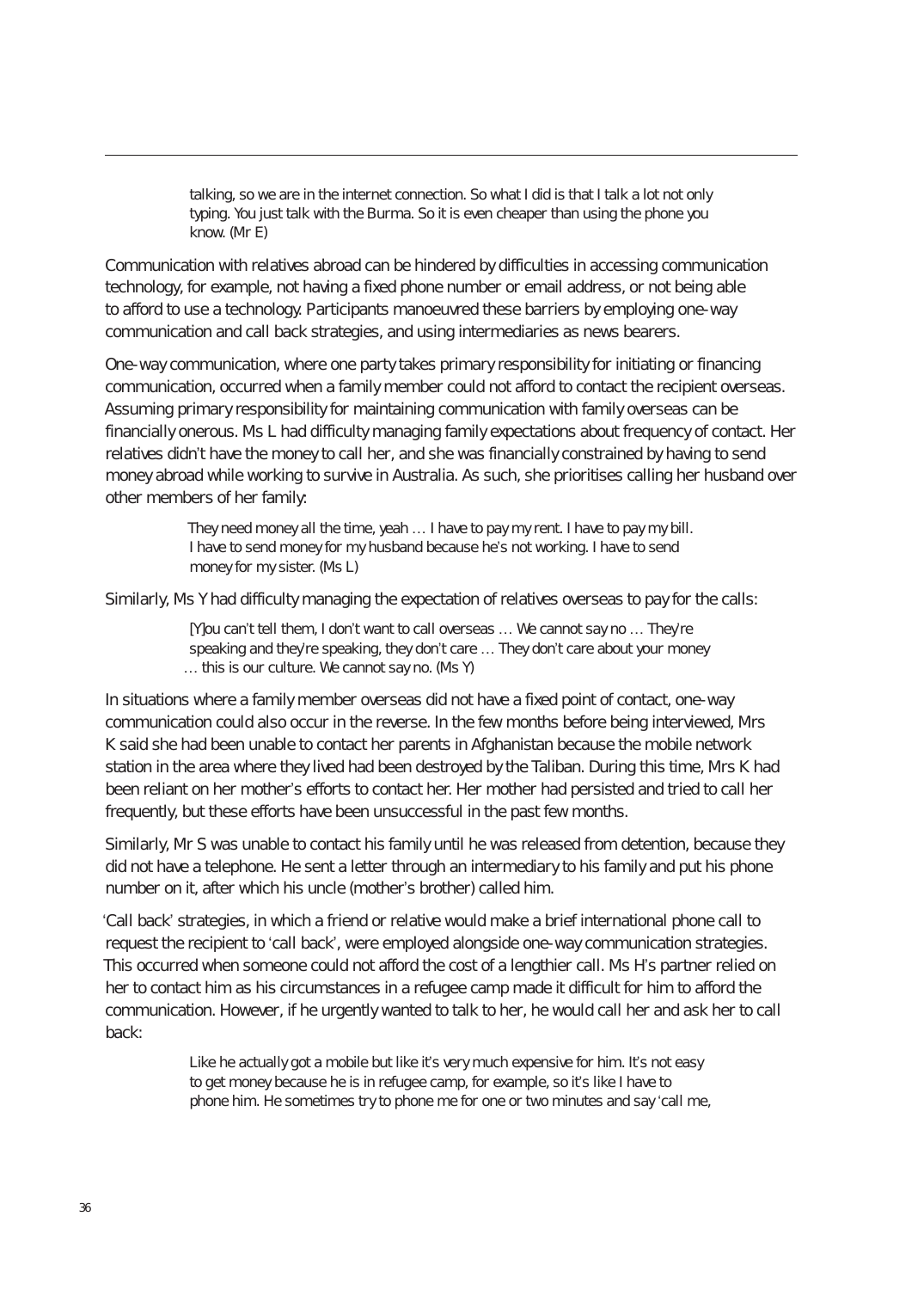talking, so we are in the internet connection. So what I did is that I talk a lot not only typing. You just talk with the Burma. So it is even cheaper than using the phone you know. (Mr E)

Communication with relatives abroad can be hindered by difficulties in accessing communication technology, for example, not having a fixed phone number or email address, or not being able to afford to use a technology. Participants manoeuvred these barriers by employing one-way communication and call back strategies, and using intermediaries as news bearers.

One-way communication, where one party takes primary responsibility for initiating or financing communication, occurred when a family member could not afford to contact the recipient overseas. Assuming primary responsibility for maintaining communication with family overseas can be financially onerous. Ms L had difficulty managing family expectations about frequency of contact. Her relatives didn't have the money to call her, and she was financially constrained by having to send money abroad while working to survive in Australia. As such, she prioritises calling her husband over other members of her family:

> They need money all the time, yeah … I have to pay my rent. I have to pay my bill. I have to send money for my husband because he's not working. I have to send money for my sister. (Ms L)

Similarly, Ms Y had difficulty managing the expectation of relatives overseas to pay for the calls:

[Y]ou can't tell them, I don't want to call overseas … We cannot say no … They're speaking and they're speaking, they don't care ... They don't care about your money … this is our culture. We cannot say no. (Ms Y)

In situations where a family member overseas did not have a fixed point of contact, one-way communication could also occur in the reverse. In the few months before being interviewed, Mrs K said she had been unable to contact her parents in Afghanistan because the mobile network station in the area where they lived had been destroyed by the Taliban. During this time, Mrs K had been reliant on her mother's efforts to contact her. Her mother had persisted and tried to call her frequently, but these efforts have been unsuccessful in the past few months.

Similarly, Mr S was unable to contact his family until he was released from detention, because they did not have a telephone. He sent a letter through an intermediary to his family and put his phone number on it, after which his uncle (mother's brother) called him.

'Call back' strategies, in which a friend or relative would make a brief international phone call to request the recipient to 'call back', were employed alongside one-way communication strategies. This occurred when someone could not afford the cost of a lengthier call. Ms H's partner relied on her to contact him as his circumstances in a refugee camp made it difficult for him to afford the communication. However, if he urgently wanted to talk to her, he would call her and ask her to call back:

> Like he actually got a mobile but like it's very much expensive for him. It's not easy to get money because he is in refugee camp, for example, so it's like I have to phone him. He sometimes try to phone me for one or two minutes and say 'call me,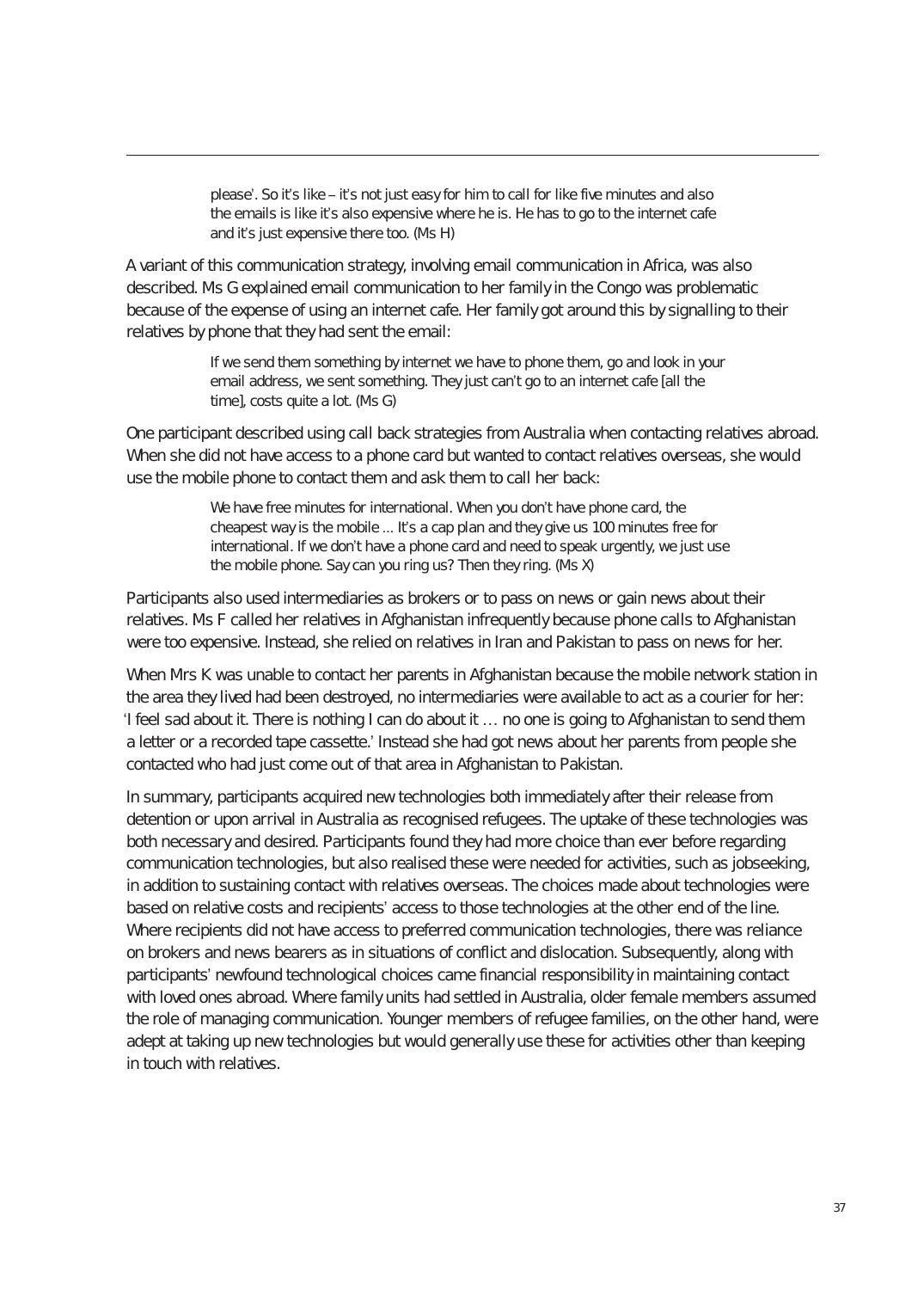please'. So it's like – it's not just easy for him to call for like five minutes and also the emails is like it's also expensive where he is. He has to go to the internet cafe and it's just expensive there too. (Ms H)

A variant of this communication strategy, involving email communication in Africa, was also described. Ms G explained email communication to her family in the Congo was problematic because of the expense of using an internet cafe. Her family got around this by signalling to their relatives by phone that they had sent the email:

> If we send them something by internet we have to phone them, go and look in your email address, we sent something. They just can't go to an internet cafe [all the time], costs quite a lot. (Ms G)

One participant described using call back strategies from Australia when contacting relatives abroad. When she did not have access to a phone card but wanted to contact relatives overseas, she would use the mobile phone to contact them and ask them to call her back:

> We have free minutes for international. When you don't have phone card, the cheapest way is the mobile ... It's a cap plan and they give us 100 minutes free for international. If we don't have a phone card and need to speak urgently, we just use the mobile phone. Say can you ring us? Then they ring. (Ms X)

Participants also used intermediaries as brokers or to pass on news or gain news about their relatives. Ms F called her relatives in Afghanistan infrequently because phone calls to Afghanistan were too expensive. Instead, she relied on relatives in Iran and Pakistan to pass on news for her.

When Mrs K was unable to contact her parents in Afghanistan because the mobile network station in the area they lived had been destroyed, no intermediaries were available to act as a courier for her: 'I feel sad about it. There is nothing I can do about it … no one is going to Afghanistan to send them a letter or a recorded tape cassette.' Instead she had got news about her parents from people she contacted who had just come out of that area in Afghanistan to Pakistan.

In summary, participants acquired new technologies both immediately after their release from detention or upon arrival in Australia as recognised refugees. The uptake of these technologies was both necessary and desired. Participants found they had more choice than ever before regarding communication technologies, but also realised these were needed for activities, such as jobseeking, in addition to sustaining contact with relatives overseas. The choices made about technologies were based on relative costs and recipients' access to those technologies at the other end of the line. Where recipients did not have access to preferred communication technologies, there was reliance on brokers and news bearers as in situations of conflict and dislocation. Subsequently, along with participants' newfound technological choices came financial responsibility in maintaining contact with loved ones abroad. Where family units had settled in Australia, older female members assumed the role of managing communication. Younger members of refugee families, on the other hand, were adept at taking up new technologies but would generally use these for activities other than keeping in touch with relatives.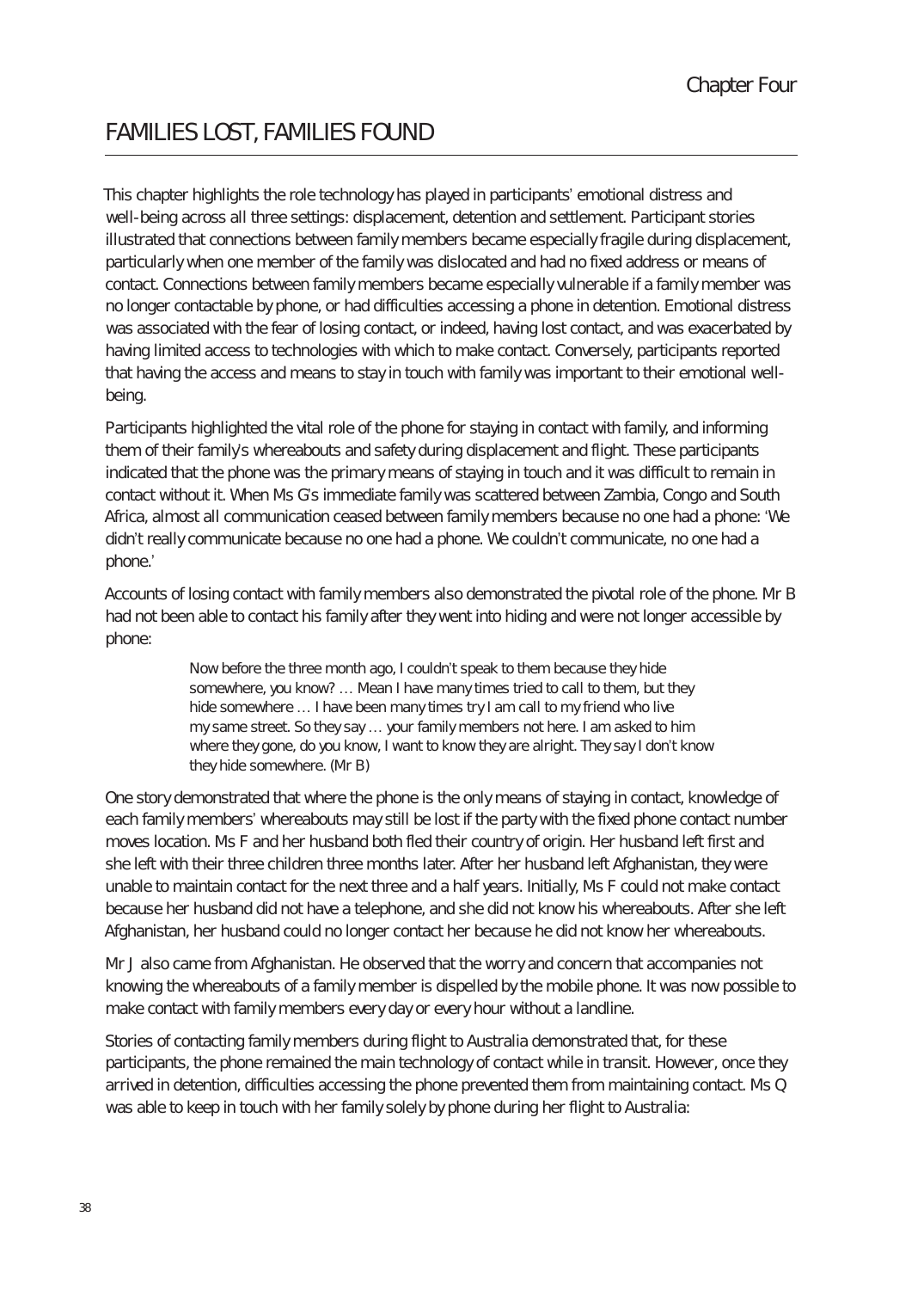# FAmIlIes lOst, fAmIlIes fOunD

This chapter highlights the role technology has played in participants' emotional distress and well-being across all three settings: displacement, detention and settlement. Participant stories illustrated that connections between family members became especially fragile during displacement, particularly when one member of the family was dislocated and had no fixed address or means of contact. Connections between family members became especially vulnerable if a family member was no longer contactable by phone, or had difficulties accessing a phone in detention. Emotional distress was associated with the fear of losing contact, or indeed, having lost contact, and was exacerbated by having limited access to technologies with which to make contact. Conversely, participants reported that having the access and means to stay in touch with family was important to their emotional wellbeing.

Participants highlighted the vital role of the phone for staying in contact with family, and informing them of their family's whereabouts and safety during displacement and flight. These participants indicated that the phone was the primary means of staying in touch and it was difficult to remain in contact without it. When Ms G's immediate family was scattered between Zambia, Congo and South Africa, almost all communication ceased between family members because no one had a phone: 'We didn't really communicate because no one had a phone. We couldn't communicate, no one had a phone.'

Accounts of losing contact with family members also demonstrated the pivotal role of the phone. Mr B had not been able to contact his family after they went into hiding and were not longer accessible by phone:

> Now before the three month ago, I couldn't speak to them because they hide somewhere, you know? … Mean I have many times tried to call to them, but they hide somewhere … I have been many times try I am call to my friend who live my same street. So they say … your family members not here. I am asked to him where they gone, do you know, I want to know they are alright. They say I don't know they hide somewhere. (Mr B)

One story demonstrated that where the phone is the only means of staying in contact, knowledge of each family members' whereabouts may still be lost if the party with the fixed phone contact number moves location. Ms F and her husband both fled their country of origin. Her husband left first and she left with their three children three months later. After her husband left Afghanistan, they were unable to maintain contact for the next three and a half years. Initially, Ms F could not make contact because her husband did not have a telephone, and she did not know his whereabouts. After she left Afghanistan, her husband could no longer contact her because he did not know her whereabouts.

Mr J also came from Afghanistan. He observed that the worry and concern that accompanies not knowing the whereabouts of a family member is dispelled by the mobile phone. It was now possible to make contact with family members every day or every hour without a landline.

Stories of contacting family members during flight to Australia demonstrated that, for these participants, the phone remained the main technology of contact while in transit. However, once they arrived in detention, difficulties accessing the phone prevented them from maintaining contact. Ms Q was able to keep in touch with her family solely by phone during her flight to Australia: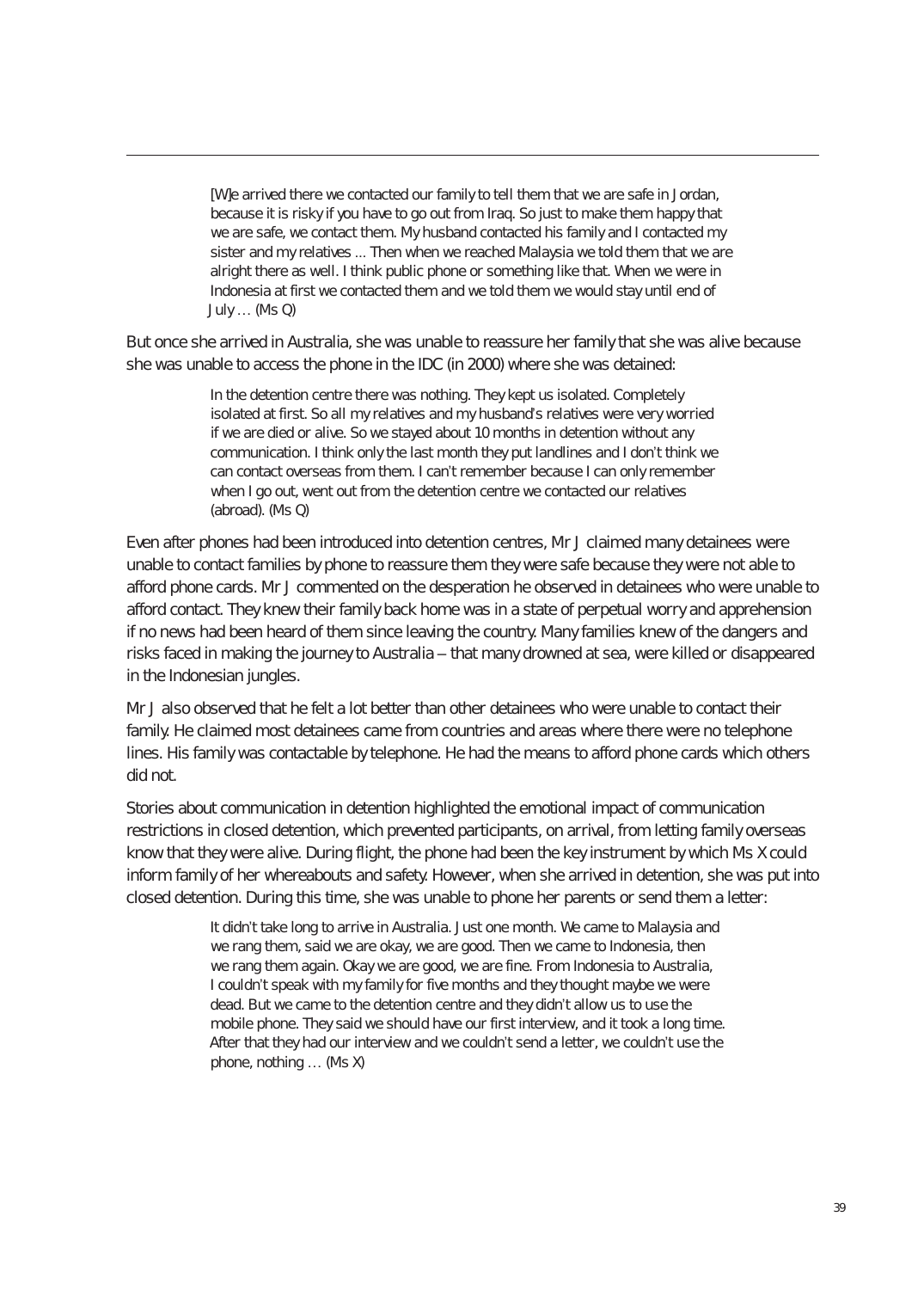[W]e arrived there we contacted our family to tell them that we are safe in Jordan, because it is risky if you have to go out from Iraq. So just to make them happy that we are safe, we contact them. My husband contacted his family and I contacted my sister and my relatives ... Then when we reached Malaysia we told them that we are alright there as well. I think public phone or something like that. When we were in Indonesia at first we contacted them and we told them we would stay until end of July … (Ms Q)

But once she arrived in Australia, she was unable to reassure her family that she was alive because she was unable to access the phone in the IDC (in 2000) where she was detained:

> In the detention centre there was nothing. They kept us isolated. Completely isolated at first. So all my relatives and my husband's relatives were very worried if we are died or alive. So we stayed about 10 months in detention without any communication. I think only the last month they put landlines and I don't think we can contact overseas from them. I can't remember because I can only remember when I go out, went out from the detention centre we contacted our relatives (abroad). (Ms Q)

Even after phones had been introduced into detention centres, Mr J claimed many detainees were unable to contact families by phone to reassure them they were safe because they were not able to afford phone cards. Mr J commented on the desperation he observed in detainees who were unable to afford contact. They knew their family back home was in a state of perpetual worry and apprehension if no news had been heard of them since leaving the country. Many families knew of the dangers and risks faced in making the journey to Australia – that many drowned at sea, were killed or disappeared in the Indonesian jungles.

Mr J also observed that he felt a lot better than other detainees who were unable to contact their family. He claimed most detainees came from countries and areas where there were no telephone lines. His family was contactable by telephone. He had the means to afford phone cards which others did not.

Stories about communication in detention highlighted the emotional impact of communication restrictions in closed detention, which prevented participants, on arrival, from letting family overseas know that they were alive. During flight, the phone had been the key instrument by which Ms X could inform family of her whereabouts and safety. However, when she arrived in detention, she was put into closed detention. During this time, she was unable to phone her parents or send them a letter:

> It didn't take long to arrive in Australia. Just one month. We came to Malaysia and we rang them, said we are okay, we are good. Then we came to Indonesia, then we rang them again. Okay we are good, we are fine. From Indonesia to Australia, I couldn't speak with my family for five months and they thought maybe we were dead. But we came to the detention centre and they didn't allow us to use the mobile phone. They said we should have our first interview, and it took a long time. After that they had our interview and we couldn't send a letter, we couldn't use the phone, nothing … (Ms X)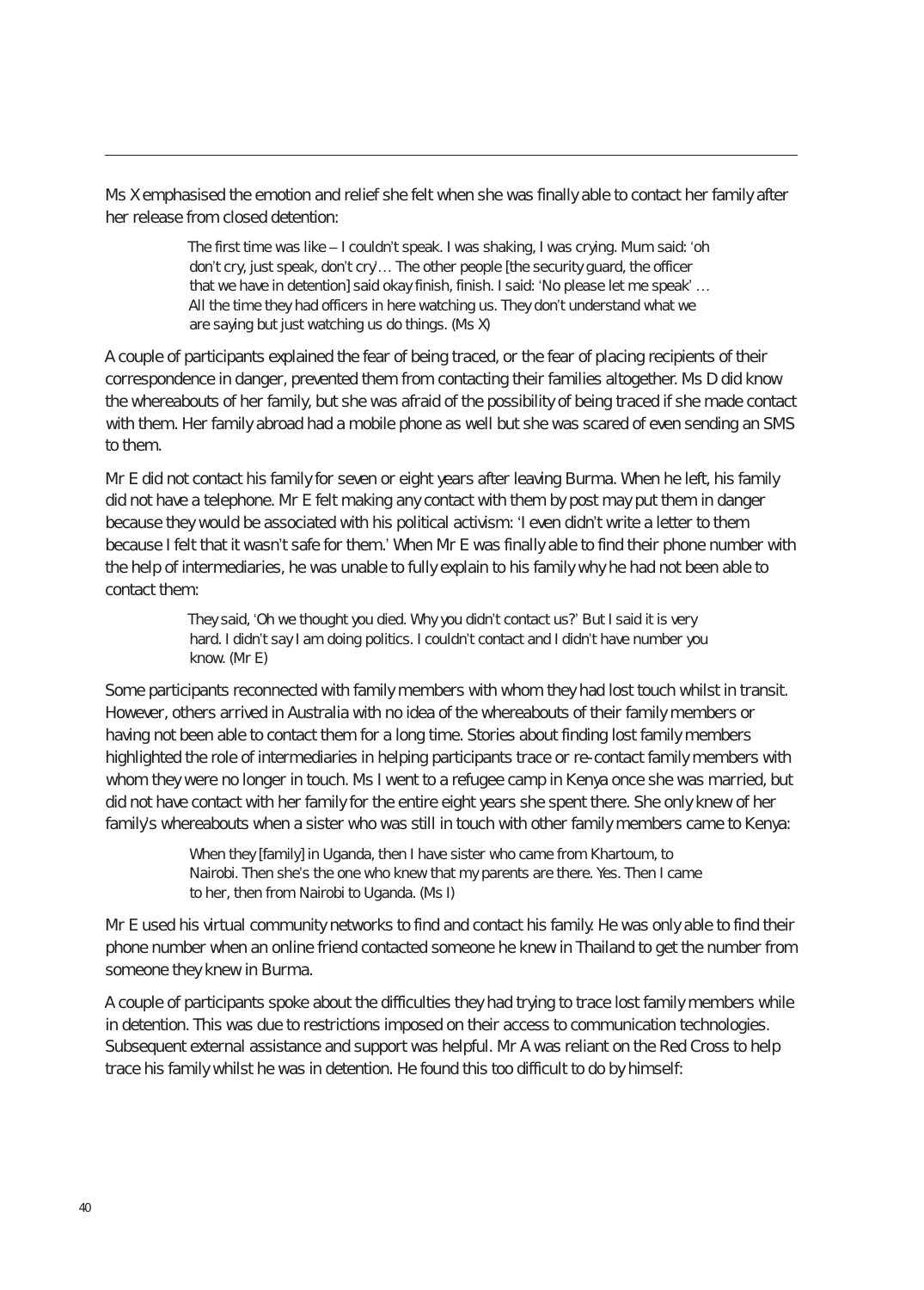Ms X emphasised the emotion and relief she felt when she was finally able to contact her family after her release from closed detention:

> The first time was like – I couldn't speak. I was shaking, I was crying. Mum said: 'oh don't cry, just speak, don't cry'… The other people [the security guard, the officer that we have in detention] said okay finish, finish. I said: 'No please let me speak' ... All the time they had officers in here watching us. They don't understand what we are saying but just watching us do things. (Ms X)

A couple of participants explained the fear of being traced, or the fear of placing recipients of their correspondence in danger, prevented them from contacting their families altogether. Ms D did know the whereabouts of her family, but she was afraid of the possibility of being traced if she made contact with them. Her family abroad had a mobile phone as well but she was scared of even sending an SMS to them.

Mr E did not contact his family for seven or eight years after leaving Burma. When he left, his family did not have a telephone. Mr E felt making any contact with them by post may put them in danger because they would be associated with his political activism: 'I even didn't write a letter to them because I felt that it wasn't safe for them.' When Mr E was finally able to find their phone number with the help of intermediaries, he was unable to fully explain to his family why he had not been able to contact them:

> They said, 'Oh we thought you died. Why you didn't contact us?' But I said it is very hard. I didn't say I am doing politics. I couldn't contact and I didn't have number you know. (Mr E)

Some participants reconnected with family members with whom they had lost touch whilst in transit. However, others arrived in Australia with no idea of the whereabouts of their family members or having not been able to contact them for a long time. Stories about finding lost family members highlighted the role of intermediaries in helping participants trace or re-contact family members with whom they were no longer in touch. Ms I went to a refugee camp in Kenya once she was married, but did not have contact with her family for the entire eight years she spent there. She only knew of her family's whereabouts when a sister who was still in touch with other family members came to Kenya:

> When they [family] in Uganda, then I have sister who came from Khartoum, to Nairobi. Then she's the one who knew that my parents are there. Yes. Then I came to her, then from Nairobi to Uganda. (Ms I)

Mr E used his virtual community networks to find and contact his family. He was only able to find their phone number when an online friend contacted someone he knew in Thailand to get the number from someone they knew in Burma.

A couple of participants spoke about the difficulties they had trying to trace lost family members while in detention. This was due to restrictions imposed on their access to communication technologies. Subsequent external assistance and support was helpful. Mr A was reliant on the Red Cross to help trace his family whilst he was in detention. He found this too difficult to do by himself: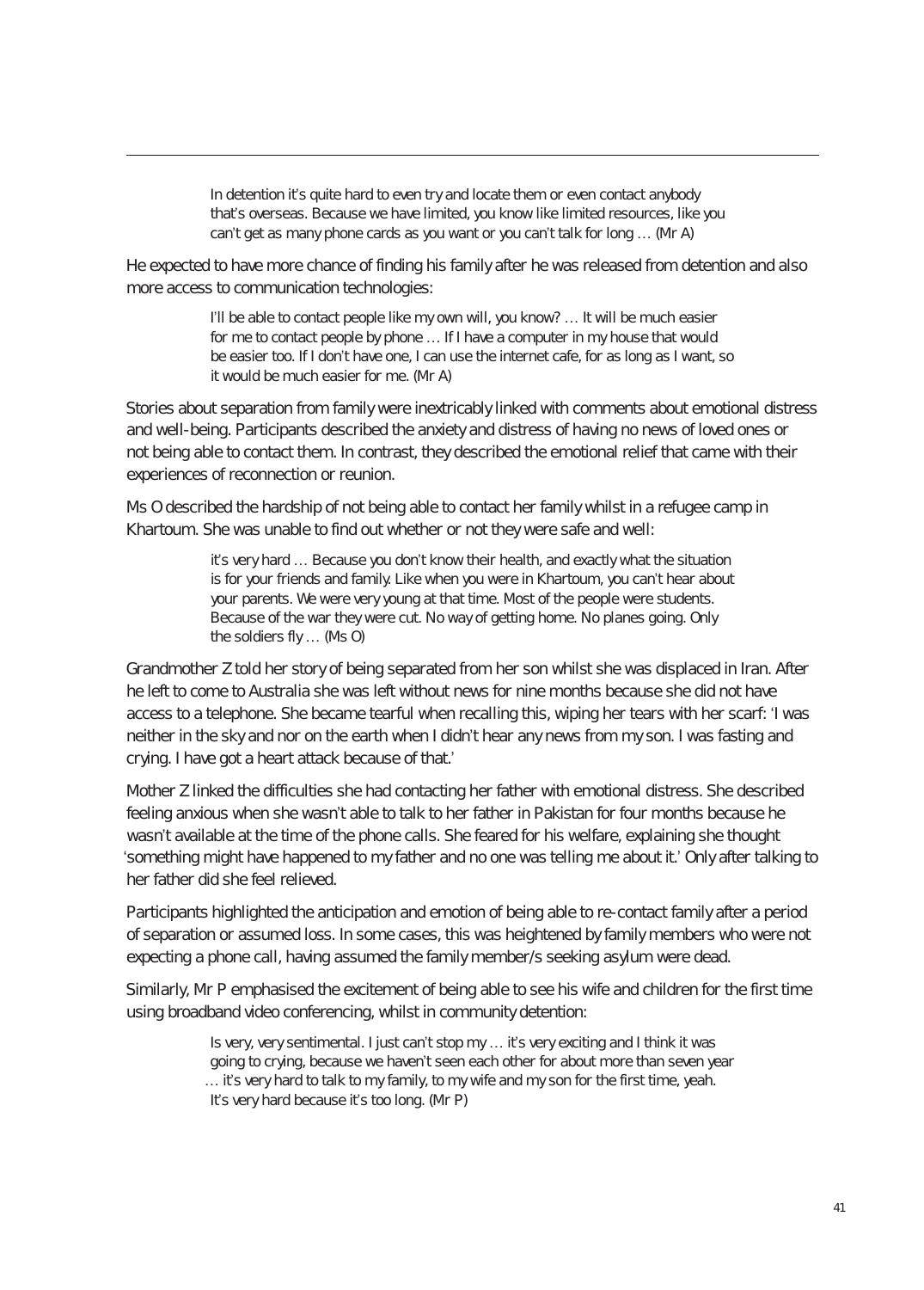In detention it's quite hard to even try and locate them or even contact anybody that's overseas. Because we have limited, you know like limited resources, like you can't get as many phone cards as you want or you can't talk for long … (Mr A)

He expected to have more chance of finding his family after he was released from detention and also more access to communication technologies:

> I'll be able to contact people like my own will, you know? ... It will be much easier for me to contact people by phone … If I have a computer in my house that would be easier too. If I don't have one, I can use the internet cafe, for as long as I want, so it would be much easier for me. (Mr A)

Stories about separation from family were inextricably linked with comments about emotional distress and well-being. Participants described the anxiety and distress of having no news of loved ones or not being able to contact them. In contrast, they described the emotional relief that came with their experiences of reconnection or reunion.

Ms O described the hardship of not being able to contact her family whilst in a refugee camp in Khartoum. She was unable to find out whether or not they were safe and well:

> it's very hard … Because you don't know their health, and exactly what the situation is for your friends and family. Like when you were in Khartoum, you can't hear about your parents. We were very young at that time. Most of the people were students. Because of the war they were cut. No way of getting home. No planes going. Only the soldiers fly … (Ms O)

Grandmother Z told her story of being separated from her son whilst she was displaced in Iran. After he left to come to Australia she was left without news for nine months because she did not have access to a telephone. She became tearful when recalling this, wiping her tears with her scarf: 'I was neither in the sky and nor on the earth when I didn't hear any news from my son. I was fasting and crying. I have got a heart attack because of that.'

Mother Z linked the difficulties she had contacting her father with emotional distress. She described feeling anxious when she wasn't able to talk to her father in Pakistan for four months because he wasn't available at the time of the phone calls. She feared for his welfare, explaining she thought 'something might have happened to my father and no one was telling me about it.' Only after talking to her father did she feel relieved.

Participants highlighted the anticipation and emotion of being able to re-contact family after a period of separation or assumed loss. In some cases, this was heightened by family members who were not expecting a phone call, having assumed the family member/s seeking asylum were dead.

Similarly, Mr P emphasised the excitement of being able to see his wife and children for the first time using broadband video conferencing, whilst in community detention:

> Is very, very sentimental. I just can't stop my ... it's very exciting and I think it was going to crying, because we haven't seen each other for about more than seven year … it's very hard to talk to my family, to my wife and my son for the first time, yeah. It's very hard because it's too long. (Mr P)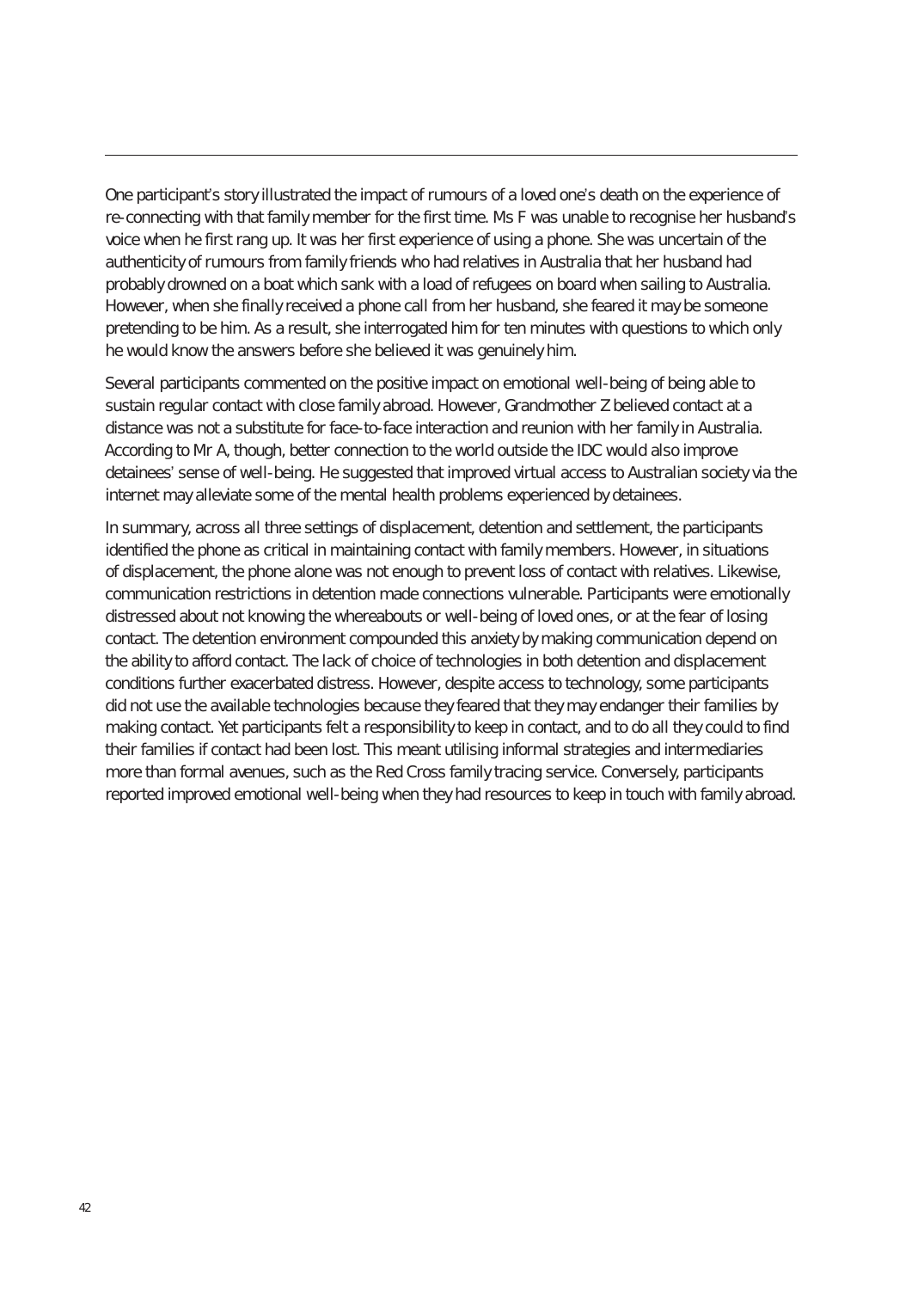One participant's story illustrated the impact of rumours of a loved one's death on the experience of re-connecting with that family member for the first time. Ms F was unable to recognise her husband's voice when he first rang up. It was her first experience of using a phone. She was uncertain of the authenticity of rumours from family friends who had relatives in Australia that her husband had probably drowned on a boat which sank with a load of refugees on board when sailing to Australia. However, when she finally received a phone call from her husband, she feared it may be someone pretending to be him. As a result, she interrogated him for ten minutes with questions to which only he would know the answers before she believed it was genuinely him.

Several participants commented on the positive impact on emotional well-being of being able to sustain regular contact with close family abroad. However, Grandmother Z believed contact at a distance was not a substitute for face-to-face interaction and reunion with her family in Australia. According to Mr A, though, better connection to the world outside the IDC would also improve detainees' sense of well-being. He suggested that improved virtual access to Australian society via the internet may alleviate some of the mental health problems experienced by detainees.

In summary, across all three settings of displacement, detention and settlement, the participants identified the phone as critical in maintaining contact with family members. However, in situations of displacement, the phone alone was not enough to prevent loss of contact with relatives. Likewise, communication restrictions in detention made connections vulnerable. Participants were emotionally distressed about not knowing the whereabouts or well-being of loved ones, or at the fear of losing contact. The detention environment compounded this anxiety by making communication depend on the ability to afford contact. The lack of choice of technologies in both detention and displacement conditions further exacerbated distress. However, despite access to technology, some participants did not use the available technologies because they feared that they may endanger their families by making contact. Yet participants felt a responsibility to keep in contact, and to do all they could to find their families if contact had been lost. This meant utilising informal strategies and intermediaries more than formal avenues, such as the Red Cross family tracing service. Conversely, participants reported improved emotional well-being when they had resources to keep in touch with family abroad.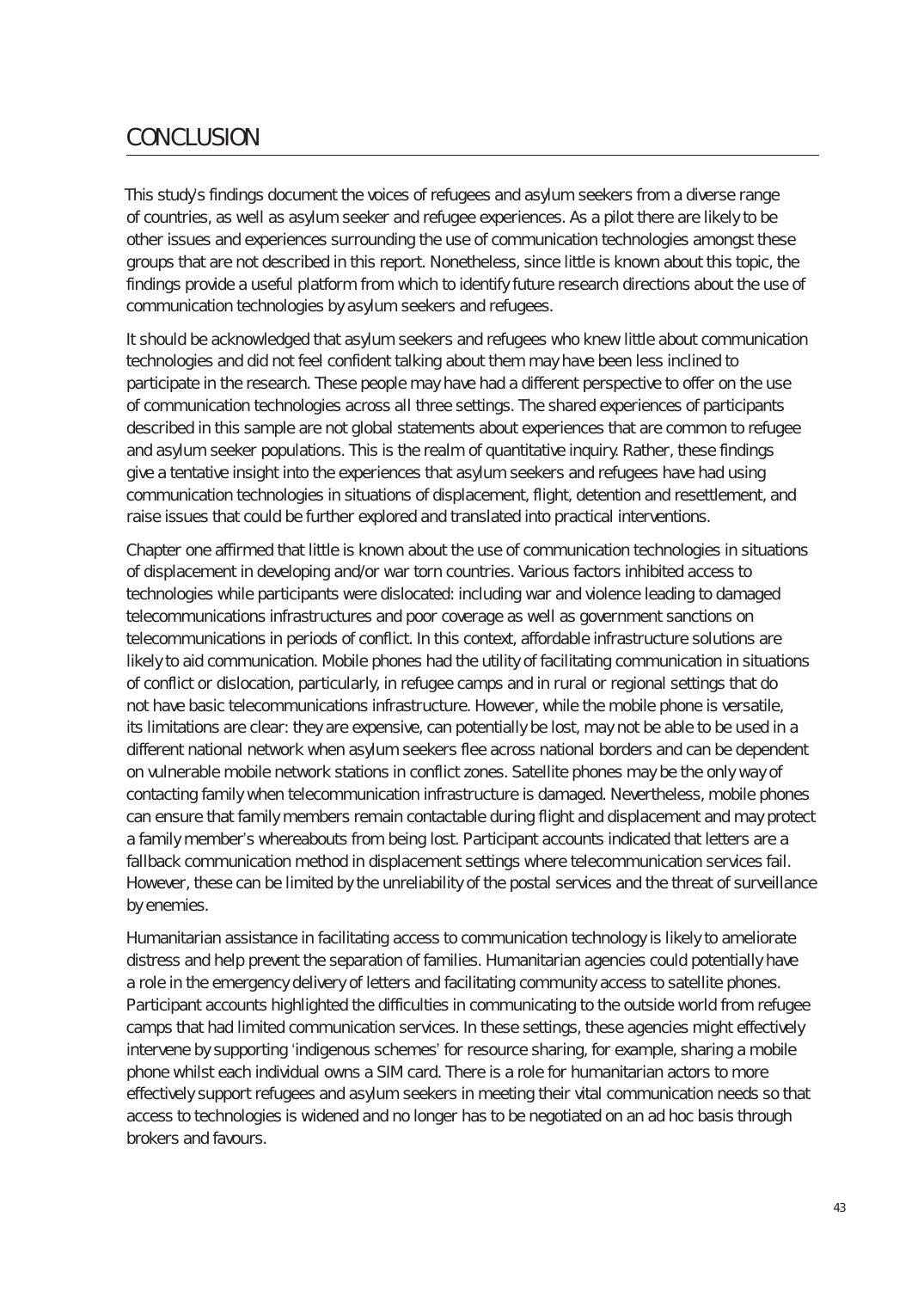## **CONCLUSION**

This study's findings document the voices of refugees and asylum seekers from a diverse range of countries, as well as asylum seeker and refugee experiences. As a pilot there are likely to be other issues and experiences surrounding the use of communication technologies amongst these groups that are not described in this report. Nonetheless, since little is known about this topic, the findings provide a useful platform from which to identify future research directions about the use of communication technologies by asylum seekers and refugees.

It should be acknowledged that asylum seekers and refugees who knew little about communication technologies and did not feel confident talking about them may have been less inclined to participate in the research. These people may have had a different perspective to offer on the use of communication technologies across all three settings. The shared experiences of participants described in this sample are not global statements about experiences that are common to refugee and asylum seeker populations. This is the realm of quantitative inquiry. Rather, these findings give a tentative insight into the experiences that asylum seekers and refugees have had using communication technologies in situations of displacement, flight, detention and resettlement, and raise issues that could be further explored and translated into practical interventions.

Chapter one affirmed that little is known about the use of communication technologies in situations of displacement in developing and/or war torn countries. Various factors inhibited access to technologies while participants were dislocated: including war and violence leading to damaged telecommunications infrastructures and poor coverage as well as government sanctions on telecommunications in periods of conflict. In this context, affordable infrastructure solutions are likely to aid communication. Mobile phones had the utility of facilitating communication in situations of conflict or dislocation, particularly, in refugee camps and in rural or regional settings that do not have basic telecommunications infrastructure. However, while the mobile phone is versatile, its limitations are clear: they are expensive, can potentially be lost, may not be able to be used in a different national network when asylum seekers flee across national borders and can be dependent on vulnerable mobile network stations in conflict zones. Satellite phones may be the only way of contacting family when telecommunication infrastructure is damaged. Nevertheless, mobile phones can ensure that family members remain contactable during flight and displacement and may protect a family member's whereabouts from being lost. Participant accounts indicated that letters are a fallback communication method in displacement settings where telecommunication services fail. However, these can be limited by the unreliability of the postal services and the threat of surveillance by enemies.

Humanitarian assistance in facilitating access to communication technology is likely to ameliorate distress and help prevent the separation of families. Humanitarian agencies could potentially have a role in the emergency delivery of letters and facilitating community access to satellite phones. Participant accounts highlighted the difficulties in communicating to the outside world from refugee camps that had limited communication services. In these settings, these agencies might effectively intervene by supporting 'indigenous schemes' for resource sharing, for example, sharing a mobile phone whilst each individual owns a SIM card. There is a role for humanitarian actors to more effectively support refugees and asylum seekers in meeting their vital communication needs so that access to technologies is widened and no longer has to be negotiated on an ad hoc basis through brokers and favours.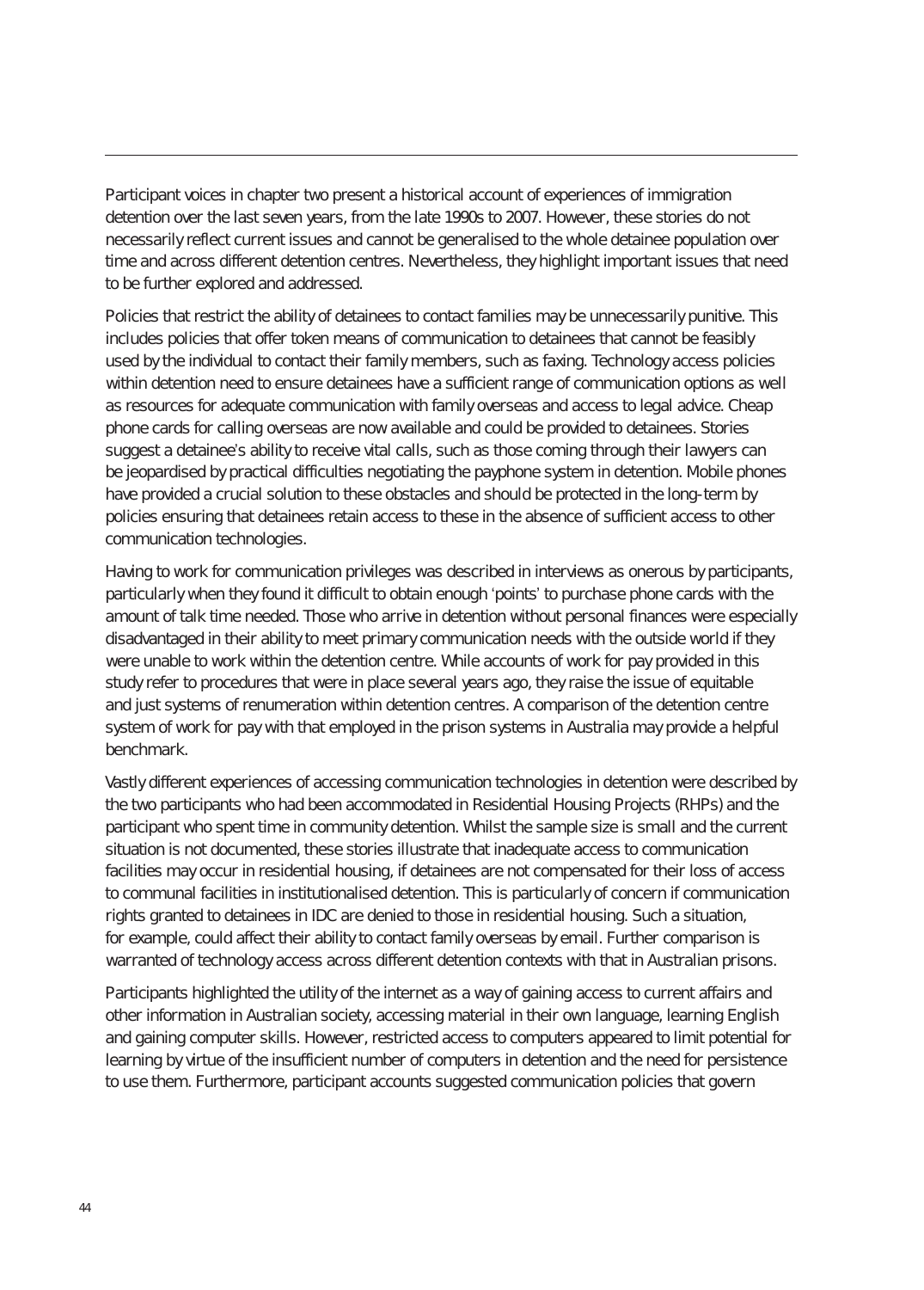Participant voices in chapter two present a historical account of experiences of immigration detention over the last seven years, from the late 1990s to 2007. However, these stories do not necessarily reflect current issues and cannot be generalised to the whole detainee population over time and across different detention centres. Nevertheless, they highlight important issues that need to be further explored and addressed.

Policies that restrict the ability of detainees to contact families may be unnecessarily punitive. This includes policies that offer token means of communication to detainees that cannot be feasibly used by the individual to contact their family members, such as faxing. Technology access policies within detention need to ensure detainees have a sufficient range of communication options as well as resources for adequate communication with family overseas and access to legal advice. Cheap phone cards for calling overseas are now available and could be provided to detainees. Stories suggest a detainee's ability to receive vital calls, such as those coming through their lawyers can be jeopardised by practical difficulties negotiating the payphone system in detention. Mobile phones have provided a crucial solution to these obstacles and should be protected in the long-term by policies ensuring that detainees retain access to these in the absence of sufficient access to other communication technologies.

Having to work for communication privileges was described in interviews as onerous by participants, particularly when they found it difficult to obtain enough 'points' to purchase phone cards with the amount of talk time needed. Those who arrive in detention without personal finances were especially disadvantaged in their ability to meet primary communication needs with the outside world if they were unable to work within the detention centre. While accounts of work for pay provided in this study refer to procedures that were in place several years ago, they raise the issue of equitable and just systems of renumeration within detention centres. A comparison of the detention centre system of work for pay with that employed in the prison systems in Australia may provide a helpful benchmark.

Vastly different experiences of accessing communication technologies in detention were described by the two participants who had been accommodated in Residential Housing Projects (RHPs) and the participant who spent time in community detention. Whilst the sample size is small and the current situation is not documented, these stories illustrate that inadequate access to communication facilities may occur in residential housing, if detainees are not compensated for their loss of access to communal facilities in institutionalised detention. This is particularly of concern if communication rights granted to detainees in IDC are denied to those in residential housing. Such a situation, for example, could affect their ability to contact family overseas by email. Further comparison is warranted of technology access across different detention contexts with that in Australian prisons.

Participants highlighted the utility of the internet as a way of gaining access to current affairs and other information in Australian society, accessing material in their own language, learning English and gaining computer skills. However, restricted access to computers appeared to limit potential for learning by virtue of the insufficient number of computers in detention and the need for persistence to use them. Furthermore, participant accounts suggested communication policies that govern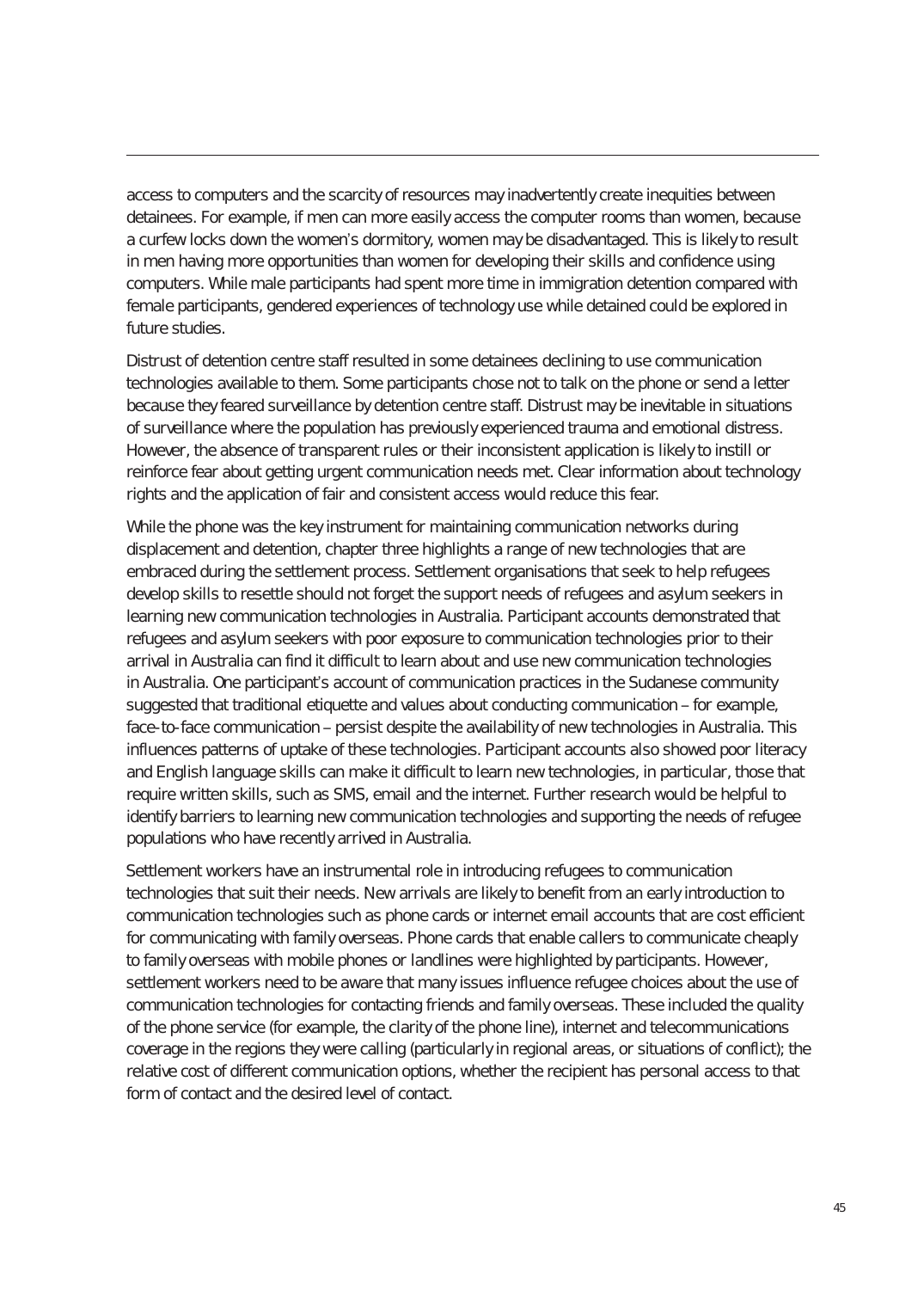access to computers and the scarcity of resources may inadvertently create inequities between detainees. For example, if men can more easily access the computer rooms than women, because a curfew locks down the women's dormitory, women may be disadvantaged. This is likely to result in men having more opportunities than women for developing their skills and confidence using computers. While male participants had spent more time in immigration detention compared with female participants, gendered experiences of technology use while detained could be explored in future studies.

Distrust of detention centre staff resulted in some detainees declining to use communication technologies available to them. Some participants chose not to talk on the phone or send a letter because they feared surveillance by detention centre staff. Distrust may be inevitable in situations of surveillance where the population has previously experienced trauma and emotional distress. However, the absence of transparent rules or their inconsistent application is likely to instill or reinforce fear about getting urgent communication needs met. Clear information about technology rights and the application of fair and consistent access would reduce this fear.

While the phone was the key instrument for maintaining communication networks during displacement and detention, chapter three highlights a range of new technologies that are embraced during the settlement process. Settlement organisations that seek to help refugees develop skills to resettle should not forget the support needs of refugees and asylum seekers in learning new communication technologies in Australia. Participant accounts demonstrated that refugees and asylum seekers with poor exposure to communication technologies prior to their arrival in Australia can find it difficult to learn about and use new communication technologies in Australia. One participant's account of communication practices in the Sudanese community suggested that traditional etiquette and values about conducting communication – for example, face-to-face communication – persist despite the availability of new technologies in Australia. This influences patterns of uptake of these technologies. Participant accounts also showed poor literacy and English language skills can make it difficult to learn new technologies, in particular, those that require written skills, such as SMS, email and the internet. Further research would be helpful to identify barriers to learning new communication technologies and supporting the needs of refugee populations who have recently arrived in Australia.

Settlement workers have an instrumental role in introducing refugees to communication technologies that suit their needs. New arrivals are likely to benefit from an early introduction to communication technologies such as phone cards or internet email accounts that are cost efficient for communicating with family overseas. Phone cards that enable callers to communicate cheaply to family overseas with mobile phones or landlines were highlighted by participants. However, settlement workers need to be aware that many issues influence refugee choices about the use of communication technologies for contacting friends and family overseas. These included the quality of the phone service (for example, the clarity of the phone line), internet and telecommunications coverage in the regions they were calling (particularly in regional areas, or situations of conflict); the relative cost of different communication options, whether the recipient has personal access to that form of contact and the desired level of contact.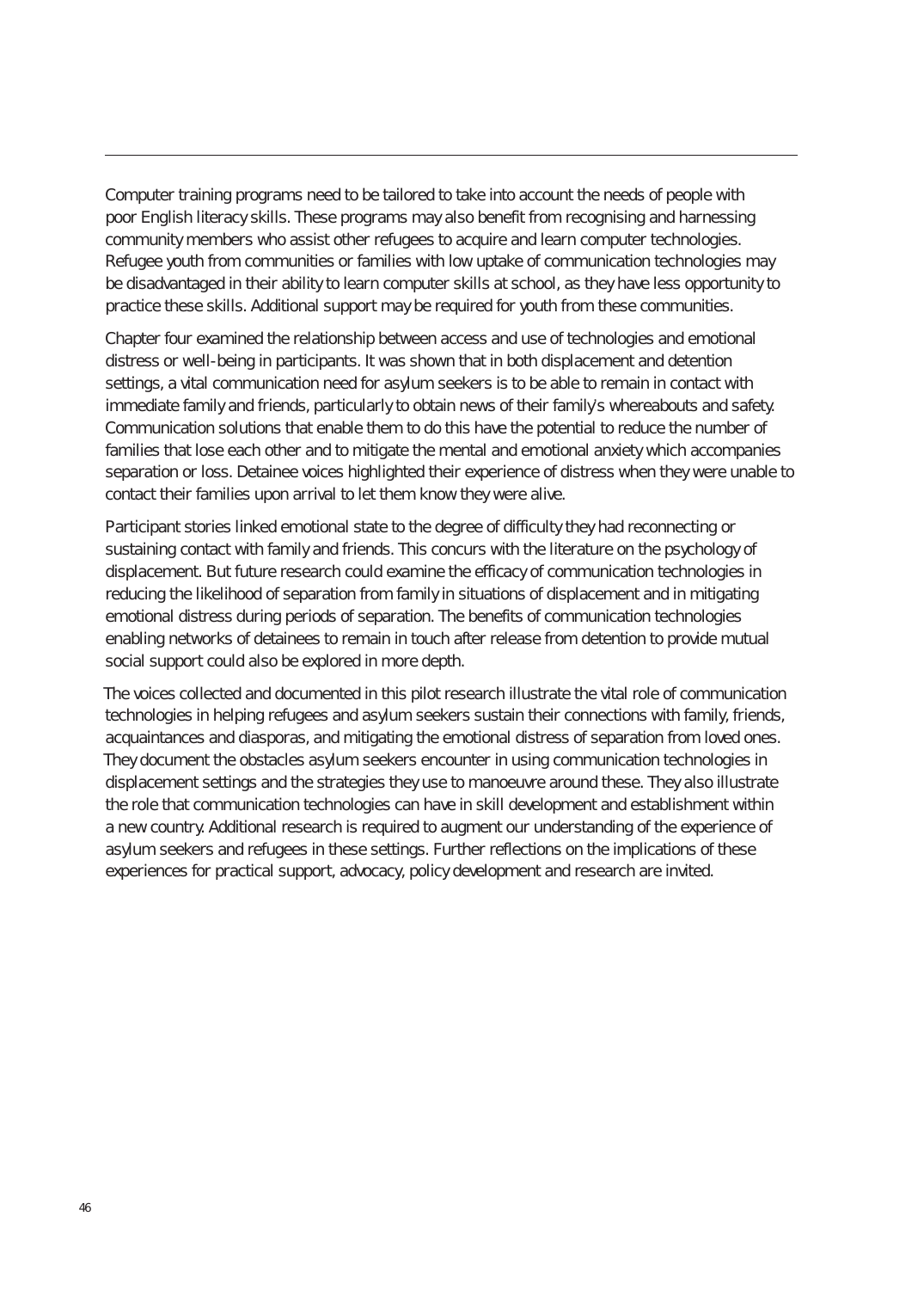Computer training programs need to be tailored to take into account the needs of people with poor English literacy skills. These programs may also benefit from recognising and harnessing community members who assist other refugees to acquire and learn computer technologies. Refugee youth from communities or families with low uptake of communication technologies may be disadvantaged in their ability to learn computer skills at school, as they have less opportunity to practice these skills. Additional support may be required for youth from these communities.

Chapter four examined the relationship between access and use of technologies and emotional distress or well-being in participants. It was shown that in both displacement and detention settings, a vital communication need for asylum seekers is to be able to remain in contact with immediate family and friends, particularly to obtain news of their family's whereabouts and safety. Communication solutions that enable them to do this have the potential to reduce the number of families that lose each other and to mitigate the mental and emotional anxiety which accompanies separation or loss. Detainee voices highlighted their experience of distress when they were unable to contact their families upon arrival to let them know they were alive.

Participant stories linked emotional state to the degree of difficulty they had reconnecting or sustaining contact with family and friends. This concurs with the literature on the psychology of displacement. But future research could examine the efficacy of communication technologies in reducing the likelihood of separation from family in situations of displacement and in mitigating emotional distress during periods of separation. The benefits of communication technologies enabling networks of detainees to remain in touch after release from detention to provide mutual social support could also be explored in more depth.

The voices collected and documented in this pilot research illustrate the vital role of communication technologies in helping refugees and asylum seekers sustain their connections with family, friends, acquaintances and diasporas, and mitigating the emotional distress of separation from loved ones. They document the obstacles asylum seekers encounter in using communication technologies in displacement settings and the strategies they use to manoeuvre around these. They also illustrate the role that communication technologies can have in skill development and establishment within a new country. Additional research is required to augment our understanding of the experience of asylum seekers and refugees in these settings. Further reflections on the implications of these experiences for practical support, advocacy, policy development and research are invited.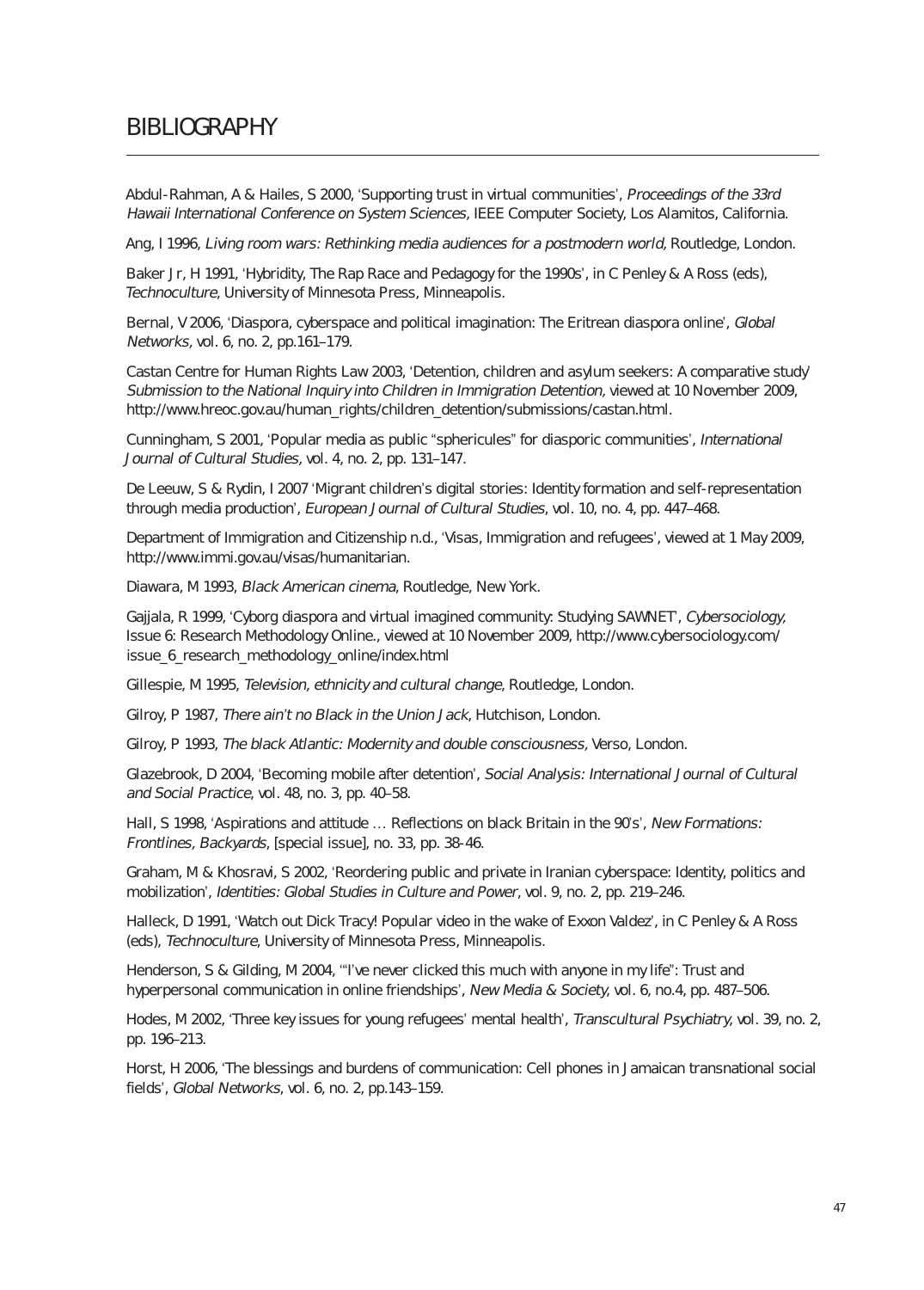### BIBlIOGRAPHY

Abdul-Rahman, A & Hailes, S 2000, 'Supporting trust in virtual communities', Proceedings of the 33rd Hawaii International Conference on System Sciences, IEEE Computer Society, Los Alamitos, California.

Ang, I 1996, Living room wars: Rethinking media audiences for a postmodern world, Routledge, London.

Baker Jr, H 1991, 'Hybridity, The Rap Race and Pedagogy for the 1990s', in C Penley & A Ross (eds), Technoculture, University of Minnesota Press, Minneapolis.

Bernal, V 2006, 'Diaspora, cyberspace and political imagination: The Eritrean diaspora online', Global Networks, vol. 6, no. 2, pp.161–179.

Castan Centre for Human Rights Law 2003, 'Detention, children and asylum seekers: A comparative study' Submission to the National Inquiry into Children in Immigration Detention, viewed at 10 November 2009, http://www.hreoc.gov.au/human\_rights/children\_detention/submissions/castan.html.

Cunningham, S 2001, 'Popular media as public "sphericules" for diasporic communities', International Journal of Cultural Studies, vol. 4, no. 2, pp. 131–147.

De Leeuw, S & Rydin, I 2007 'Migrant children's digital stories: Identity formation and self-representation through media production', European Journal of Cultural Studies, vol. 10, no. 4, pp. 447–468.

Department of Immigration and Citizenship n.d., 'Visas, Immigration and refugees', viewed at 1 May 2009, http://www.immi.gov.au/visas/humanitarian.

Diawara, M 1993, Black American cinema, Routledge, New York.

Gajjala, R 1999, 'Cyborg diaspora and virtual imagined community: Studying SAWNET', Cybersociology, Issue 6: Research Methodology Online., viewed at 10 November 2009, http://www.cybersociology.com/ issue 6 research\_methodology\_online/index.html

Gillespie, M 1995, Television, ethnicity and cultural change, Routledge, London.

Gilroy, P 1987, There ain't no Black in the Union Jack, Hutchison, London.

Gilroy, P 1993, The black Atlantic: Modernity and double consciousness, Verso, London.

Glazebrook, D 2004, 'Becoming mobile after detention', Social Analysis: International Journal of Cultural and Social Practice, vol. 48, no. 3, pp. 40–58.

Hall, S 1998, 'Aspirations and attitude … Reflections on black Britain in the 90's', New Formations: Frontlines, Backyards, [special issue], no. 33, pp. 38-46.

Graham, M & Khosravi, S 2002, 'Reordering public and private in Iranian cyberspace: Identity, politics and mobilization', Identities: Global Studies in Culture and Power, vol. 9, no. 2, pp. 219–246.

Halleck, D 1991, 'Watch out Dick Tracy! Popular video in the wake of Exxon Valdez', in C Penley & A Ross (eds), Technoculture, University of Minnesota Press, Minneapolis.

Henderson, S & Gilding, M 2004, '"I've never clicked this much with anyone in my life": Trust and hyperpersonal communication in online friendships', New Media & Society, vol. 6, no.4, pp. 487–506.

Hodes, M 2002, 'Three key issues for young refugees' mental health', Transcultural Psychiatry, vol. 39, no. 2, pp. 196–213.

Horst, H 2006, 'The blessings and burdens of communication: Cell phones in Jamaican transnational social fields', Global Networks, vol. 6, no. 2, pp.143–159.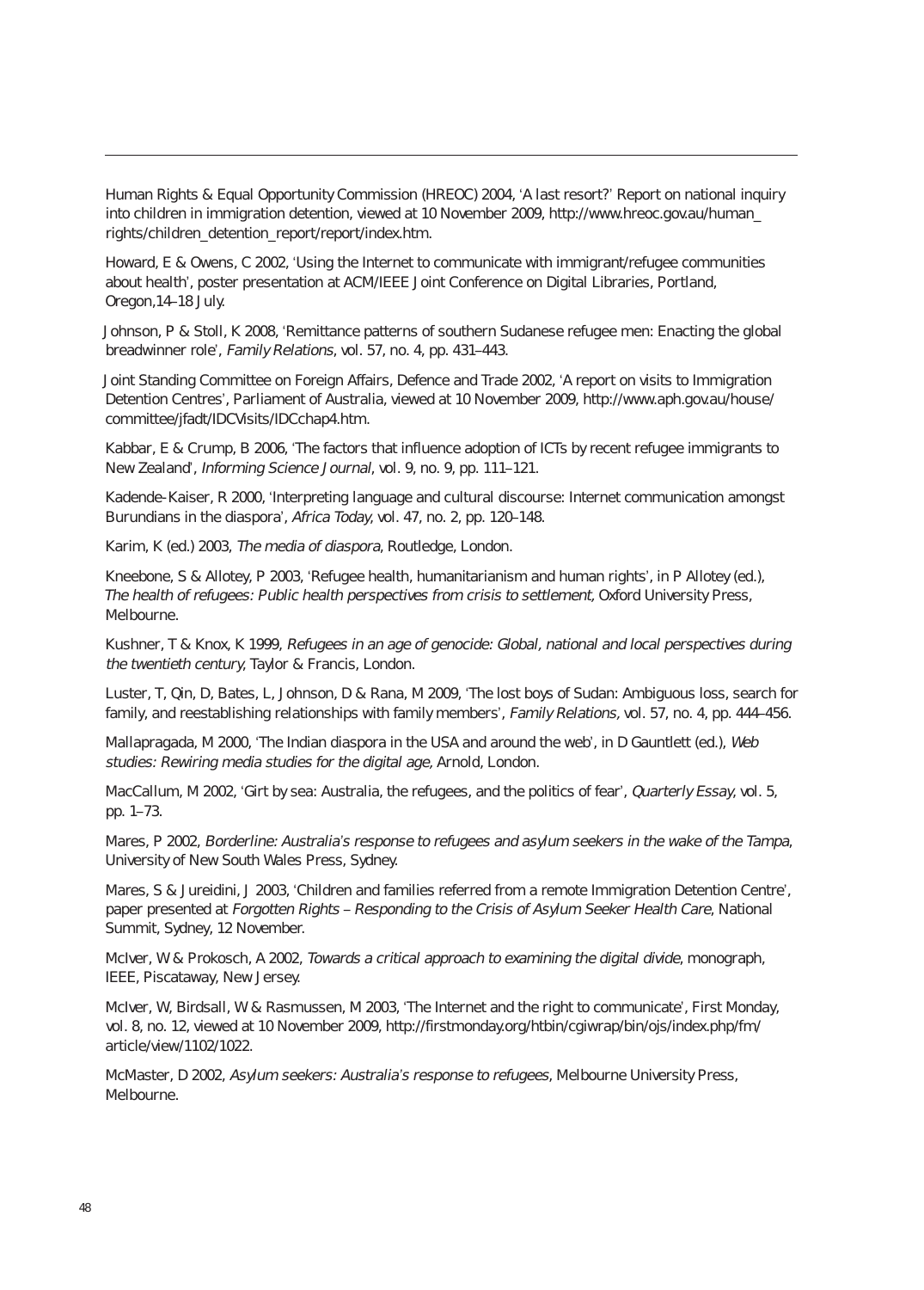Human Rights & Equal Opportunity Commission (HREOC) 2004, 'A last resort?' Report on national inquiry into children in immigration detention, viewed at 10 November 2009, http://www.hreoc.gov.au/human\_ rights/children\_detention\_report/report/index.htm.

Howard, E & Owens, C 2002, 'Using the Internet to communicate with immigrant/refugee communities about health', poster presentation at ACM/IEEE Joint Conference on Digital Libraries, Portland, Oregon,14–18 July.

Johnson, P & Stoll, K 2008, 'Remittance patterns of southern Sudanese refugee men: Enacting the global breadwinner role', Family Relations, vol. 57, no. 4, pp. 431–443.

Joint Standing Committee on Foreign Affairs, Defence and Trade 2002, 'A report on visits to Immigration Detention Centres', Parliament of Australia, viewed at 10 November 2009, http://www.aph.gov.au/house/ committee/jfadt/IDCVisits/IDCchap4.htm.

Kabbar, E & Crump, B 2006, 'The factors that influence adoption of ICTs by recent refugee immigrants to New Zealand', Informing Science Journal, vol. 9, no. 9, pp. 111–121.

Kadende-Kaiser, R 2000, 'Interpreting language and cultural discourse: Internet communication amongst Burundians in the diaspora', Africa Today, vol. 47, no. 2, pp. 120–148.

Karim, K (ed.) 2003, The media of diaspora, Routledge, London.

Kneebone, S & Allotey, P 2003, 'Refugee health, humanitarianism and human rights', in P Allotey (ed.), The health of refugees: Public health perspectives from crisis to settlement, Oxford University Press, Melbourne.

Kushner, T & Knox, K 1999, Refugees in an age of genocide: Global, national and local perspectives during the twentieth century, Taylor & Francis, London.

Luster, T, Qin, D, Bates, L, Johnson, D & Rana, M 2009, 'The lost boys of Sudan: Ambiguous loss, search for family, and reestablishing relationships with family members', Family Relations, vol. 57, no. 4, pp. 444–456.

Mallapragada, M 2000, 'The Indian diaspora in the USA and around the web', in D Gauntlett (ed.), Web studies: Rewiring media studies for the digital age, Arnold, London.

MacCallum, M 2002, 'Girt by sea: Australia, the refugees, and the politics of fear', Quarterly Essay, vol. 5, pp. 1–73.

Mares, P 2002, Borderline: Australia's response to refugees and asylum seekers in the wake of the Tampa, University of New South Wales Press, Sydney.

Mares, S & Jureidini, J 2003, 'Children and families referred from a remote Immigration Detention Centre', paper presented at Forgotten Rights – Responding to the Crisis of Asylum Seeker Health Care, National Summit, Sydney, 12 November.

McIver, W & Prokosch, A 2002, Towards a critical approach to examining the digital divide, monograph, IEEE, Piscataway, New Jersey.

McIver, W, Birdsall, W & Rasmussen, M 2003, 'The Internet and the right to communicate', First Monday, vol. 8, no. 12, viewed at 10 November 2009, http://firstmonday.org/htbin/cgiwrap/bin/ojs/index.php/fm/ article/view/1102/1022.

McMaster, D 2002, Asylum seekers: Australia's response to refugees, Melbourne University Press, Melbourne.